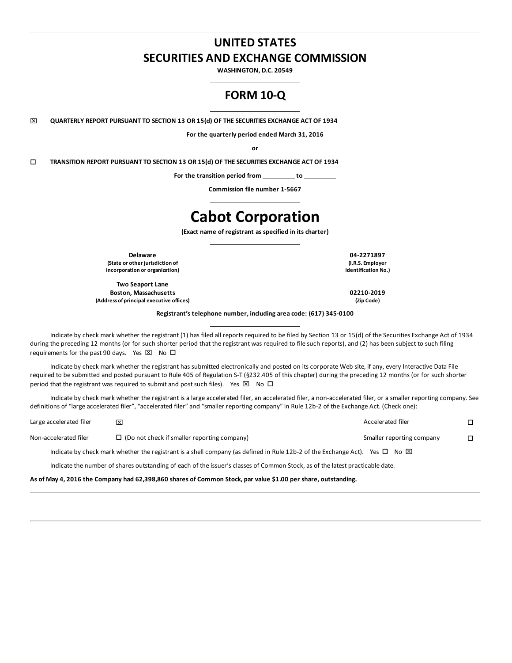# **UNITED STATES SECURITIES AND EXCHANGE COMMISSION**

**WASHINGTON, D.C. 20549**

## **FORM 10-Q**

x **QUARTERLY REPORT PURSUANT TO SECTION 13 OR 15(d) OF THE SECURITIES EXCHANGE ACT OF 1934**

**For the quarterly period ended March 31, 2016**

**or**

o **TRANSITION REPORT PURSUANT TO SECTION 13 OR 15(d) OF THE SECURITIES EXCHANGE ACT OF 1934**

**For the transition period from to**

**Commission file number 1-5667**

# **Cabot Corporation**

**(Exact name of registrant as specified in its charter)**

**Delaware 04-2271897 (State or other jurisdiction of incorporation or organization)**

**Two Seaport Lane Boston, Massachusetts 02210-2019 (Address of principal executive offices) (Zip Code)**

**(I.R.S. Employer Identification No.)**

**Registrant's telephone number, including area code: (617) 345-0100**

Indicate by check mark whether the registrant (1) has filed all reports required to be filed by Section 13 or 15(d) of the Securities Exchange Act of 1934 during the preceding 12 months (or for such shorter period that the registrant was required to file such reports), and (2) has been subject to such filing requirements for the past 90 days. Yes  $\boxtimes$  No  $\square$ 

Indicate by check mark whether the registrant has submitted electronically and posted on its corporate Web site, if any, every Interactive Data File required to be submitted and posted pursuant to Rule 405 of Regulation S-T (§232.405 of this chapter) during the preceding 12 months (or for such shorter period that the registrant was required to submit and post such files). Yes  $\boxtimes$  No  $\square$ 

Indicate by check mark whether the registrant is a large accelerated filer, an accelerated filer, a non-accelerated filer, or a smaller reporting company. See definitions of "large accelerated filer", "accelerated filer" and "smaller reporting company" in Rule 12b-2 of the Exchange Act. (Check one):

| Large accelerated filer | $\overline{\mathbf{x}}$                                                                                                                    | Accelerated filer         | п. |
|-------------------------|--------------------------------------------------------------------------------------------------------------------------------------------|---------------------------|----|
| Non-accelerated filer   | $\Box$ (Do not check if smaller reporting company)                                                                                         | Smaller reporting company | п. |
|                         | Indicate by check mark whether the registrant is a shell company (as defined in Rule 12b-2 of the Exchange Act). Yes $\Box$ No $\boxtimes$ |                           |    |
|                         | Indicate the number of shares outstanding of each of the issuer's classes of Common Stock, as of the latest practicable date.              |                           |    |

As of May 4, 2016 the Company had 62,398,860 shares of Common Stock, par value \$1.00 per share, outstanding.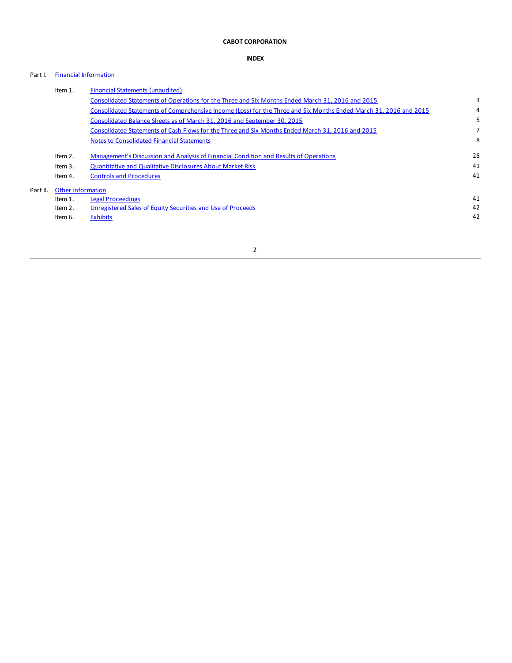## **CABOT CORPORATION**

## **INDEX**

## Part I. Financial [Information](#page-2-0)

|          | Item 1.                  | <b>Financial Statements (unaudited)</b>                                                                           |    |
|----------|--------------------------|-------------------------------------------------------------------------------------------------------------------|----|
|          |                          | Consolidated Statements of Operations for the Three and Six Months Ended March 31, 2016 and 2015                  | 3  |
|          |                          | Consolidated Statements of Comprehensive Income (Loss) for the Three and Six Months Ended March 31, 2016 and 2015 | 4  |
|          |                          | Consolidated Balance Sheets as of March 31, 2016 and September 30, 2015                                           | 5  |
|          |                          | Consolidated Statements of Cash Flows for the Three and Six Months Ended March 31, 2016 and 2015                  |    |
|          |                          | <b>Notes to Consolidated Financial Statements</b>                                                                 | 8  |
|          | Item 2.                  | Management's Discussion and Analysis of Financial Condition and Results of Operations                             | 28 |
|          | Item 3.                  | <b>Quantitative and Qualitative Disclosures About Market Risk</b>                                                 | 41 |
|          | Item 4.                  | <b>Controls and Procedures</b>                                                                                    | 41 |
| Part II. | <b>Other Information</b> |                                                                                                                   |    |
|          | Item 1.                  | Legal Proceedings                                                                                                 | 41 |
|          | Item 2.                  | Unregistered Sales of Equity Securities and Use of Proceeds                                                       | 42 |
|          | Item 6.                  | <b>Exhibits</b>                                                                                                   | 42 |
|          |                          |                                                                                                                   |    |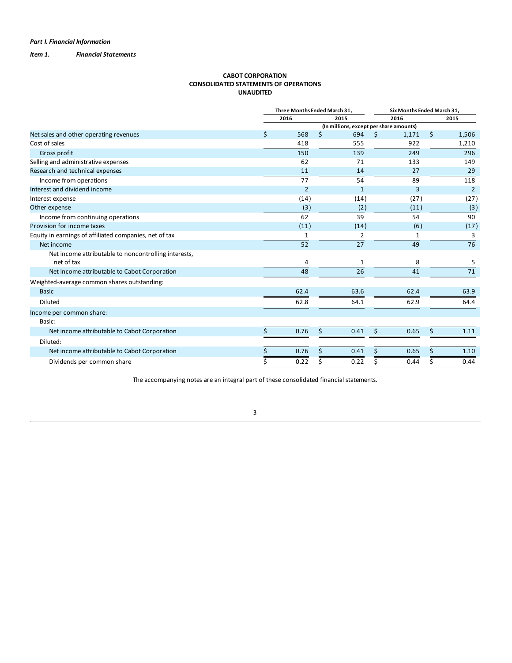<span id="page-2-0"></span>*Item 1. Financial Statements*

## **CABOT CORPORATION CONSOLIDATED STATEMENTS OF OPERATIONS UNAUDITED**

|                                                        |                | Three Months Ended March 31,            |              | Six Months Ended March 31, |              |                |  |  |
|--------------------------------------------------------|----------------|-----------------------------------------|--------------|----------------------------|--------------|----------------|--|--|
|                                                        | 2016           | 2015                                    |              | 2016                       |              | 2015           |  |  |
|                                                        |                | (In millions, except per share amounts) |              |                            |              |                |  |  |
| Net sales and other operating revenues                 | \$<br>568      | Ś<br>694                                | Ŝ.           | 1,171                      | \$           | 1,506          |  |  |
| Cost of sales                                          | 418            | 555                                     |              | 922                        |              | 1,210          |  |  |
| Gross profit                                           | 150            | 139                                     |              | 249                        |              | 296            |  |  |
| Selling and administrative expenses                    | 62             | 71                                      |              | 133                        |              | 149            |  |  |
| Research and technical expenses                        | 11             | 14                                      |              | 27                         |              | 29             |  |  |
| Income from operations                                 | 77             | 54                                      |              | 89                         |              | 118            |  |  |
| Interest and dividend income                           | $\overline{2}$ |                                         | $\mathbf{1}$ | 3                          |              | $\overline{2}$ |  |  |
| Interest expense                                       | (14)           | (14)                                    |              | (27)                       |              | (27)           |  |  |
| Other expense                                          | (3)            |                                         | (2)          | (11)                       |              | (3)            |  |  |
| Income from continuing operations                      | 62             | 39                                      |              | 54                         |              | 90             |  |  |
| Provision for income taxes                             | (11)           | (14)                                    |              | (6)                        |              | (17)           |  |  |
| Equity in earnings of affiliated companies, net of tax | 1              |                                         | 2            | 1                          |              | 3              |  |  |
| Net income                                             | 52             | 27                                      |              | 49                         |              | 76             |  |  |
| Net income attributable to noncontrolling interests,   |                |                                         |              |                            |              |                |  |  |
| net of tax                                             | 4              |                                         | 1            | 8                          |              | 5              |  |  |
| Net income attributable to Cabot Corporation           | 48             | 26                                      |              | 41                         |              | 71             |  |  |
| Weighted-average common shares outstanding:            |                |                                         |              |                            |              |                |  |  |
| <b>Basic</b>                                           | 62.4           | 63.6                                    |              | 62.4                       |              | 63.9           |  |  |
| <b>Diluted</b>                                         | 62.8           | 64.1                                    |              | 62.9                       |              | 64.4           |  |  |
| Income per common share:                               |                |                                         |              |                            |              |                |  |  |
| Basic:                                                 |                |                                         |              |                            |              |                |  |  |
| Net income attributable to Cabot Corporation           | 0.76           | \$<br>0.41                              | Ś.           | 0.65                       | $\mathsf{S}$ | 1.11           |  |  |
| Diluted:                                               |                |                                         |              |                            |              |                |  |  |
| Net income attributable to Cabot Corporation           | 0.76           | Ś.<br>0.41                              | Ś            | 0.65                       | Ś.           | 1.10           |  |  |
| Dividends per common share                             | 0.22           | 0.22                                    | Ś            | 0.44                       |              | 0.44           |  |  |

The accompanying notes are an integral part of these consolidated financial statements.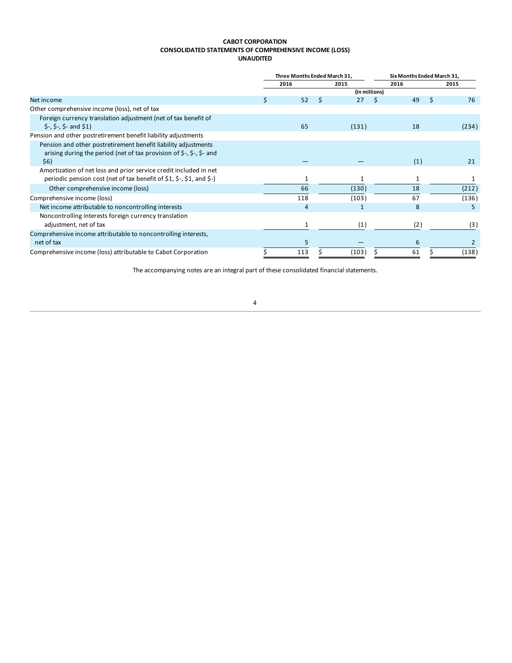## **CABOT CORPORATION CONSOLIDATED STATEMENTS OF COMPREHENSIVE INCOME (LOSS) UNAUDITED**

<span id="page-3-0"></span>

|                                                                                        | Three Months Ended March 31, |  |               | Six Months Ended March 31, |     |  |       |  |
|----------------------------------------------------------------------------------------|------------------------------|--|---------------|----------------------------|-----|--|-------|--|
|                                                                                        | 2016                         |  | 2015          | 2016                       |     |  | 2015  |  |
|                                                                                        |                              |  | (In millions) |                            |     |  |       |  |
| Net income                                                                             | 52                           |  | 27            |                            | 49  |  | 76    |  |
| Other comprehensive income (loss), net of tax                                          |                              |  |               |                            |     |  |       |  |
| Foreign currency translation adjustment (net of tax benefit of                         |                              |  |               |                            |     |  |       |  |
| $\zeta$ -, $\zeta$ -, $\zeta$ - and $\zeta$ 1)                                         | 65                           |  | (131)         |                            | 18  |  | (234) |  |
| Pension and other postretirement benefit liability adjustments                         |                              |  |               |                            |     |  |       |  |
| Pension and other postretirement benefit liability adjustments                         |                              |  |               |                            |     |  |       |  |
| arising during the period (net of tax provision of $\zeta$ -, $\zeta$ -, $\zeta$ - and |                              |  |               |                            |     |  |       |  |
| \$6)                                                                                   |                              |  |               |                            | (1) |  | 21    |  |
| Amortization of net loss and prior service credit included in net                      |                              |  |               |                            |     |  |       |  |
| periodic pension cost (net of tax benefit of \$1, \$-, \$1, and \$-)                   |                              |  |               |                            |     |  |       |  |
| Other comprehensive income (loss)                                                      | 66                           |  | (130)         |                            | 18  |  | (212) |  |
| Comprehensive income (loss)                                                            | 118                          |  | (103)         |                            | 67  |  | (136) |  |
| Net income attributable to noncontrolling interests                                    | 4                            |  |               |                            | 8   |  | 5     |  |
| Noncontrolling interests foreign currency translation                                  |                              |  |               |                            |     |  |       |  |
| adjustment, net of tax                                                                 |                              |  | (1)           |                            | (2) |  | (3)   |  |
| Comprehensive income attributable to noncontrolling interests,                         |                              |  |               |                            |     |  |       |  |
| net of tax                                                                             | 5                            |  |               |                            | 6   |  |       |  |
| Comprehensive income (loss) attributable to Cabot Corporation                          | 113                          |  | (103)         | Ś                          | 61  |  | (138) |  |

The accompanying notes are an integral part of these consolidated financial statements.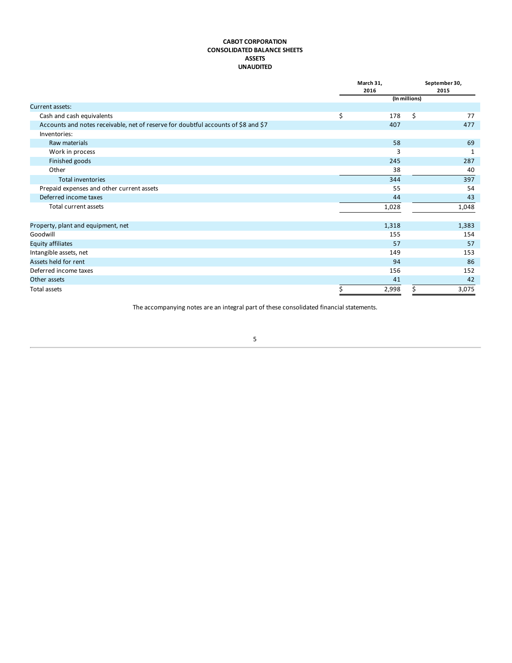## **CABOT CORPORATION CONSOLIDATED BALANCE SHEETS ASSETS UNAUDITED**

<span id="page-4-0"></span>

|                                                                                    | March 31,<br>2016 | September 30,<br>2015 |
|------------------------------------------------------------------------------------|-------------------|-----------------------|
|                                                                                    |                   | (In millions)         |
| Current assets:                                                                    |                   |                       |
| Cash and cash equivalents                                                          | \$<br>178         | \$<br>77              |
| Accounts and notes receivable, net of reserve for doubtful accounts of \$8 and \$7 | 407               | 477                   |
| Inventories:                                                                       |                   |                       |
| Raw materials                                                                      | 58                | 69                    |
| Work in process                                                                    | 3                 | 1                     |
| Finished goods                                                                     | 245               | 287                   |
| Other                                                                              | 38                | 40                    |
| <b>Total inventories</b>                                                           | 344               | 397                   |
| Prepaid expenses and other current assets                                          | 55                | 54                    |
| Deferred income taxes                                                              | 44                | 43                    |
| Total current assets                                                               | 1,028             | 1,048                 |
|                                                                                    |                   |                       |
| Property, plant and equipment, net                                                 | 1,318             | 1,383                 |
| Goodwill                                                                           | 155               | 154                   |
| Equity affiliates                                                                  | 57                | 57                    |
| Intangible assets, net                                                             | 149               | 153                   |
| Assets held for rent                                                               | 94                | 86                    |
| Deferred income taxes                                                              | 156               | 152                   |
| Other assets                                                                       | 41                | 42                    |
| Total assets                                                                       | \$<br>2,998       | 3,075                 |

The accompanying notes are an integral part of these consolidated financial statements.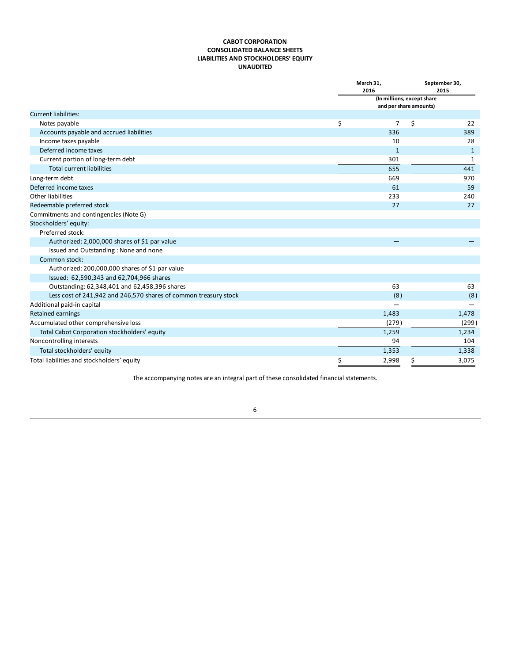## **CABOT CORPORATION CONSOLIDATED BALANCE SHEETS LIABILITIES AND STOCKHOLDERS' EQUITY UNAUDITED**

|                                                                  | March 31,<br>2016                                    | September 30,<br>2015 |
|------------------------------------------------------------------|------------------------------------------------------|-----------------------|
|                                                                  | (In millions, except share<br>and per share amounts) |                       |
| <b>Current liabilities:</b>                                      |                                                      |                       |
| Notes payable                                                    | \$<br>\$<br>$\overline{7}$                           | 22                    |
| Accounts payable and accrued liabilities                         | 336                                                  | 389                   |
| Income taxes payable                                             | 10                                                   | 28                    |
| Deferred income taxes                                            | $\mathbf{1}$                                         | $\mathbf{1}$          |
| Current portion of long-term debt                                | 301                                                  | 1                     |
| <b>Total current liabilities</b>                                 | 655                                                  | 441                   |
| Long-term debt                                                   | 669                                                  | 970                   |
| Deferred income taxes                                            | 61                                                   | 59                    |
| Other liabilities                                                | 233                                                  | 240                   |
| Redeemable preferred stock                                       | 27                                                   | 27                    |
| Commitments and contingencies (Note G)                           |                                                      |                       |
| Stockholders' equity:                                            |                                                      |                       |
| Preferred stock:                                                 |                                                      |                       |
| Authorized: 2,000,000 shares of \$1 par value                    |                                                      |                       |
| Issued and Outstanding: None and none                            |                                                      |                       |
| Common stock:                                                    |                                                      |                       |
| Authorized: 200,000,000 shares of \$1 par value                  |                                                      |                       |
| Issued: 62,590,343 and 62,704,966 shares                         |                                                      |                       |
| Outstanding: 62,348,401 and 62,458,396 shares                    | 63                                                   | 63                    |
| Less cost of 241,942 and 246,570 shares of common treasury stock | (8)                                                  | (8)                   |
| Additional paid-in capital                                       |                                                      |                       |
| Retained earnings                                                | 1,483                                                | 1,478                 |
| Accumulated other comprehensive loss                             | (279)                                                | (299)                 |
| Total Cabot Corporation stockholders' equity                     | 1,259                                                | 1,234                 |
| Noncontrolling interests                                         | 94                                                   | 104                   |
| Total stockholders' equity                                       | 1,353                                                | 1,338                 |
| Total liabilities and stockholders' equity                       | \$<br>\$<br>2,998                                    | 3,075                 |

The accompanying notes are an integral part of these consolidated financial statements.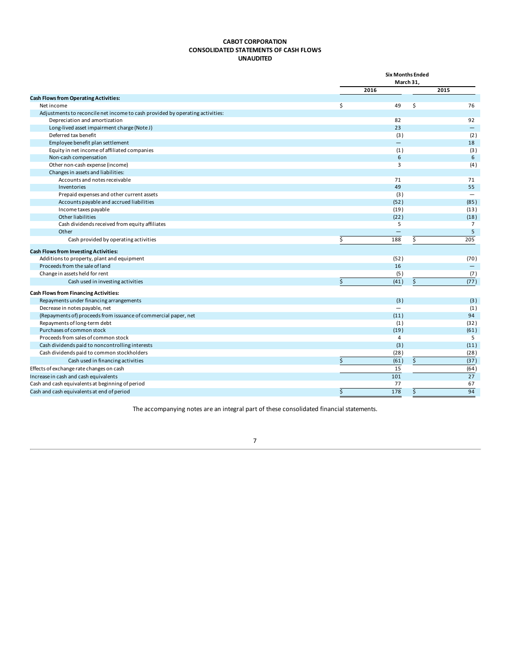## **CABOT CORPORATION CONSOLIDATED STATEMENTS OF CASH FLOWS UNAUDITED**

<span id="page-6-0"></span>

| 2016<br>2015<br><b>Cash Flows from Operating Activities:</b><br>\$<br>49<br>\$<br>76<br>Net income<br>Adjustments to reconcile net income to cash provided by operating activities:<br>Depreciation and amortization<br>82<br>92<br>23<br>Long-lived asset impairment charge (Note J)<br>Deferred tax benefit<br>(3)<br>(2) |
|-----------------------------------------------------------------------------------------------------------------------------------------------------------------------------------------------------------------------------------------------------------------------------------------------------------------------------|
|                                                                                                                                                                                                                                                                                                                             |
|                                                                                                                                                                                                                                                                                                                             |
|                                                                                                                                                                                                                                                                                                                             |
|                                                                                                                                                                                                                                                                                                                             |
|                                                                                                                                                                                                                                                                                                                             |
|                                                                                                                                                                                                                                                                                                                             |
|                                                                                                                                                                                                                                                                                                                             |
| Employee benefit plan settlement<br>18<br>$-$                                                                                                                                                                                                                                                                               |
| (3)<br>Equity in net income of affiliated companies<br>(1)                                                                                                                                                                                                                                                                  |
| $\boldsymbol{6}$<br>Non-cash compensation                                                                                                                                                                                                                                                                                   |
| Other non-cash expense (income)<br>(4)<br>3                                                                                                                                                                                                                                                                                 |
| Changes in assets and liabilities:                                                                                                                                                                                                                                                                                          |
| Accounts and notes receivable<br>71<br>71                                                                                                                                                                                                                                                                                   |
| 49<br>55<br>Inventories                                                                                                                                                                                                                                                                                                     |
| Prepaid expenses and other current assets<br>(3)                                                                                                                                                                                                                                                                            |
| (85)<br>Accounts payable and accrued liabilities<br>(52)                                                                                                                                                                                                                                                                    |
| Income taxes payable<br>(19)<br>(13)                                                                                                                                                                                                                                                                                        |
| Other liabilities<br>(18)<br>(22)                                                                                                                                                                                                                                                                                           |
| Cash dividends received from equity affiliates<br>5                                                                                                                                                                                                                                                                         |
| Other                                                                                                                                                                                                                                                                                                                       |
| \$.<br>188<br>205<br>Cash provided by operating activities<br>Ś                                                                                                                                                                                                                                                             |
| <b>Cash Flows from Investing Activities:</b>                                                                                                                                                                                                                                                                                |
| (52)<br>(70)<br>Additions to property, plant and equipment                                                                                                                                                                                                                                                                  |
| 16<br>Proceeds from the sale of land                                                                                                                                                                                                                                                                                        |
| Change in assets held for rent<br>(5)<br>(7)                                                                                                                                                                                                                                                                                |
| \$<br>(41)<br>\$<br>(77)<br>Cash used in investing activities                                                                                                                                                                                                                                                               |
| <b>Cash Flows from Financing Activities:</b>                                                                                                                                                                                                                                                                                |
| Repayments under financing arrangements<br>(3)<br>(3)                                                                                                                                                                                                                                                                       |
| Decrease in notes payable, net<br>(1)                                                                                                                                                                                                                                                                                       |
| (Repayments of) proceeds from issuance of commercial paper, net<br>(11)<br>94                                                                                                                                                                                                                                               |
| Repayments of long-term debt<br>(32)<br>(1)                                                                                                                                                                                                                                                                                 |
| Purchases of common stock<br>(19)<br>(61)                                                                                                                                                                                                                                                                                   |
| Proceeds from sales of common stock<br>4                                                                                                                                                                                                                                                                                    |
| Cash dividends paid to noncontrolling interests<br>(3)<br>(11)                                                                                                                                                                                                                                                              |
| Cash dividends paid to common stockholders<br>(28)<br>(28)                                                                                                                                                                                                                                                                  |
| (61)<br>(37)<br>Ś<br>Ś.<br>Cash used in financing activities                                                                                                                                                                                                                                                                |
| (64)<br>Effects of exchange rate changes on cash<br>15                                                                                                                                                                                                                                                                      |
| 101<br>27<br>Increase in cash and cash equivalents                                                                                                                                                                                                                                                                          |
| Cash and cash equivalents at beginning of period<br>77<br>67                                                                                                                                                                                                                                                                |
| 178<br>94<br>$\mathsf{\hat{S}}$<br>\$<br>Cash and cash equivalents at end of period                                                                                                                                                                                                                                         |

The accompanying notes are an integral part of these consolidated financial statements.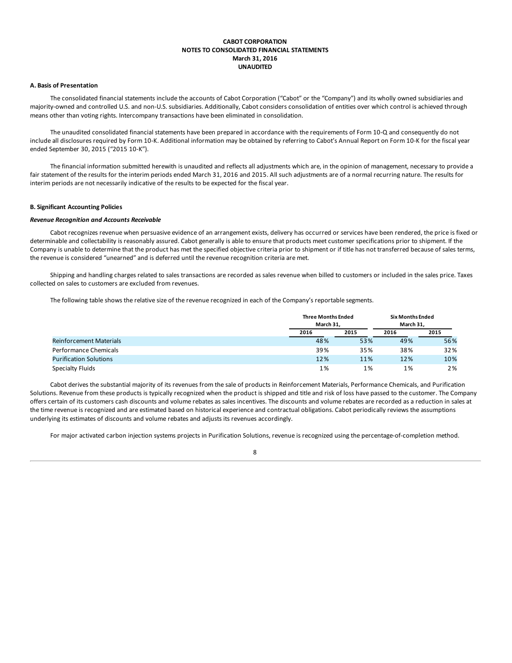## **CABOT CORPORATION NOTES TO CONSOLIDATED FINANCIAL STATEMENTS March 31, 2016 UNAUDITED**

#### <span id="page-7-0"></span>**A. Basis of Presentation**

The consolidated financial statements include the accounts of Cabot Corporation ("Cabot" or the "Company") and its wholly owned subsidiaries and majority-owned and controlled U.S. and non-U.S. subsidiaries. Additionally, Cabot considers consolidation of entities over which control is achieved through means other than voting rights. Intercompany transactions have been eliminated in consolidation.

The unaudited consolidated financial statements have been prepared in accordance with the requirements of Form 10-Q and consequently do not include all disclosures required by Form 10-K. Additional information may be obtained by referring to Cabot's Annual Report on Form 10-K for the fiscal year ended September 30, 2015 ("2015 10-K").

The financial information submitted herewith is unaudited and reflects all adjustments which are, in the opinion of management, necessary to provide a fair statement of the results for the interim periods ended March 31, 2016 and 2015. All such adjustments are of a normal recurring nature. The results for interim periods are not necessarily indicative of the results to be expected for the fiscal year.

#### **B. Significant Accounting Policies**

#### *Revenue Recognition and Accounts Receivable*

Cabot recognizes revenue when persuasive evidence of an arrangement exists, delivery has occurred or services have been rendered, the price is fixed or determinable and collectability is reasonably assured. Cabot generally is able to ensure that products meet customer specifications prior to shipment. If the Company is unable to determine that the product has met the specified objective criteria prior to shipment or if title has not transferred because of sales terms, the revenue is considered "unearned" and is deferred until the revenue recognition criteria are met.

Shipping and handling charges related to sales transactions are recorded as sales revenue when billed to customers or included in the sales price. Taxes collected on sales to customers are excluded from revenues.

The following table shows the relative size of the revenue recognized in each of the Company's reportable segments.

|                                | <b>Three Months Ended</b><br>March 31. |      | <b>Six Months Ended</b><br>March 31, |      |
|--------------------------------|----------------------------------------|------|--------------------------------------|------|
|                                | 2016                                   | 2015 | 2016                                 | 2015 |
| <b>Reinforcement Materials</b> | 48%                                    | 53%  | 49%                                  | 56%  |
| Performance Chemicals          | 39%                                    | 35%  | 38%                                  | 32%  |
| <b>Purification Solutions</b>  | 12%                                    | 11%  | 12%                                  | 10%  |
| <b>Specialty Fluids</b>        | 1%                                     | 1%   | 1%                                   | 2%   |

Cabot derives the substantial majority of its revenues from the sale of products in Reinforcement Materials, Performance Chemicals, and Purification Solutions. Revenue from these products is typically recognized when the product is shipped and title and risk of loss have passed to the customer. The Company offers certain of its customers cash discounts and volume rebates as sales incentives. The discounts and volume rebates are recorded as a reduction in sales at the time revenue is recognized and are estimated based on historical experience and contractual obligations. Cabot periodically reviews the assumptions underlying its estimates of discounts and volume rebates and adjusts its revenues accordingly.

For major activated carbon injection systems projects in Purification Solutions, revenue is recognized using the percentage-of-completion method.

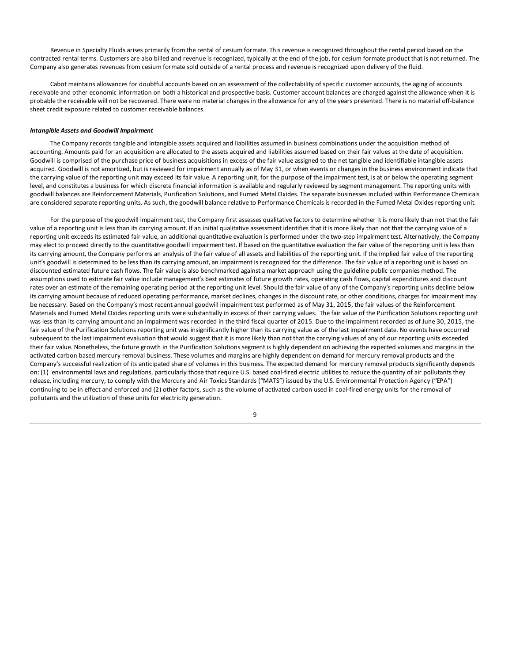Revenue in Specialty Fluids arises primarily from the rental of cesium formate. This revenue is recognized throughout the rental period based on the contracted rental terms. Customers are also billed and revenue is recognized, typically at the end of the job, for cesium formate product that is not returned. The Company also generates revenues from cesium formate sold outside of a rental process and revenue is recognized upon delivery of the fluid.

Cabot maintains allowances for doubtful accounts based on an assessment of the collectability of specific customer accounts, the aging of accounts receivable and other economic information on both a historical and prospective basis. Customer account balances are charged against the allowance when it is probable the receivable will not be recovered. There were no material changes in the allowance for any of the years presented. There is no material off-balance sheet credit exposure related to customer receivable balances.

#### *Intangible Assets and Goodwill Impairment*

The Company records tangible and intangible assets acquired and liabilities assumed in business combinations under the acquisition method of accounting. Amounts paid for an acquisition are allocated to the assets acquired and liabilities assumed based on their fair values at the date of acquisition. Goodwill is comprised of the purchase price of business acquisitions in excess of the fair value assigned to the net tangible and identifiable intangible assets acquired. Goodwill is not amortized, but is reviewed for impairment annually as of May 31, or when events or changes in the business environment indicate that the carrying value of the reporting unit may exceed its fair value. A reporting unit, for the purpose of the impairment test, is at or below the operating segment level, and constitutes a business for which discrete financial information is available and regularly reviewed by segment management. The reporting units with goodwill balances are Reinforcement Materials, Purification Solutions, and Fumed Metal Oxides. The separate businesses included within Performance Chemicals are considered separate reporting units. As such, the goodwill balance relative to Performance Chemicals is recorded in the Fumed Metal Oxides reporting unit.

For the purpose of the goodwill impairment test, the Company first assesses qualitative factors to determine whether it is more likely than not that the fair value of a reporting unit is less than its carrying amount. If an initial qualitative assessment identifies that it is more likely than not that the carrying value of a reporting unit exceeds its estimated fair value, an additional quantitative evaluation is performed under the two-step impairment test. Alternatively, the Company may elect to proceed directly to the quantitative goodwill impairment test. If based on the quantitative evaluation the fair value of the reporting unit is less than its carrying amount, the Company performs an analysis of the fair value of all assets and liabilities of the reporting unit. If the implied fair value of the reporting unit's goodwill is determined to be less than its carrying amount, an impairment is recognized for the difference. The fair value of a reporting unit is based on discounted estimated future cash flows. The fair value is also benchmarked against a market approach using the guideline public companies method. The assumptions used to estimate fair value include management's best estimates of future growth rates, operating cash flows, capital expenditures and discount rates over an estimate of the remaining operating period at the reporting unit level. Should the fair value of any of the Company's reporting units decline below its carrying amount because of reduced operating performance, market declines, changes in the discount rate, or other conditions, charges for impairment may be necessary. Based on the Company's most recent annual goodwill impairment test performed as of May 31, 2015, the fair values of the Reinforcement Materials and Fumed Metal Oxides reporting units were substantially in excess of their carrying values. The fair value of the Purification Solutions reporting unit was less than its carrying amount and an impairment was recorded in the third fiscal quarter of 2015. Due to the impairment recorded as of June 30, 2015, the fair value of the Purification Solutions reporting unit was insignificantly higher than its carrying value as of the last impairment date. No events have occurred subsequent to the last impairment evaluation that would suggest that it is more likely than not that the carrying values of any of our reporting units exceeded their fair value. Nonetheless, the future growth in the Purification Solutions segment is highly dependent on achieving the expected volumes and margins in the activated carbon based mercury removal business. These volumes and margins are highly dependent on demand for mercury removal products and the Company's successful realization of its anticipated share of volumes in this business. The expected demand for mercury removal products significantly depends on: (1) environmental laws and regulations, particularly those that require U.S. based coal-fired electric utilities to reduce the quantity of air pollutants they release, including mercury, to comply with the Mercury and Air Toxics Standards ("MATS") issued by the U.S. Environmental Protection Agency ("EPA") continuing to be in effect and enforced and (2) other factors, such as the volume of activated carbon used in coal-fired energy units for the removal of pollutants and the utilization of these units for electricity generation.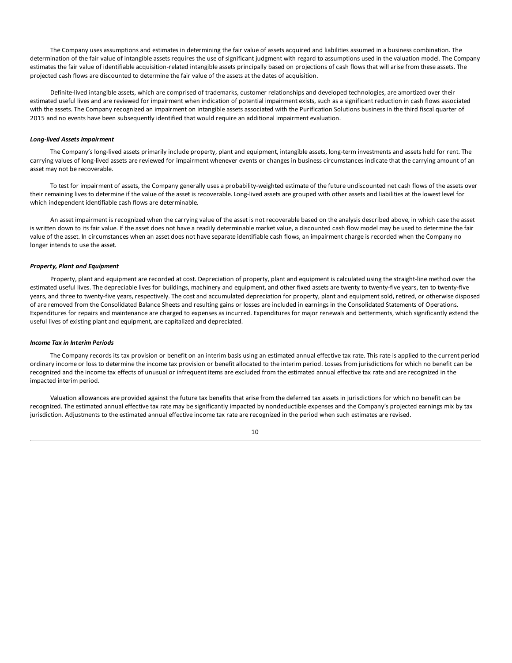The Company uses assumptions and estimates in determining the fair value of assets acquired and liabilities assumed in a business combination. The determination of the fair value of intangible assets requires the use of significant judgment with regard to assumptions used in the valuation model. The Company estimates the fair value of identifiable acquisition-related intangible assets principally based on projections of cash flows that will arise from these assets. The projected cash flows are discounted to determine the fair value of the assets at the dates of acquisition.

Definite-lived intangible assets, which are comprised of trademarks, customer relationships and developed technologies, are amortized over their estimated useful lives and are reviewed for impairment when indication of potential impairment exists, such as a significant reduction in cash flows associated with the assets. The Company recognized an impairment on intangible assets associated with the Purification Solutions business in the third fiscal quarter of 2015 and no events have been subsequently identified that would require an additional impairment evaluation.

## *Long-lived Assets Impairment*

The Company's long-lived assets primarily include property, plant and equipment, intangible assets, long-term investments and assets held for rent. The carrying values of long-lived assets are reviewed for impairment whenever events or changes in business circumstances indicate that the carrying amount of an asset may not be recoverable.

To test for impairment of assets, the Company generally uses a probability-weighted estimate of the future undiscounted net cash flows of the assets over their remaining lives to determine if the value of the asset is recoverable. Long-lived assets are grouped with other assets and liabilities at the lowest level for which independent identifiable cash flows are determinable.

An asset impairment is recognized when the carrying value of the asset is not recoverable based on the analysis described above, in which case the asset is written down to its fair value. If the asset does not have a readily determinable market value, a discounted cash flow model may be used to determine the fair value of the asset. In circumstances when an asset does not have separate identifiable cash flows, an impairment charge is recorded when the Company no longer intends to use the asset.

#### *Property, Plant and Equipment*

Property, plant and equipment are recorded at cost. Depreciation of property, plant and equipment is calculated using the straight-line method over the estimated useful lives. The depreciable lives for buildings, machinery and equipment, and other fixed assets are twenty to twenty-five years, ten to twenty-five years, and three to twenty-five years, respectively. The cost and accumulated depreciation for property, plant and equipment sold, retired, or otherwise disposed of are removed from the Consolidated Balance Sheets and resulting gains or losses are included in earnings in the Consolidated Statements of Operations. Expenditures for repairs and maintenance are charged to expenses as incurred. Expenditures for major renewals and betterments, which significantly extend the useful lives of existing plant and equipment, are capitalized and depreciated.

#### *Income Tax in Interim Periods*

The Company records its tax provision or benefit on an interim basis using an estimated annual effective tax rate. This rate is applied to the current period ordinary income or loss to determine the income tax provision or benefit allocated to the interim period. Losses from jurisdictions for which no benefit can be recognized and the income tax effects of unusual or infrequent items are excluded from the estimated annual effective tax rate and are recognized in the impacted interim period.

Valuation allowances are provided against the future tax benefits that arise from the deferred tax assets in jurisdictions for which no benefit can be recognized. The estimated annual effective tax rate may be significantly impacted by nondeductible expenses and the Company's projected earnings mix by tax jurisdiction. Adjustments to the estimated annual effective income tax rate are recognized in the period when such estimates are revised.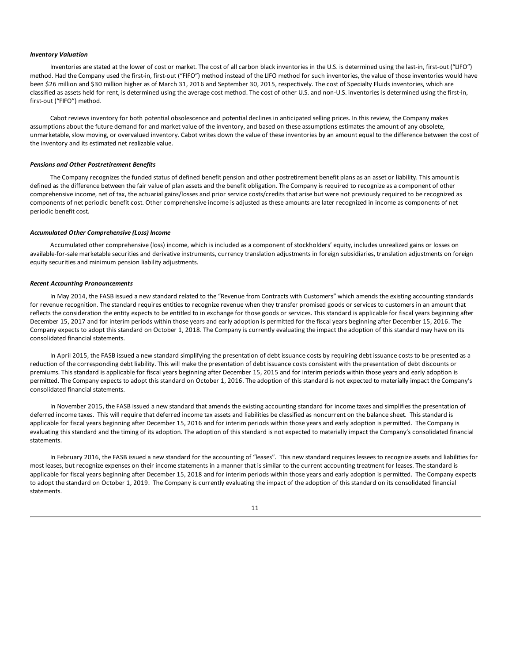#### *Inventory Valuation*

Inventories are stated at the lower of cost or market. The cost of all carbon black inventories in the U.S. is determined using the last-in, first-out ("LIFO") method. Had the Company used the first-in, first-out ("FIFO") method instead of the LIFO method for such inventories, the value of those inventories would have been \$26 million and \$30 million higher as of March 31, 2016 and September 30, 2015, respectively. The cost of Specialty Fluids inventories, which are classified as assets held for rent, is determined using the average cost method. The cost of other U.S. and non-U.S. inventories is determined using the first-in, first-out ("FIFO") method.

Cabot reviews inventory for both potential obsolescence and potential declines in anticipated selling prices. In this review, the Company makes assumptions about the future demand for and market value of the inventory, and based on these assumptions estimates the amount of any obsolete, unmarketable, slow moving, or overvalued inventory. Cabot writes down the value of these inventories by an amount equal to the difference between the cost of the inventory and its estimated net realizable value.

#### *Pensions and Other Postretirement Benefits*

The Company recognizes the funded status of defined benefit pension and other postretirement benefit plans as an asset or liability. This amount is defined as the difference between the fair value of plan assets and the benefit obligation. The Company is required to recognize as a component of other comprehensive income, net of tax, the actuarial gains/losses and prior service costs/credits that arise but were not previously required to be recognized as components of net periodic benefit cost. Other comprehensive income is adjusted as these amounts are later recognized in income as components of net periodic benefit cost.

#### *Accumulated Other Comprehensive (Loss) Income*

Accumulated other comprehensive (loss) income, which is included as a component of stockholders' equity, includes unrealized gains or losses on available-for-sale marketable securities and derivative instruments, currency translation adjustments in foreign subsidiaries, translation adjustments on foreign equity securities and minimum pension liability adjustments.

#### *Recent Accounting Pronouncements*

In May 2014, the FASB issued a new standard related to the "Revenue from Contracts with Customers" which amends the existing accounting standards for revenue recognition. The standard requires entities to recognize revenue when they transfer promised goods or services to customers in an amount that reflects the consideration the entity expects to be entitled to in exchange for those goods or services. This standard is applicable for fiscal years beginning after December 15, 2017 and for interim periods within those years and early adoption is permitted for the fiscal years beginning after December 15, 2016. The Company expects to adopt this standard on October 1, 2018. The Company is currently evaluating the impact the adoption of this standard may have on its consolidated financial statements.

In April 2015, the FASB issued a new standard simplifying the presentation of debt issuance costs by requiring debt issuance costs to be presented as a reduction of the corresponding debt liability. This will make the presentation of debt issuance costs consistent with the presentation of debt discounts or premiums. This standard is applicable for fiscal years beginning after December 15, 2015 and for interim periods within those years and early adoption is permitted. The Company expects to adopt this standard on October 1, 2016. The adoption of this standard is not expected to materially impact the Company's consolidated financial statements.

In November 2015, the FASB issued a new standard that amends the existing accounting standard for income taxes and simplifies the presentation of deferred income taxes. This will require that deferred income tax assets and liabilities be classified as noncurrent on the balance sheet. This standard is applicable for fiscal years beginning after December 15, 2016 and for interim periods within those years and early adoption is permitted. The Company is evaluating this standard and the timing of its adoption. The adoption of this standard is not expected to materially impact the Company's consolidated financial statements.

In February 2016, the FASB issued a new standard for the accounting of "leases". This new standard requires lessees to recognize assets and liabilities for most leases, but recognize expenses on their income statements in a manner that is similar to the current accounting treatment for leases. The standard is applicable for fiscal years beginning after December 15, 2018 and for interim periods within those years and early adoption is permitted. The Company expects to adopt the standard on October 1, 2019. The Company is currently evaluating the impact of the adoption of this standard on its consolidated financial statements.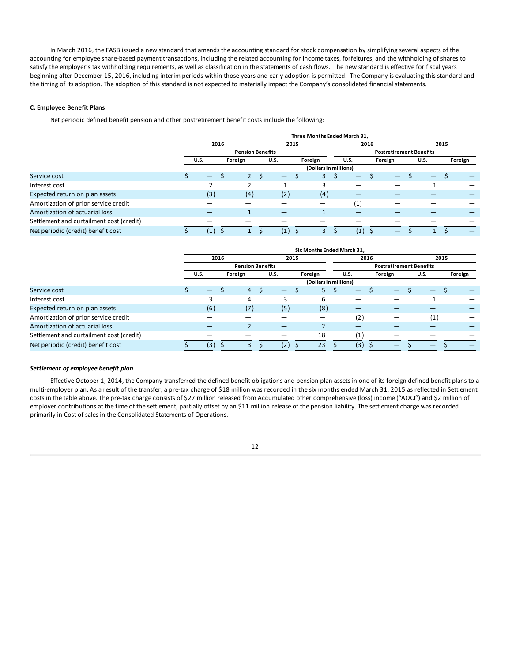In March 2016, the FASB issued a new standard that amends the accounting standard for stock compensation by simplifying several aspects of the accounting for employee share-based payment transactions, including the related accounting for income taxes, forfeitures, and the withholding of shares to satisfy the employer's tax withholding requirements, as well as classification in the statements of cash flows. The new standard is effective for fiscal years beginning after December 15, 2016, including interim periods within those years and early adoption is permitted. The Company is evaluating this standard and the timing of its adoption. The adoption of this standard is not expected to materially impact the Company's consolidated financial statements.

#### **C. Employee Benefit Plans**

Net periodic defined benefit pension and other postretirement benefit costs include the following:

|                                          |                         |         |     |   |      |  | Three Months Ended March 31. |  |             |      |                          |                                |             |  |         |
|------------------------------------------|-------------------------|---------|-----|---|------|--|------------------------------|--|-------------|------|--------------------------|--------------------------------|-------------|--|---------|
|                                          | 2016<br>2015            |         |     |   |      |  |                              |  |             | 2016 |                          | 2015                           |             |  |         |
|                                          | <b>Pension Benefits</b> |         |     |   |      |  |                              |  |             |      |                          | <b>Postretirement Benefits</b> |             |  |         |
|                                          | <b>U.S.</b>             | Foreign |     |   | U.S. |  | Foreign                      |  | <b>U.S.</b> |      | Foreign                  |                                | <b>U.S.</b> |  | Foreign |
|                                          |                         |         |     |   |      |  | (Dollars in millions)        |  |             |      |                          |                                |             |  |         |
| Service cost                             | -                       |         | 2   | S |      |  | 3                            |  |             |      |                          |                                |             |  |         |
| Interest cost                            |                         |         |     |   |      |  |                              |  |             |      |                          |                                |             |  |         |
| Expected return on plan assets           | (3)                     |         | (4) |   | (2)  |  | (4)                          |  |             |      |                          |                                |             |  |         |
| Amortization of prior service credit     |                         |         |     |   |      |  |                              |  | (1)         |      |                          |                                |             |  |         |
| Amortization of actuarial loss           |                         |         |     |   |      |  |                              |  |             |      |                          |                                |             |  |         |
| Settlement and curtailment cost (credit) |                         |         |     |   |      |  |                              |  |             |      |                          |                                |             |  |         |
| Net periodic (credit) benefit cost       | (1)                     |         |     |   | (1)  |  | 3                            |  |             |      | $\overline{\phantom{0}}$ |                                |             |  |         |

|                                          |                          |  |                         |              |                        |  | Six Months Ended March 31. |  |         |                                |             |      |     |         |  |
|------------------------------------------|--------------------------|--|-------------------------|--------------|------------------------|--|----------------------------|--|---------|--------------------------------|-------------|------|-----|---------|--|
|                                          | 2016<br>2015             |  |                         |              |                        |  |                            |  | 2016    |                                |             | 2015 |     |         |  |
|                                          |                          |  | <b>Pension Benefits</b> |              |                        |  |                            |  |         | <b>Postretirement Benefits</b> |             |      |     |         |  |
|                                          | <b>U.S.</b><br>Foreign   |  |                         |              | <b>U.S.</b><br>Foreign |  | <b>U.S.</b>                |  | Foreign |                                | <b>U.S.</b> |      |     | Foreign |  |
|                                          | (Dollars in millions)    |  |                         |              |                        |  |                            |  |         |                                |             |      |     |         |  |
| Service cost                             | $\overline{\phantom{0}}$ |  | $\overline{4}$          | <sub>S</sub> | —                      |  | $5 -$                      |  |         |                                | -           |      |     |         |  |
| Interest cost                            | 3                        |  | 4                       |              | з                      |  | 6                          |  |         |                                |             |      |     |         |  |
| Expected return on plan assets           | (6)                      |  | (7)                     |              | (5)                    |  | (8)                        |  |         |                                |             |      |     |         |  |
| Amortization of prior service credit     |                          |  |                         |              |                        |  |                            |  | (2)     |                                |             |      | (1) |         |  |
| Amortization of actuarial loss           |                          |  | $\mathcal{D}$           |              | _                      |  |                            |  |         |                                |             |      |     |         |  |
| Settlement and curtailment cost (credit) |                          |  |                         |              |                        |  | 18                         |  | (1)     |                                |             |      |     |         |  |
| Net periodic (credit) benefit cost       | (3)                      |  | 3                       |              | (2)                    |  | 23                         |  | (3)     |                                |             |      |     |         |  |

#### *Settlement of employee benefit plan*

Effective October 1, 2014, the Company transferred the defined benefit obligations and pension plan assets in one of its foreign defined benefit plans to a multi-employer plan. As a result of the transfer, a pre-tax charge of \$18 million was recorded in the six months ended March 31, 2015 as reflected in Settlement costs in the table above. The pre-tax charge consists of \$27 million released from Accumulated other comprehensive (loss) income ("AOCI") and \$2 million of employer contributions at the time of the settlement, partially offset by an \$11 million release of the pension liability. The settlement charge was recorded primarily in Cost of sales in the Consolidated Statements of Operations.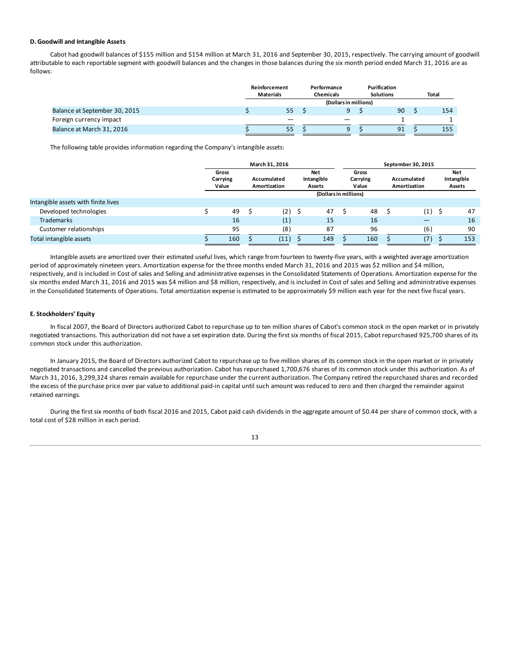## **D. Goodwill and Intangible Assets**

Cabot had goodwill balances of \$155 million and \$154 million at March 31, 2016 and September 30, 2015, respectively. The carrying amount of goodwill attributable to each reportable segment with goodwill balances and the changes in those balances during the six month period ended March 31, 2016 are as follows:

|                               | Reinforcement<br><b>Materials</b> |  | Performance<br><b>Chemicals</b> | Purification<br><b>Solutions</b> | Total |
|-------------------------------|-----------------------------------|--|---------------------------------|----------------------------------|-------|
|                               |                                   |  | (Dollars in millions)           |                                  |       |
| Balance at September 30, 2015 | 55                                |  |                                 | 90                               | 154   |
| Foreign currency impact       | _                                 |  |                                 |                                  |       |
| Balance at March 31, 2016     | 55                                |  |                                 | 91                               | 155   |

The following table provides information regarding the Company's intangible assets:

|                                     |                            |  | March 31, 2016              |  |                             |                            | September 30, 2015 |                             |     |  |                             |
|-------------------------------------|----------------------------|--|-----------------------------|--|-----------------------------|----------------------------|--------------------|-----------------------------|-----|--|-----------------------------|
|                                     | Gross<br>Carrying<br>Value |  | Accumulated<br>Amortization |  | Net<br>Intangible<br>Assets | Gross<br>Carrying<br>Value |                    | Accumulated<br>Amortization |     |  | Net<br>Intangible<br>Assets |
|                                     |                            |  |                             |  | (Dollars in millions)       |                            |                    |                             |     |  |                             |
| Intangible assets with finite lives |                            |  |                             |  |                             |                            |                    |                             |     |  |                             |
| Developed technologies              | 49                         |  | $(2)$ \$                    |  | 47                          |                            | 48                 |                             | (1) |  | 47                          |
| <b>Trademarks</b>                   | 16                         |  | (1)                         |  | 15                          |                            | 16                 |                             |     |  | 16                          |
| Customer relationships              | 95                         |  | (8)                         |  | 87                          |                            | 96                 |                             | (6) |  | 90                          |
| Total intangible assets             | 160                        |  | (11)                        |  | 149                         |                            | 160                |                             | (7) |  | 153                         |

Intangible assets are amortized over their estimated useful lives, which range from fourteen to twenty-five years, with a weighted average amortization period of approximately nineteen years. Amortization expense for the three months ended March 31, 2016 and 2015 was \$2 million and \$4 million, respectively, and is included in Cost of sales and Selling and administrative expenses in the Consolidated Statements of Operations. Amortization expense for the six months ended March 31, 2016 and 2015 was \$4 million and \$8 million, respectively, and is included in Cost of sales and Selling and administrative expenses in the Consolidated Statements of Operations. Total amortization expense is estimated to be approximately \$9 million each year for the next five fiscal years.

#### **E. Stockholders' Equity**

In fiscal 2007, the Board of Directors authorized Cabot to repurchase up to ten million shares of Cabot's common stock in the open market or in privately negotiated transactions. This authorization did not have a set expiration date. During the first six months of fiscal 2015, Cabot repurchased 925,700 shares of its common stock under this authorization.

In January 2015, the Board of Directors authorized Cabot to repurchase up to five million shares of its common stock in the open market or in privately negotiated transactions and cancelled the previous authorization. Cabot has repurchased 1,700,676 shares of its common stock under this authorization. As of March 31, 2016, 3,299,324 shares remain available for repurchase under the current authorization. The Company retired the repurchased shares and recorded the excess of the purchase price over par value to additional paid-in capital until such amount was reduced to zero and then charged the remainder against retained earnings.

During the first six months of both fiscal 2016 and 2015, Cabot paid cash dividends in the aggregate amount of \$0.44 per share of common stock, with a total cost of \$28 million in each period.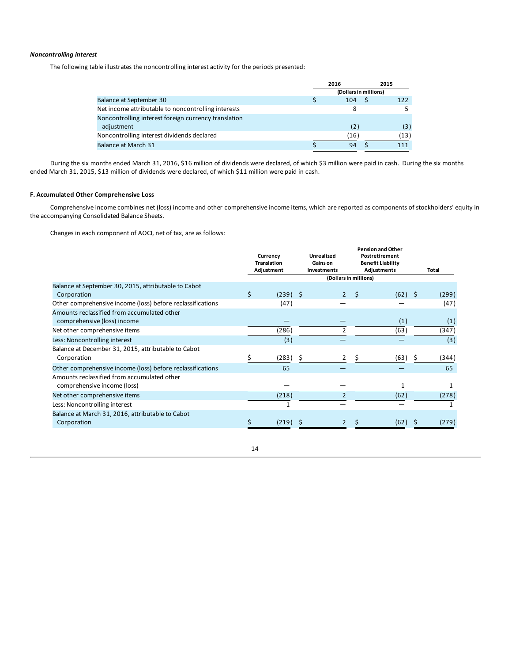## *Noncontrolling interest*

The following table illustrates the noncontrolling interest activity for the periods presented:

|                                                      | 2016                  |  | 2015 |  |  |  |
|------------------------------------------------------|-----------------------|--|------|--|--|--|
|                                                      | (Dollars in millions) |  |      |  |  |  |
| <b>Balance at September 30</b>                       | 104                   |  | 122  |  |  |  |
| Net income attributable to noncontrolling interests  | 8                     |  |      |  |  |  |
| Noncontrolling interest foreign currency translation |                       |  |      |  |  |  |
| adjustment                                           | (2)                   |  | (3)  |  |  |  |
| Noncontrolling interest dividends declared           | (16)                  |  | (13) |  |  |  |
| <b>Balance at March 31</b>                           | 94                    |  |      |  |  |  |

During the six months ended March 31, 2016, \$16 million of dividends were declared, of which \$3 million were paid in cash. During the six months ended March 31, 2015, \$13 million of dividends were declared, of which \$11 million were paid in cash.

## **F. Accumulated Other Comprehensive Loss**

Comprehensive income combines net (loss) income and other comprehensive income items, which are reported as components of stockholders' equity in the accompanying Consolidated Balance Sheets.

Changes in each component of AOCI, net of tax, are as follows:

|                                                            | Currency<br>Translation<br>Adjustment |            |     | <b>Unrealized</b><br>Gains on<br><b>Investments</b> |                       | <b>Pension and Other</b><br>Postretirement<br><b>Benefit Liability</b><br>Adjustments |   | <b>Total</b> |
|------------------------------------------------------------|---------------------------------------|------------|-----|-----------------------------------------------------|-----------------------|---------------------------------------------------------------------------------------|---|--------------|
|                                                            |                                       |            |     |                                                     | (Dollars in millions) |                                                                                       |   |              |
| Balance at September 30, 2015, attributable to Cabot       |                                       |            |     |                                                     |                       |                                                                                       |   |              |
| Corporation                                                | \$                                    | $(239)$ \$ |     | $\overline{2}$                                      | Ŝ.                    | $(62)$ \$                                                                             |   | (299)        |
| Other comprehensive income (loss) before reclassifications |                                       | (47)       |     |                                                     |                       |                                                                                       |   | (47)         |
| Amounts reclassified from accumulated other                |                                       |            |     |                                                     |                       |                                                                                       |   |              |
| comprehensive (loss) income                                |                                       |            |     |                                                     |                       | (1)                                                                                   |   | (1)          |
| Net other comprehensive items                              |                                       | (286)      |     |                                                     |                       | (63)                                                                                  |   | (347)        |
| Less: Noncontrolling interest                              |                                       | (3)        |     |                                                     |                       |                                                                                       |   | (3)          |
| Balance at December 31, 2015, attributable to Cabot        |                                       |            |     |                                                     |                       |                                                                                       |   |              |
| Corporation                                                |                                       | (283)      | -\$ | 2                                                   |                       | (63)                                                                                  | S | (344)        |
| Other comprehensive income (loss) before reclassifications |                                       | 65         |     |                                                     |                       |                                                                                       |   | 65           |
| Amounts reclassified from accumulated other                |                                       |            |     |                                                     |                       |                                                                                       |   |              |
| comprehensive income (loss)                                |                                       |            |     |                                                     |                       |                                                                                       |   |              |
| Net other comprehensive items                              |                                       | (218)      |     | $\overline{\phantom{a}}$                            |                       | (62)                                                                                  |   | (278)        |
| Less: Noncontrolling interest                              |                                       |            |     |                                                     |                       |                                                                                       |   |              |
| Balance at March 31, 2016, attributable to Cabot           |                                       |            |     |                                                     |                       |                                                                                       |   |              |
| Corporation                                                | \$                                    | (219)      |     | $\overline{2}$                                      |                       | (62)                                                                                  |   | (279)        |
|                                                            |                                       |            |     |                                                     |                       |                                                                                       |   |              |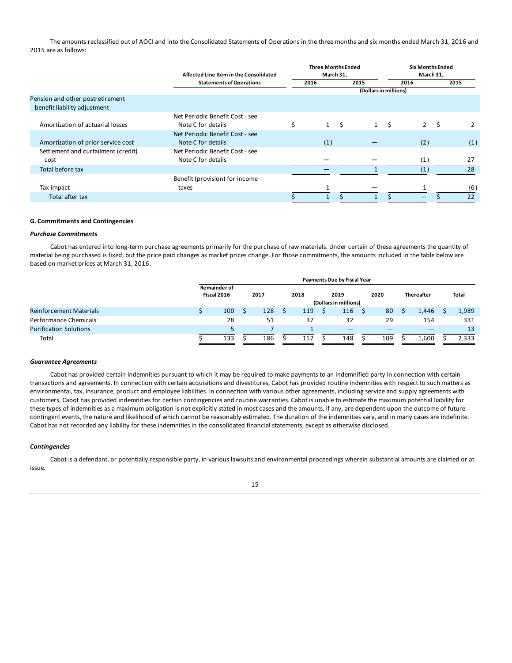The amounts reclassified out of AOCI and into the Consolidated Statements of Operations in the three months and six months ended March 31, 2016 and 2015 are as follows:

|                                             | Affected Line Item in the Consolidated                |              | <b>Three Months Ended</b><br>March 31, |  |                       | <b>Six Months Ended</b><br>March 31, |                |  |      |  |
|---------------------------------------------|-------------------------------------------------------|--------------|----------------------------------------|--|-----------------------|--------------------------------------|----------------|--|------|--|
|                                             | <b>Statements of Operations</b>                       | 2016<br>2015 |                                        |  |                       | 2016                                 |                |  | 2015 |  |
|                                             |                                                       |              |                                        |  | (Dollars in millions) |                                      |                |  |      |  |
| Pension and other postretirement            |                                                       |              |                                        |  |                       |                                      |                |  |      |  |
| benefit liability adjustment                |                                                       |              |                                        |  |                       |                                      |                |  |      |  |
| Amortization of actuarial losses            | Net Periodic Benefit Cost - see<br>Note C for details |              | $1 \quad$                              |  |                       | $1 \quad$                            | 2 <sup>5</sup> |  | 2    |  |
|                                             | Net Periodic Benefit Cost - see                       |              |                                        |  |                       |                                      |                |  |      |  |
| Amortization of prior service cost          | Note C for details                                    |              | (1)                                    |  |                       |                                      | (2)            |  | (1)  |  |
| Settlement and curtailment (credit)<br>cost | Net Periodic Benefit Cost - see<br>Note C for details |              |                                        |  |                       |                                      | (1)            |  | 27   |  |
| Total before tax                            |                                                       |              |                                        |  |                       |                                      | (1)            |  | 28   |  |
|                                             | Benefit (provision) for income                        |              |                                        |  |                       |                                      |                |  |      |  |
| Tax impact                                  | taxes                                                 |              | 1                                      |  |                       |                                      |                |  | (6)  |  |
| Total after tax                             |                                                       |              |                                        |  |                       |                                      |                |  | 22   |  |

#### **G. Commitments and Contingencies**

#### *Purchase Commitments*

Cabot has entered into long-term purchase agreements primarily for the purchase of raw materials. Under certain of these agreements the quantity of material being purchased is fixed, but the price paid changes as market prices change. For those commitments, the amounts included in the table below are based on market prices at March 31, 2016.

|                                |  | <b>Payments Due by Fiscal Year</b> |  |      |  |     |      |                       |      |      |  |                   |  |       |       |
|--------------------------------|--|------------------------------------|--|------|--|-----|------|-----------------------|------|------|--|-------------------|--|-------|-------|
|                                |  | <b>Remainder of</b><br>Fiscal 2016 |  | 2017 |  |     | 2018 |                       | 2019 | 2020 |  | <b>Thereafter</b> |  |       | Total |
|                                |  |                                    |  |      |  |     |      | (Dollars in millions) |      |      |  |                   |  |       |       |
| <b>Reinforcement Materials</b> |  | 100                                |  | 128  |  | 119 |      | 116                   |      | 80   |  | 1.446             |  | 1,989 |       |
| Performance Chemicals          |  | 28                                 |  | 51   |  | 37  |      | 32                    |      | 29   |  | 154               |  | 331   |       |
| <b>Purification Solutions</b>  |  |                                    |  |      |  |     |      |                       |      |      |  |                   |  | 13    |       |
| Total                          |  | 133                                |  | 186  |  | 157 |      | 148                   |      | 109  |  | 1,600             |  | 2,333 |       |

#### *Guarantee Agreements*

Cabot has provided certain indemnities pursuant to which it may be required to make payments to an indemnified party in connection with certain transactions and agreements. In connection with certain acquisitions and divestitures, Cabot has provided routine indemnities with respect to such matters as environmental, tax, insurance, product and employee liabilities. In connection with various other agreements, including service and supply agreements with customers, Cabot has provided indemnities for certain contingencies and routine warranties. Cabot is unable to estimate the maximum potential liability for these types of indemnities as a maximum obligation is not explicitly stated in most cases and the amounts, if any, are dependent upon the outcome of future contingent events, the nature and likelihood of which cannot be reasonably estimated. The duration of the indemnities vary, and in many cases are indefinite. Cabot has not recorded any liability for these indemnities in the consolidated financial statements, except as otherwise disclosed.

### *Contingencies*

Cabot is a defendant, or potentially responsible party, in various lawsuits and environmental proceedings wherein substantial amounts are claimed or at issue.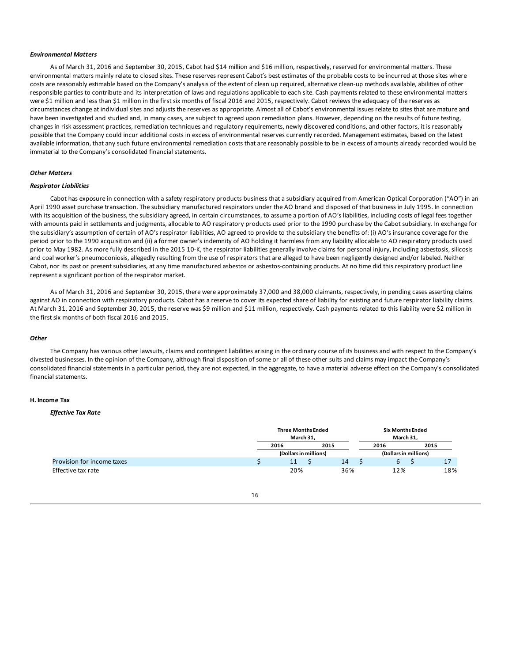#### *Environmental Matters*

As of March 31, 2016 and September 30, 2015, Cabot had \$14 million and \$16 million, respectively, reserved for environmental matters. These environmental matters mainly relate to closed sites. These reserves represent Cabot's best estimates of the probable costs to be incurred at those sites where costs are reasonably estimable based on the Company's analysis of the extent of clean up required, alternative clean-up methods available, abilities of other responsible parties to contribute and its interpretation of laws and regulations applicable to each site. Cash payments related to these environmental matters were \$1 million and less than \$1 million in the first six months of fiscal 2016 and 2015, respectively. Cabot reviews the adequacy of the reserves as circumstances change at individual sites and adjusts the reserves as appropriate. Almost all of Cabot's environmental issues relate to sites that are mature and have been investigated and studied and, in many cases, are subject to agreed upon remediation plans. However, depending on the results of future testing, changes in risk assessment practices, remediation techniques and regulatory requirements, newly discovered conditions, and other factors, it is reasonably possible that the Company could incur additional costs in excess of environmental reserves currently recorded. Management estimates, based on the latest available information, that any such future environmental remediation costs that are reasonably possible to be in excess of amounts already recorded would be immaterial to the Company's consolidated financial statements.

#### *Other Matters*

#### *Respirator Liabilities*

Cabot has exposure in connection with a safety respiratory products business that a subsidiary acquired from American Optical Corporation ("AO") in an April 1990 asset purchase transaction. The subsidiary manufactured respirators under the AO brand and disposed of that business in July 1995. In connection with its acquisition of the business, the subsidiary agreed, in certain circumstances, to assume a portion of AO's liabilities, including costs of legal fees together with amounts paid in settlements and judgments, allocable to AO respiratory products used prior to the 1990 purchase by the Cabot subsidiary. In exchange for the subsidiary's assumption of certain of AO's respirator liabilities, AO agreed to provide to the subsidiary the benefits of: (i) AO's insurance coverage for the period prior to the 1990 acquisition and (ii) a former owner's indemnity of AO holding it harmless from any liability allocable to AO respiratory products used prior to May 1982. As more fully described in the 2015 10-K, the respirator liabilities generally involve claims for personal injury, including asbestosis, silicosis and coal worker's pneumoconiosis, allegedly resulting from the use of respirators that are alleged to have been negligently designed and/or labeled. Neither Cabot, nor its past or present subsidiaries, at any time manufactured asbestos or asbestos-containing products. At no time did this respiratory product line represent a significant portion of the respirator market.

As of March 31, 2016 and September 30, 2015, there were approximately 37,000 and 38,000 claimants, respectively, in pending cases asserting claims against AO in connection with respiratory products. Cabot has a reserve to cover its expected share of liability for existing and future respirator liability claims. At March 31, 2016 and September 30, 2015, the reserve was \$9 million and \$11 million, respectively. Cash payments related to this liability were \$2 million in the first six months of both fiscal 2016 and 2015.

#### *Other*

The Company has various other lawsuits, claims and contingent liabilities arising in the ordinary course of its business and with respect to the Company's divested businesses. In the opinion of the Company, although final disposition of some or all of these other suits and claims may impact the Company's consolidated financial statements in a particular period, they are not expected, in the aggregate, to have a material adverse effect on the Company's consolidated financial statements.

#### **H. Income Tax**

#### *Effective Tax Rate*

|                            | <b>Three Months Ended</b><br>March 31. |  |      | <b>Six Months Ended</b><br>March 31. |  |      |
|----------------------------|----------------------------------------|--|------|--------------------------------------|--|------|
|                            | 2016                                   |  | 2015 | 2016                                 |  | 2015 |
|                            | (Dollars in millions)                  |  |      | (Dollars in millions)                |  |      |
| Provision for income taxes | 11                                     |  | 14   | $\epsilon$                           |  | 17   |
| Effective tax rate         | 20%                                    |  | 36%  | 12%                                  |  | 18%  |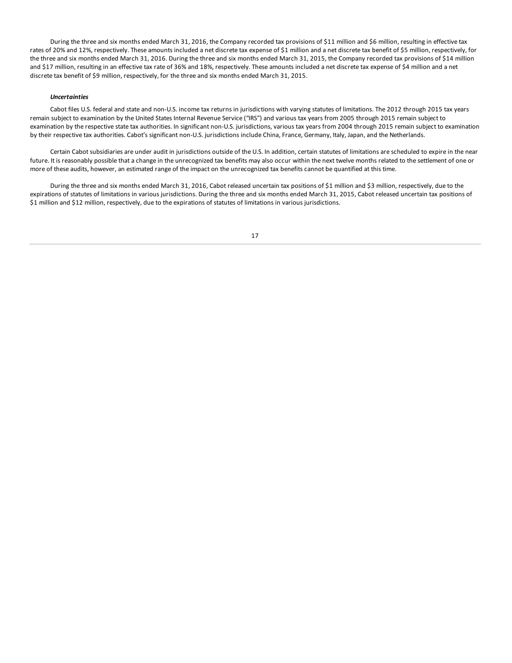During the three and six months ended March 31, 2016, the Company recorded tax provisions of \$11 million and \$6 million, resulting in effective tax rates of 20% and 12%, respectively. These amounts included a net discrete tax expense of \$1 million and a net discrete tax benefit of \$5 million, respectively, for the three and six months ended March 31, 2016. During the three and six months ended March 31, 2015, the Company recorded tax provisions of \$14 million and \$17 million, resulting in an effective tax rate of 36% and 18%, respectively. These amounts included a net discrete tax expense of \$4 million and a net discrete tax benefit of \$9 million, respectively, for the three and six months ended March 31, 2015.

#### *Uncertainties*

Cabot files U.S. federal and state and non-U.S. income tax returns in jurisdictions with varying statutes of limitations. The 2012 through 2015 tax years remain subject to examination by the United States Internal Revenue Service ("IRS") and various tax years from 2005 through 2015 remain subject to examination by the respective state tax authorities. In significant non-U.S. jurisdictions, various tax years from 2004 through 2015 remain subject to examination by their respective tax authorities. Cabot's significant non-U.S. jurisdictions include China, France, Germany, Italy, Japan, and the Netherlands.

Certain Cabot subsidiaries are under audit in jurisdictions outside of the U.S. In addition, certain statutes of limitations are scheduled to expire in the near future. It is reasonably possible that a change in the unrecognized tax benefits may also occur within the next twelve months related to the settlement of one or more of these audits, however, an estimated range of the impact on the unrecognized tax benefits cannot be quantified at this time.

During the three and six months ended March 31, 2016, Cabot released uncertain tax positions of \$1 million and \$3 million, respectively, due to the expirations of statutes of limitations in various jurisdictions. During the three and six months ended March 31, 2015, Cabot released uncertain tax positions of \$1 million and \$12 million, respectively, due to the expirations of statutes of limitations in various jurisdictions.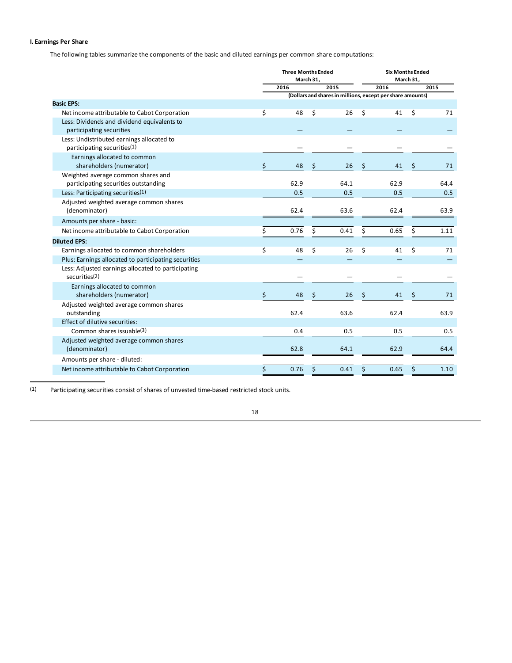## **I. Earnings Per Share**

The following tables summarize the components of the basic and diluted earnings per common share computations:

|                                                                   |                                                            | <b>Three Months Ended</b><br>March 31. |    |      |    |      | <b>Six Months Ended</b><br>March 31, |      |  |  |  |  |  |  |
|-------------------------------------------------------------------|------------------------------------------------------------|----------------------------------------|----|------|----|------|--------------------------------------|------|--|--|--|--|--|--|
|                                                                   |                                                            | 2016                                   |    | 2015 |    | 2016 |                                      | 2015 |  |  |  |  |  |  |
|                                                                   | (Dollars and shares in millions, except per share amounts) |                                        |    |      |    |      |                                      |      |  |  |  |  |  |  |
| <b>Basic EPS:</b><br>Net income attributable to Cabot Corporation | \$                                                         | 48                                     | Ś. | 26   | \$ | 41   | \$                                   | 71   |  |  |  |  |  |  |
| Less: Dividends and dividend equivalents to                       |                                                            |                                        |    |      |    |      |                                      |      |  |  |  |  |  |  |
| participating securities                                          |                                                            |                                        |    |      |    |      |                                      |      |  |  |  |  |  |  |
| Less: Undistributed earnings allocated to                         |                                                            |                                        |    |      |    |      |                                      |      |  |  |  |  |  |  |
| participating securities(1)                                       |                                                            |                                        |    |      |    |      |                                      |      |  |  |  |  |  |  |
| Earnings allocated to common                                      |                                                            |                                        |    |      |    |      |                                      |      |  |  |  |  |  |  |
| shareholders (numerator)                                          | \$                                                         | 48                                     | \$ | 26   | \$ | 41   | \$                                   | 71   |  |  |  |  |  |  |
| Weighted average common shares and                                |                                                            |                                        |    |      |    |      |                                      |      |  |  |  |  |  |  |
| participating securities outstanding                              |                                                            | 62.9                                   |    | 64.1 |    | 62.9 |                                      | 64.4 |  |  |  |  |  |  |
| Less: Participating securities(1)                                 |                                                            | 0.5                                    |    | 0.5  |    | 0.5  |                                      | 0.5  |  |  |  |  |  |  |
| Adjusted weighted average common shares                           |                                                            |                                        |    |      |    |      |                                      |      |  |  |  |  |  |  |
| (denominator)                                                     |                                                            | 62.4                                   |    | 63.6 |    | 62.4 |                                      | 63.9 |  |  |  |  |  |  |
| Amounts per share - basic:                                        |                                                            |                                        |    |      |    |      |                                      |      |  |  |  |  |  |  |
| Net income attributable to Cabot Corporation                      | \$                                                         | 0.76                                   | Ś. | 0.41 | Ś  | 0.65 | \$                                   | 1.11 |  |  |  |  |  |  |
| <b>Diluted EPS:</b>                                               |                                                            |                                        |    |      |    |      |                                      |      |  |  |  |  |  |  |
| Earnings allocated to common shareholders                         | \$                                                         | 48                                     | Ś. | 26   | \$ | 41   | \$                                   | 71   |  |  |  |  |  |  |
| Plus: Earnings allocated to participating securities              |                                                            |                                        |    |      |    |      |                                      |      |  |  |  |  |  |  |
| Less: Adjusted earnings allocated to participating                |                                                            |                                        |    |      |    |      |                                      |      |  |  |  |  |  |  |
| securities(2)                                                     |                                                            |                                        |    |      |    |      |                                      |      |  |  |  |  |  |  |
| Earnings allocated to common                                      |                                                            |                                        |    |      |    |      |                                      |      |  |  |  |  |  |  |
| shareholders (numerator)                                          | \$                                                         | 48                                     | Ś  | 26   | \$ | 41   | \$                                   | 71   |  |  |  |  |  |  |
| Adjusted weighted average common shares                           |                                                            |                                        |    |      |    |      |                                      |      |  |  |  |  |  |  |
| outstanding                                                       |                                                            | 62.4                                   |    | 63.6 |    | 62.4 |                                      | 63.9 |  |  |  |  |  |  |
| Effect of dilutive securities:                                    |                                                            |                                        |    |      |    |      |                                      |      |  |  |  |  |  |  |
| Common shares issuable(3)                                         |                                                            | 0.4                                    |    | 0.5  |    | 0.5  |                                      | 0.5  |  |  |  |  |  |  |
| Adjusted weighted average common shares                           |                                                            |                                        |    |      |    |      |                                      |      |  |  |  |  |  |  |
| (denominator)                                                     |                                                            | 62.8                                   |    | 64.1 |    | 62.9 |                                      | 64.4 |  |  |  |  |  |  |
| Amounts per share - diluted:                                      |                                                            |                                        |    |      |    |      |                                      |      |  |  |  |  |  |  |
| Net income attributable to Cabot Corporation                      | \$                                                         | 0.76                                   | Ś. | 0.41 | \$ | 0.65 | \$                                   | 1.10 |  |  |  |  |  |  |

(1) Participating securities consist of shares of unvested time-based restricted stock units.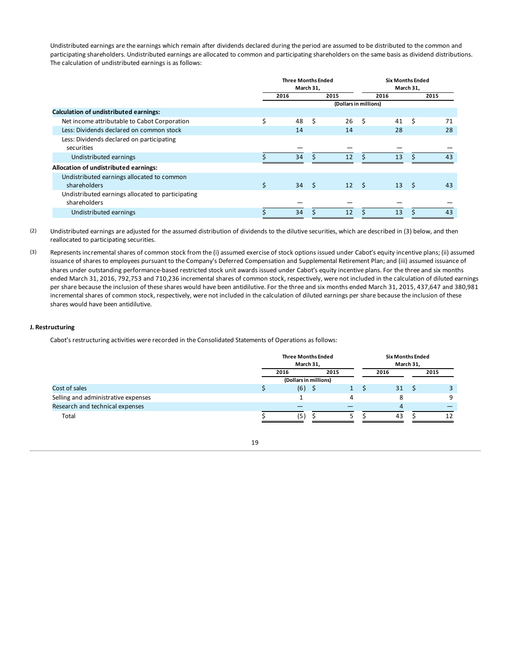Undistributed earnings are the earnings which remain after dividends declared during the period are assumed to be distributed to the common and participating shareholders. Undistributed earnings are allocated to common and participating shareholders on the same basis as dividend distributions. The calculation of undistributed earnings is as follows:

|                                                                   | <b>Three Months Ended</b><br>March 31, |    |      |                       |    | <b>Six Months Ended</b><br>March 31, |      |      |  |
|-------------------------------------------------------------------|----------------------------------------|----|------|-----------------------|----|--------------------------------------|------|------|--|
|                                                                   | 2016<br>2015                           |    |      |                       |    | 2016                                 |      | 2015 |  |
|                                                                   |                                        |    |      | (Dollars in millions) |    |                                      |      |      |  |
| <b>Calculation of undistributed earnings:</b>                     |                                        |    |      |                       |    |                                      |      |      |  |
| Net income attributable to Cabot Corporation                      | Ś                                      | 48 | S    | 26                    | Ŝ. | 41                                   | s    | 71   |  |
| Less: Dividends declared on common stock                          |                                        | 14 |      | 14                    |    | 28                                   |      | 28   |  |
| Less: Dividends declared on participating<br>securities           |                                        |    |      |                       |    |                                      |      |      |  |
| Undistributed earnings                                            |                                        | 34 |      | 12                    |    | 13                                   |      | 43   |  |
| Allocation of undistributed earnings:                             |                                        |    |      |                       |    |                                      |      |      |  |
| Undistributed earnings allocated to common<br>shareholders        | \$                                     | 34 | - \$ | $12 \quad S$          |    | 13                                   | - \$ | 43   |  |
| Undistributed earnings allocated to participating<br>shareholders |                                        |    |      |                       |    |                                      |      |      |  |
| Undistributed earnings                                            |                                        | 34 |      | 12                    |    | 13                                   |      | 43   |  |

(2) Undistributed earnings are adjusted for the assumed distribution of dividends to the dilutive securities, which are described in (3) below, and then reallocated to participating securities.

(3) Represents incremental shares of common stock from the (i) assumed exercise of stock options issued under Cabot's equity incentive plans; (ii) assumed issuance of shares to employees pursuant to the Company's Deferred Compensation and Supplemental Retirement Plan; and (iii) assumed issuance of shares under outstanding performance-based restricted stock unit awards issued under Cabot's equity incentive plans. For the three and six months ended March 31, 2016, 792,753 and 710,236 incremental shares of common stock, respectively, were not included in the calculation of diluted earnings per share because the inclusion of these shares would have been antidilutive. For the three and six months ended March 31, 2015, 437,647 and 380,981 incremental shares of common stock, respectively, were not included in the calculation of diluted earnings per share because the inclusion of these shares would have been antidilutive.

## **J. Restructuring**

Cabot's restructuring activities were recorded in the Consolidated Statements of Operations as follows:

|                                     | <b>Three Months Ended</b><br>March 31, |  |      |  |    | <b>Six Months Ended</b><br>March 31, |      |  |      |
|-------------------------------------|----------------------------------------|--|------|--|----|--------------------------------------|------|--|------|
|                                     | 2016                                   |  | 2015 |  |    |                                      | 2016 |  | 2015 |
|                                     | (Dollars in millions)                  |  |      |  |    |                                      |      |  |      |
| Cost of sales                       | (6)                                    |  |      |  | 31 |                                      |      |  |      |
| Selling and administrative expenses |                                        |  |      |  |    |                                      | -9   |  |      |
| Research and technical expenses     |                                        |  |      |  | 4  |                                      |      |  |      |
| Total                               | (5)                                    |  |      |  | 43 |                                      | 12   |  |      |
|                                     |                                        |  |      |  |    |                                      |      |  |      |

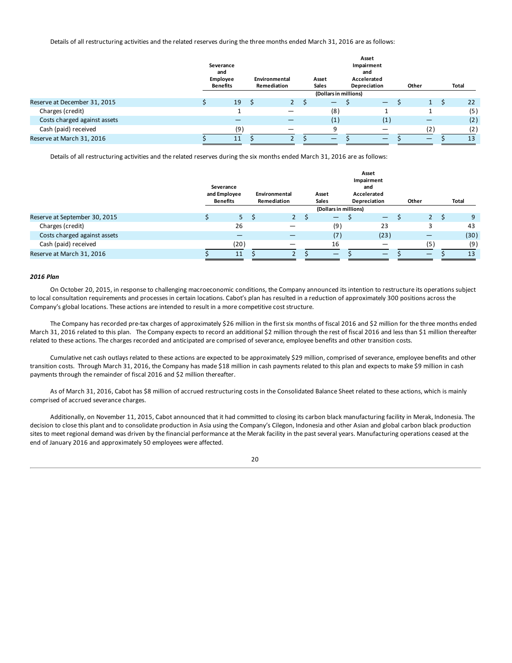#### Details of all restructuring activities and the related reserves during the three months ended March 31, 2016 are as follows:

|                              | Severance<br>and<br>Employee<br><b>Benefits</b> | Environmental<br>Remediation | Asset<br>Sales           | Asset<br>Impairment<br>and<br>Accelerated<br>Depreciation | Other                    | Total |
|------------------------------|-------------------------------------------------|------------------------------|--------------------------|-----------------------------------------------------------|--------------------------|-------|
|                              |                                                 |                              | (Dollars in millions)    |                                                           |                          |       |
| Reserve at December 31, 2015 | 19                                              |                              | -                        | $\qquad \qquad \longleftarrow$                            |                          | 22    |
| Charges (credit)             |                                                 |                              | (8)                      | ≖                                                         |                          | (5)   |
| Costs charged against assets |                                                 |                              | (1)                      | (1)                                                       | —                        | (2)   |
| Cash (paid) received         | (9)                                             | --                           | q                        |                                                           | (2)                      | (2)   |
| Reserve at March 31, 2016    | 11                                              |                              | $\overline{\phantom{0}}$ | $\overline{\phantom{0}}$                                  | $\overline{\phantom{0}}$ | 13    |

Details of all restructuring activities and the related reserves during the six months ended March 31, 2016 are as follows:

|                               | Severance<br>and Employee<br><b>Benefits</b> | Environmental<br>Remediation | Asset<br><b>Sales</b>          | Asset<br>Impairment<br>and<br>Accelerated<br>Depreciation | Other | Total |
|-------------------------------|----------------------------------------------|------------------------------|--------------------------------|-----------------------------------------------------------|-------|-------|
|                               |                                              |                              | (Dollars in millions)          |                                                           |       |       |
| Reserve at September 30, 2015 | 5                                            | 2                            | $\qquad \qquad \longleftarrow$ | $\qquad \qquad -$                                         |       | 9     |
| Charges (credit)              | 26                                           |                              | (9)                            | 23                                                        |       | 43    |
| Costs charged against assets  |                                              |                              | (7)                            | (23)                                                      | -     | (30)  |
| Cash (paid) received          | (20)                                         |                              | 16                             |                                                           | (5)   | (9)   |
| Reserve at March 31, 2016     | 11                                           |                              |                                | _                                                         |       | 13    |

#### *2016 Plan*

On October 20, 2015, in response to challenging macroeconomic conditions, the Company announced its intention to restructure its operations subject to local consultation requirements and processes in certain locations. Cabot's plan has resulted in a reduction of approximately 300 positions across the Company's global locations. These actions are intended to result in a more competitive cost structure.

The Company has recorded pre-tax charges of approximately \$26 million in the first six months of fiscal 2016 and \$2 million for the three months ended March 31, 2016 related to this plan. The Company expects to record an additional \$2 million through the rest of fiscal 2016 and less than \$1 million thereafter related to these actions. The charges recorded and anticipated are comprised of severance, employee benefits and other transition costs.

Cumulative net cash outlays related to these actions are expected to be approximately \$29 million, comprised of severance, employee benefits and other transition costs. Through March 31, 2016, the Company has made \$18 million in cash payments related to this plan and expects to make \$9 million in cash payments through the remainder of fiscal 2016 and \$2 million thereafter.

As of March 31, 2016, Cabot has \$8 million of accrued restructuring costs in the Consolidated Balance Sheet related to these actions, which is mainly comprised of accrued severance charges.

Additionally, on November 11, 2015, Cabot announced that it had committed to closing its carbon black manufacturing facility in Merak, Indonesia. The decision to close this plant and to consolidate production in Asia using the Company's Cilegon, Indonesia and other Asian and global carbon black production sites to meet regional demand was driven by the financial performance at the Merak facility in the past several years. Manufacturing operations ceased at the end of January 2016 and approximately 50 employees were affected.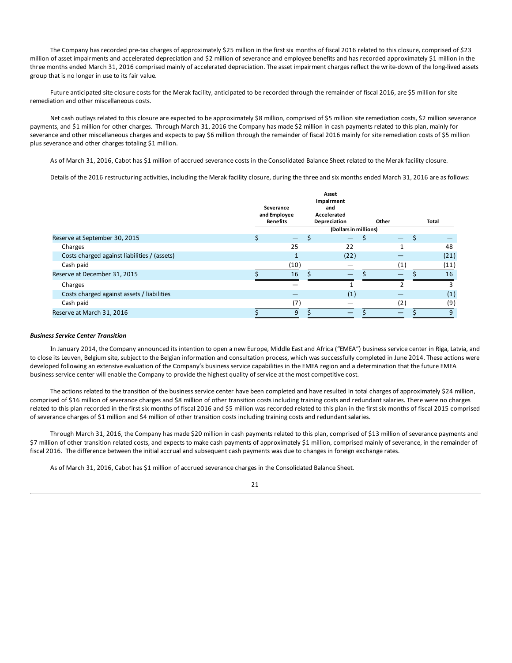The Company has recorded pre-tax charges of approximately \$25 million in the first six months of fiscal 2016 related to this closure, comprised of \$23 million of asset impairments and accelerated depreciation and \$2 million of severance and employee benefits and has recorded approximately \$1 million in the three months ended March 31, 2016 comprised mainly of accelerated depreciation. The asset impairment charges reflect the write-down of the long-lived assets group that is no longer in use to its fair value.

Future anticipated site closure costs for the Merak facility, anticipated to be recorded through the remainder of fiscal 2016, are \$5 million for site remediation and other miscellaneous costs.

Net cash outlays related to this closure are expected to be approximately \$8 million, comprised of \$5 million site remediation costs, \$2 million severance payments, and \$1 million for other charges. Through March 31, 2016 the Company has made \$2 million in cash payments related to this plan, mainly for severance and other miscellaneous charges and expects to pay \$6 million through the remainder of fiscal 2016 mainly for site remediation costs of \$5 million plus severance and other charges totaling \$1 million.

As of March 31, 2016, Cabot has \$1 million of accrued severance costs in the Consolidated Balance Sheet related to the Merak facility closure.

Details of the 2016 restructuring activities, including the Merak facility closure, during the three and six months ended March 31, 2016 are as follows:

|                                              |   | Severance<br>and Employee<br><b>Benefits</b> | Other                 | Total |      |
|----------------------------------------------|---|----------------------------------------------|-----------------------|-------|------|
|                                              |   |                                              | (Dollars in millions) |       |      |
| Reserve at September 30, 2015                | S |                                              | -                     | —     |      |
| Charges                                      |   | 25                                           | 22                    |       | 48   |
| Costs charged against liabilities / (assets) |   |                                              | (22)                  |       | (21) |
| Cash paid                                    |   | (10)                                         |                       | (1)   | (11) |
| Reserve at December 31, 2015                 |   | 16                                           |                       |       | 16   |
| Charges                                      |   |                                              |                       | C     | 3    |
| Costs charged against assets / liabilities   |   |                                              | (1)                   |       | (1)  |
| Cash paid                                    |   | (7)                                          |                       | (2)   | (9)  |
| Reserve at March 31, 2016                    |   | 9                                            |                       |       | 9    |

#### *Business Service Center Transition*

In January 2014, the Company announced its intention to open a new Europe, Middle East and Africa ("EMEA") business service center in Riga, Latvia, and to close its Leuven, Belgium site, subject to the Belgian information and consultation process, which was successfully completed in June 2014. These actions were developed following an extensive evaluation of the Company's business service capabilities in the EMEA region and a determination that the future EMEA business service center will enable the Company to provide the highest quality of service at the most competitive cost.

The actions related to the transition of the business service center have been completed and have resulted in total charges of approximately \$24 million, comprised of \$16 million of severance charges and \$8 million of other transition costs including training costs and redundant salaries. There were no charges related to this plan recorded in the first six months of fiscal 2016 and \$5 million was recorded related to this plan in the first six months of fiscal 2015 comprised of severance charges of \$1 million and \$4 million of other transition costs including training costs and redundant salaries.

Through March 31, 2016, the Company has made \$20 million in cash payments related to this plan, comprised of \$13 million of severance payments and \$7 million of other transition related costs, and expects to make cash payments of approximately \$1 million, comprised mainly of severance, in the remainder of fiscal 2016. The difference between the initial accrual and subsequent cash payments was due to changes in foreign exchange rates.

As of March 31, 2016, Cabot has \$1 million of accrued severance charges in the Consolidated Balance Sheet.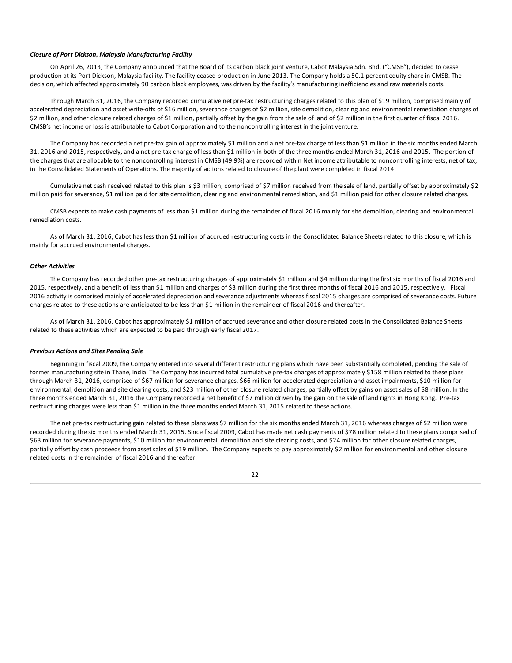#### *Closure of Port Dickson, Malaysia Manufacturing Facility*

On April 26, 2013, the Company announced that the Board of its carbon black joint venture, Cabot Malaysia Sdn. Bhd. ("CMSB"), decided to cease production at its Port Dickson, Malaysia facility. The facility ceased production in June 2013. The Company holds a 50.1 percent equity share in CMSB. The decision, which affected approximately 90 carbon black employees, was driven by the facility's manufacturing inefficiencies and raw materials costs.

Through March 31, 2016, the Company recorded cumulative net pre-tax restructuring charges related to this plan of \$19 million, comprised mainly of accelerated depreciation and asset write-offs of \$16 million, severance charges of \$2 million, site demolition, clearing and environmental remediation charges of \$2 million, and other closure related charges of \$1 million, partially offset by the gain from the sale of land of \$2 million in the first quarter of fiscal 2016. CMSB's net income or loss is attributable to Cabot Corporation and to the noncontrolling interest in the joint venture.

The Company has recorded a net pre-tax gain of approximately \$1 million and a net pre-tax charge of less than \$1 million in the six months ended March 31, 2016 and 2015, respectively, and a net pre-tax charge of less than \$1 million in both of the three months ended March 31, 2016 and 2015. The portion of the charges that are allocable to the noncontrolling interest in CMSB (49.9%) are recorded within Net income attributable to noncontrolling interests, net of tax, in the Consolidated Statements of Operations. The majority of actions related to closure of the plant were completed in fiscal 2014.

Cumulative net cash received related to this plan is \$3 million, comprised of \$7 million received from the sale of land, partially offset by approximately \$2 million paid for severance, \$1 million paid for site demolition, clearing and environmental remediation, and \$1 million paid for other closure related charges.

CMSB expects to make cash payments of less than \$1 million during the remainder of fiscal 2016 mainly for site demolition, clearing and environmental remediation costs.

As of March 31, 2016, Cabot has less than \$1 million of accrued restructuring costs in the Consolidated Balance Sheets related to this closure, which is mainly for accrued environmental charges.

#### *Other Activities*

The Company has recorded other pre-tax restructuring charges of approximately \$1 million and \$4 million during the first six months of fiscal 2016 and 2015, respectively, and a benefit of less than \$1 million and charges of \$3 million during the first three months of fiscal 2016 and 2015, respectively. Fiscal 2016 activity is comprised mainly of accelerated depreciation and severance adjustments whereas fiscal 2015 charges are comprised of severance costs. Future charges related to these actions are anticipated to be less than \$1 million in the remainder of fiscal 2016 and thereafter.

As of March 31, 2016, Cabot has approximately \$1 million of accrued severance and other closure related costs in the Consolidated Balance Sheets related to these activities which are expected to be paid through early fiscal 2017.

#### *Previous Actions and Sites Pending Sale*

Beginning in fiscal 2009, the Company entered into several different restructuring plans which have been substantially completed, pending the sale of former manufacturing site in Thane, India. The Company has incurred total cumulative pre-tax charges of approximately \$158 million related to these plans through March 31, 2016, comprised of \$67 million for severance charges, \$66 million for accelerated depreciation and asset impairments, \$10 million for environmental, demolition and site clearing costs, and \$23 million of other closure related charges, partially offset by gains on asset sales of \$8 million. In the three months ended March 31, 2016 the Company recorded a net benefit of \$7 million driven by the gain on the sale of land rights in Hong Kong. Pre-tax restructuring charges were less than \$1 million in the three months ended March 31, 2015 related to these actions.

The net pre-tax restructuring gain related to these plans was \$7 million for the six months ended March 31, 2016 whereas charges of \$2 million were recorded during the six months ended March 31, 2015. Since fiscal 2009, Cabot has made net cash payments of \$78 million related to these plans comprised of \$63 million for severance payments, \$10 million for environmental, demolition and site clearing costs, and \$24 million for other closure related charges, partially offset by cash proceeds from asset sales of \$19 million. The Company expects to pay approximately \$2 million for environmental and other closure related costs in the remainder of fiscal 2016 and thereafter.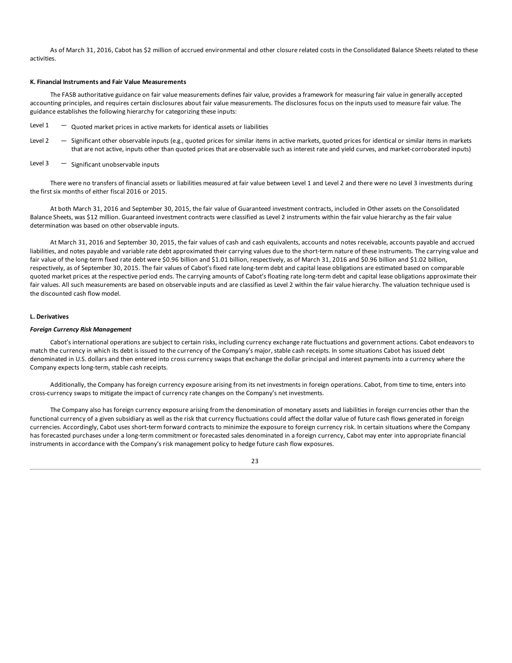As of March 31, 2016, Cabot has \$2 million of accrued environmental and other closure related costs in the Consolidated Balance Sheets related to these activities.

#### **K. Financial Instruments and Fair Value Measurements**

The FASB authoritative guidance on fair value measurements defines fair value, provides a framework for measuring fair value in generally accepted accounting principles, and requires certain disclosures about fair value measurements. The disclosures focus on the inputs used to measure fair value. The guidance establishes the following hierarchy for categorizing these inputs:

- Level  $1 -$  Quoted market prices in active markets for identical assets or liabilities
- Level 2 Significant other observable inputs (e.g., quoted prices for similar items in active markets, quoted prices for identical or similar items in markets that are not active, inputs other than quoted prices that are observable such as interest rate and yield curves, and market-corroborated inputs)

## Level  $3 -$  Significant unobservable inputs

There were no transfers of financial assets or liabilities measured at fair value between Level 1 and Level 2 and there were no Level 3 investments during the first six months of either fiscal 2016 or 2015.

At both March 31, 2016 and September 30, 2015, the fair value of Guaranteed investment contracts, included in Other assets on the Consolidated Balance Sheets, was \$12 million. Guaranteed investment contracts were classified as Level 2 instruments within the fair value hierarchy as the fair value determination was based on other observable inputs.

At March 31, 2016 and September 30, 2015, the fair values of cash and cash equivalents, accounts and notes receivable, accounts payable and accrued liabilities, and notes payable and variable rate debt approximated their carrying values due to the short-term nature of these instruments. The carrying value and fair value of the long-term fixed rate debt were \$0.96 billion and \$1.01 billion, respectively, as of March 31, 2016 and \$0.96 billion and \$1.02 billion, respectively, as of September 30, 2015. The fair values of Cabot's fixed rate long-term debt and capital lease obligations are estimated based on comparable quoted market prices at the respective period ends. The carrying amounts of Cabot's floating rate long-term debt and capital lease obligations approximate their fair values. All such measurements are based on observable inputs and are classified as Level 2 within the fair value hierarchy. The valuation technique used is the discounted cash flow model.

### **L. Derivatives**

#### *Foreign Currency Risk Management*

Cabot's international operations are subject to certain risks, including currency exchange rate fluctuations and government actions. Cabot endeavors to match the currency in which its debt is issued to the currency of the Company's major, stable cash receipts. In some situations Cabot has issued debt denominated in U.S. dollars and then entered into cross currency swaps that exchange the dollar principal and interest payments into a currency where the Company expects long-term, stable cash receipts.

Additionally, the Company has foreign currency exposure arising from its net investments in foreign operations. Cabot, from time to time, enters into cross-currency swaps to mitigate the impact of currency rate changes on the Company's net investments.

The Company also has foreign currency exposure arising from the denomination of monetary assets and liabilities in foreign currencies other than the functional currency of a given subsidiary as well as the risk that currency fluctuations could affect the dollar value of future cash flows generated in foreign currencies. Accordingly, Cabot uses short-term forward contracts to minimize the exposure to foreign currency risk. In certain situations where the Company has forecasted purchases under a long-term commitment or forecasted sales denominated in a foreign currency, Cabot may enter into appropriate financial instruments in accordance with the Company's risk management policy to hedge future cash flow exposures.

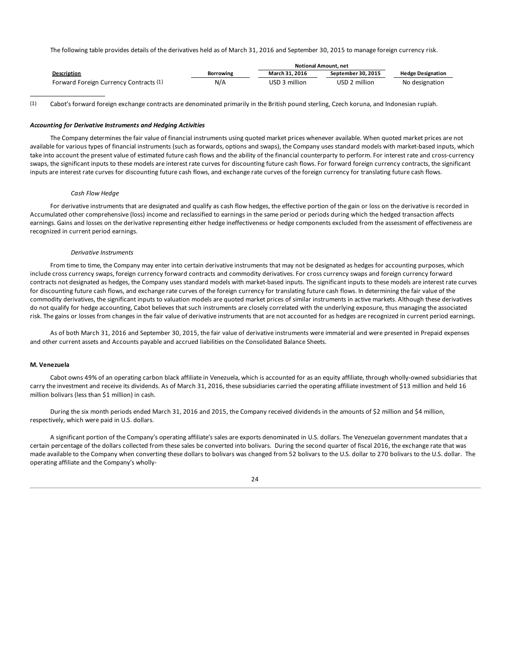The following table provides details of the derivatives held as of March 31, 2016 and September 30, 2015 to manage foreign currency risk.

|                                        |                  | Notional Amount, net |                    |                          |
|----------------------------------------|------------------|----------------------|--------------------|--------------------------|
| Description                            | <b>Borrowing</b> | March 31, 2016       | September 30, 2015 | <b>Hedge Designation</b> |
| Forward Foreign Currency Contracts (1) | N/A              | USD 3 million        | USD 2 million      | No designation           |

(1) Cabot's forward foreign exchange contracts are denominated primarily in the British pound sterling, Czech koruna, and Indonesian rupiah.

#### *Accounting for Derivative Instruments and Hedging Activities*

The Company determines the fair value of financial instruments using quoted market prices whenever available. When quoted market prices are not available for various types of financial instruments (such as forwards, options and swaps), the Company uses standard models with market-based inputs, which take into account the present value of estimated future cash flows and the ability of the financial counterparty to perform. For interest rate and cross-currency swaps, the significant inputs to these models are interest rate curves for discounting future cash flows. For forward foreign currency contracts, the significant inputs are interest rate curves for discounting future cash flows, and exchange rate curves of the foreign currency for translating future cash flows.

#### *Cash Flow Hedge*

For derivative instruments that are designated and qualify as cash flow hedges, the effective portion of the gain or loss on the derivative is recorded in Accumulated other comprehensive (loss) income and reclassified to earnings in the same period or periods during which the hedged transaction affects earnings. Gains and losses on the derivative representing either hedge ineffectiveness or hedge components excluded from the assessment of effectiveness are recognized in current period earnings.

#### *Derivative Instruments*

From time to time, the Company may enter into certain derivative instruments that may not be designated as hedges for accounting purposes, which include cross currency swaps, foreign currency forward contracts and commodity derivatives. For cross currency swaps and foreign currency forward contracts not designated as hedges, the Company uses standard models with market-based inputs. The significant inputs to these models are interest rate curves for discounting future cash flows, and exchange rate curves of the foreign currency for translating future cash flows. In determining the fair value of the commodity derivatives, the significant inputs to valuation models are quoted market prices of similar instruments in active markets. Although these derivatives do not qualify for hedge accounting, Cabot believes that such instruments are closely correlated with the underlying exposure, thus managing the associated risk. The gains or losses from changes in the fair value of derivative instruments that are not accounted for as hedges are recognized in current period earnings.

As of both March 31, 2016 and September 30, 2015, the fair value of derivative instruments were immaterial and were presented in Prepaid expenses and other current assets and Accounts payable and accrued liabilities on the Consolidated Balance Sheets.

#### **M. Venezuela**

Cabot owns 49% of an operating carbon black affiliate in Venezuela, which is accounted for as an equity affiliate, through wholly-owned subsidiaries that carry the investment and receive its dividends. As of March 31, 2016, these subsidiaries carried the operating affiliate investment of \$13 million and held 16 million bolivars (less than \$1 million) in cash.

During the six month periods ended March 31, 2016 and 2015, the Company received dividends in the amounts of \$2 million and \$4 million, respectively, which were paid in U.S. dollars.

A significant portion of the Company's operating affiliate's sales are exports denominated in U.S. dollars. The Venezuelan government mandates that a certain percentage of the dollars collected from these sales be converted into bolivars. During the second quarter of fiscal 2016, the exchange rate that was made available to the Company when converting these dollars to bolivars was changed from 52 bolivars to the U.S. dollar to 270 bolivars to the U.S. dollar. The operating affiliate and the Company's wholly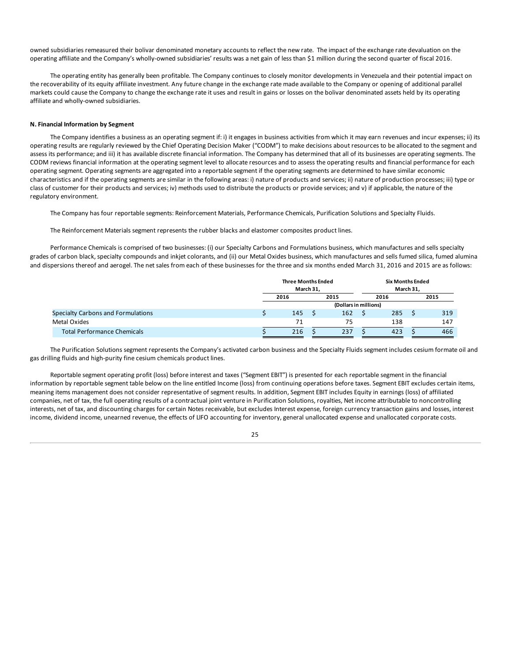owned subsidiaries remeasured their bolivar denominated monetary accounts to reflect the new rate. The impact of the exchange rate devaluation on the operating affiliate and the Company's wholly-owned subsidiaries' results was a net gain of less than \$1 million during the second quarter of fiscal 2016.

The operating entity has generally been profitable. The Company continues to closely monitor developments in Venezuela and their potential impact on the recoverability of its equity affiliate investment. Any future change in the exchange rate made available to the Company or opening of additional parallel markets could cause the Company to change the exchange rate it uses and result in gains or losses on the bolivar denominated assets held by its operating affiliate and wholly-owned subsidiaries.

#### **N. Financial Information by Segment**

The Company identifies a business as an operating segment if: i) it engages in business activities from which it may earn revenues and incur expenses; ii) its operating results are regularly reviewed by the Chief Operating Decision Maker ("CODM") to make decisions about resources to be allocated to the segment and assess its performance; and iii) it has available discrete financial information. The Company has determined that all of its businesses are operating segments. The CODM reviews financial information at the operating segment level to allocate resources and to assess the operating results and financial performance for each operating segment. Operating segments are aggregated into a reportable segment if the operating segments are determined to have similar economic characteristics and if the operating segments are similar in the following areas: i) nature of products and services; ii) nature of production processes; iii) type or class of customer for their products and services; iv) methods used to distribute the products or provide services; and v) if applicable, the nature of the regulatory environment.

The Company has four reportable segments: Reinforcement Materials, Performance Chemicals, Purification Solutions and Specialty Fluids.

The Reinforcement Materials segment represents the rubber blacks and elastomer composites product lines.

Performance Chemicals is comprised of two businesses: (i) our Specialty Carbons and Formulations business, which manufactures and sells specialty grades of carbon black, specialty compounds and inkjet colorants, and (ii) our Metal Oxides business, which manufactures and sells fumed silica, fumed alumina and dispersions thereof and aerogel. The net sales from each of these businesses for the three and six months ended March 31, 2016 and 2015 are as follows:

|                                    | <b>Three Months Ended</b><br>March 31. |     |      |                       |      | <b>Six Months Ended</b><br>March 31. |  |      |  |
|------------------------------------|----------------------------------------|-----|------|-----------------------|------|--------------------------------------|--|------|--|
|                                    | 2016                                   |     | 2015 |                       | 2016 |                                      |  | 2015 |  |
|                                    |                                        |     |      | (Dollars in millions) |      |                                      |  |      |  |
| Specialty Carbons and Formulations |                                        | 145 |      | 162                   |      | 285                                  |  | 319  |  |
| Metal Oxides                       |                                        | 71  |      | 75                    |      | 138                                  |  | 147  |  |
| <b>Total Performance Chemicals</b> |                                        | 216 |      | 237                   |      | 423                                  |  | 466  |  |

The Purification Solutions segment represents the Company's activated carbon business and the Specialty Fluids segment includes cesium formate oil and gas drilling fluids and high-purity fine cesium chemicals product lines.

Reportable segment operating profit (loss) before interest and taxes ("Segment EBIT") is presented for each reportable segment in the financial information by reportable segment table below on the line entitled Income (loss) from continuing operations before taxes. Segment EBIT excludes certain items, meaning items management does not consider representative of segment results. In addition, Segment EBIT includes Equity in earnings (loss) of affiliated companies, net of tax, the full operating results of a contractual joint venture in Purification Solutions, royalties, Net income attributable to noncontrolling interests, net of tax, and discounting charges for certain Notes receivable, but excludes Interest expense, foreign currency transaction gains and losses, interest income, dividend income, unearned revenue, the effects of LIFO accounting for inventory, general unallocated expense and unallocated corporate costs.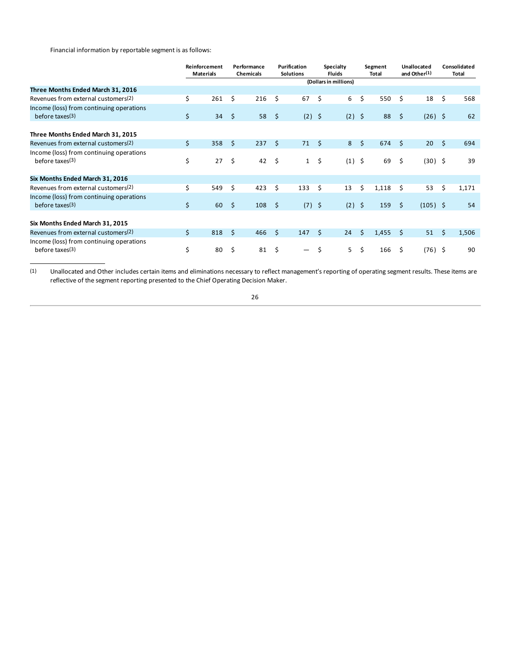Financial information by reportable segment is as follows:

|                                                                | Reinforcement<br><b>Materials</b> |      | Performance<br><b>Chemicals</b> |      | Purification<br><b>Specialty</b><br><b>Fluids</b><br><b>Solutions</b> |    | Segment<br>Total      |         |       | Unallocated<br>and Other(1) | Consolidated<br>Total |      |       |
|----------------------------------------------------------------|-----------------------------------|------|---------------------------------|------|-----------------------------------------------------------------------|----|-----------------------|---------|-------|-----------------------------|-----------------------|------|-------|
|                                                                |                                   |      |                                 |      |                                                                       |    | (Dollars in millions) |         |       |                             |                       |      |       |
| Three Months Ended March 31, 2016                              |                                   |      |                                 |      |                                                                       |    |                       |         |       |                             |                       |      |       |
| Revenues from external customers(2)                            | \$<br>261                         | Ŝ.   | 216                             | Ś.   | 67                                                                    | \$ | 6                     | \$      | 550   | Ŝ.                          | 18                    | \$   | 568   |
| Income (loss) from continuing operations                       |                                   |      |                                 |      |                                                                       |    |                       |         |       |                             |                       |      |       |
| before taxes(3)                                                | \$<br>34                          | -\$  | 58                              | \$   | $(2)$ \$                                                              |    | $(2)$ \$              |         | 88    | -\$                         | $(26)$ \$             |      | 62    |
| Three Months Ended March 31, 2015                              |                                   |      |                                 |      |                                                                       |    |                       |         |       |                             |                       |      |       |
| Revenues from external customers(2)                            | \$<br>358                         | Ŝ.   | 237                             | Ŝ.   | $71 \quad $5$                                                         |    | 8                     | $\zeta$ | 674   | - \$                        | 20                    | - \$ | 694   |
| Income (loss) from continuing operations<br>before taxes $(3)$ | \$<br>27                          | -\$  | 42                              | - \$ | $\mathbf{1}$                                                          | \$ | $(1)$ \$              |         | 69    | Ŝ.                          | $(30)$ \$             |      | 39    |
| Six Months Ended March 31, 2016                                |                                   |      |                                 |      |                                                                       |    |                       |         |       |                             |                       |      |       |
| Revenues from external customers(2)                            | \$<br>549                         | Ŝ.   | 423                             | Ś    | 133                                                                   | Ś. | 13                    | Ś.      | 1,118 | Ŝ.                          | 53                    | \$   | 1,171 |
| Income (loss) from continuing operations<br>before taxes $(3)$ | \$<br>60                          | - \$ | 108                             | - \$ | $(7)$ \$                                                              |    | $(2)$ \$              |         | 159   | - \$                        | $(105)$ \$            |      | 54    |
| Six Months Ended March 31, 2015                                |                                   |      |                                 |      |                                                                       |    |                       |         |       |                             |                       |      |       |
| Revenues from external customers <sup>(2)</sup>                | \$<br>818                         | - Ś  | 466                             | Ŝ.   | 147                                                                   | \$ | 24                    | \$      | 1,455 | - \$                        | 51                    | \$   | 1,506 |
| Income (loss) from continuing operations<br>before taxes $(3)$ | \$<br>80                          | Ŝ.   | 81                              | Ś    | —                                                                     | \$ | 5                     | Ś.      | 166   | Ŝ.                          | $(76)$ \$             |      | 90    |

(1) Unallocated and Other includes certain items and eliminations necessary to reflect management's reporting of operating segment results. These items are reflective of the segment reporting presented to the Chief Operating Decision Maker.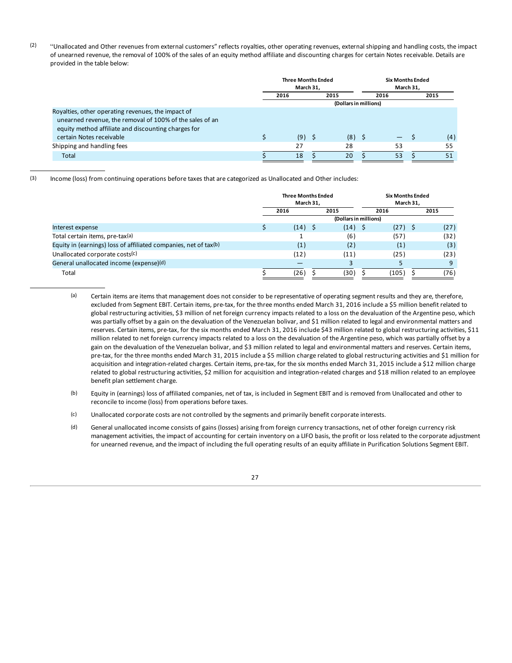<sup>(2)</sup> "Unallocated and Other revenues from external customers" reflects royalties, other operating revenues, external shipping and handling costs, the impact of unearned revenue, the removal of 100% of the sales of an equity method affiliate and discounting charges for certain Notes receivable. Details are provided in the table below:

|                                                                                                                                                                                                   | <b>Three Months Ended</b><br>March 31. |      |  | <b>Six Months Ended</b><br>March 31, |     |      |  |      |
|---------------------------------------------------------------------------------------------------------------------------------------------------------------------------------------------------|----------------------------------------|------|--|--------------------------------------|-----|------|--|------|
|                                                                                                                                                                                                   |                                        | 2016 |  | 2015                                 |     | 2016 |  | 2015 |
|                                                                                                                                                                                                   |                                        |      |  | (Dollars in millions)                |     |      |  |      |
| Royalties, other operating revenues, the impact of<br>unearned revenue, the removal of 100% of the sales of an<br>equity method affiliate and discounting charges for<br>certain Notes receivable |                                        | (9)  |  | (8)                                  | - S | —    |  | (4)  |
| Shipping and handling fees                                                                                                                                                                        |                                        | 27   |  | 28                                   |     | 53   |  | 55   |
| Total                                                                                                                                                                                             |                                        | 18   |  | 20                                   |     | 53   |  | 51   |

(3) Income (loss) from continuing operations before taxes that are categorized as Unallocated and Other includes:

| <b>Three Months Ended</b><br>March 31, |      |  |           | <b>Six Months Ended</b><br>March 31, |       |                       |           |  |
|----------------------------------------|------|--|-----------|--------------------------------------|-------|-----------------------|-----------|--|
|                                        | 2016 |  | 2015      |                                      | 2016  |                       | 2015      |  |
|                                        |      |  |           |                                      |       |                       |           |  |
|                                        |      |  | (14)      |                                      |       |                       | (27)      |  |
|                                        |      |  | (6)       |                                      | (57)  |                       | (32)      |  |
|                                        | (1)  |  | (2)       |                                      | (1)   |                       | (3)       |  |
|                                        | (12) |  | (11)      |                                      | (25)  |                       | (23)      |  |
|                                        |      |  |           |                                      |       |                       | 9         |  |
|                                        | (26) |  | (30)      |                                      | (105) |                       | (76)      |  |
|                                        |      |  | $(14)$ \$ |                                      | - S   | (Dollars in millions) | $(27)$ \$ |  |

- (a) Certain items are items that management does not consider to be representative of operating segment results and they are, therefore, excluded from Segment EBIT. Certain items, pre-tax, for the three months ended March 31, 2016 include a \$5 million benefit related to global restructuring activities, \$3 million of net foreign currency impacts related to a loss on the devaluation of the Argentine peso, which was partially offset by a gain on the devaluation of the Venezuelan bolivar, and \$1 million related to legal and environmental matters and reserves. Certain items, pre-tax, for the six months ended March 31, 2016 include \$43 million related to global restructuring activities, \$11 million related to net foreign currency impacts related to a loss on the devaluation of the Argentine peso, which was partially offset by a gain on the devaluation of the Venezuelan bolivar, and \$3 million related to legal and environmental matters and reserves. Certain items, pre-tax, for the three months ended March 31, 2015 include a \$5 million charge related to global restructuring activities and \$1 million for acquisition and integration-related charges. Certain items, pre-tax, for the six months ended March 31, 2015 include a \$12 million charge related to global restructuring activities, \$2 million for acquisition and integration-related charges and \$18 million related to an employee benefit plan settlement charge.
- (b) Equity in (earnings) loss of affiliated companies, net of tax, is included in Segment EBIT and is removed from Unallocated and other to reconcile to income (loss) from operations before taxes.
- (c) Unallocated corporate costs are not controlled by the segments and primarily benefit corporate interests.
- (d) General unallocated income consists of gains (losses) arising from foreign currency transactions, net of other foreign currency risk management activities, the impact of accounting for certain inventory on a LIFO basis, the profit or loss related to the corporate adjustment for unearned revenue, and the impact of including the full operating results of an equity affiliate in Purification Solutions Segment EBIT.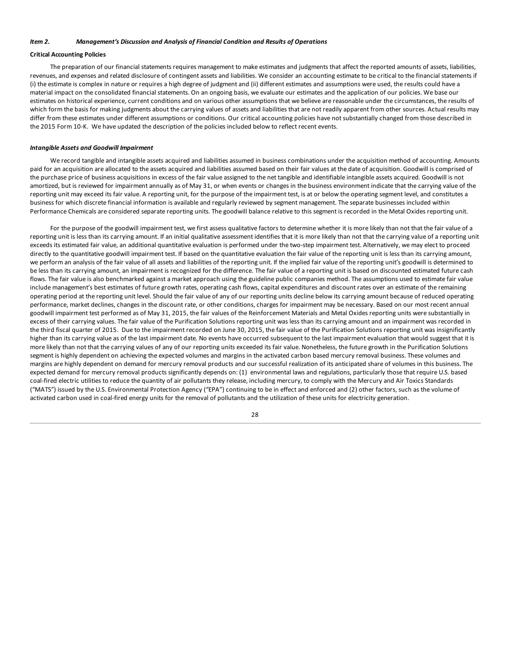#### <span id="page-27-0"></span>*Item 2. Management's Discussion and Analysis of Financial Condition and Results of Operations*

#### **Critical Accounting Policies**

The preparation of our financial statements requires management to make estimates and judgments that affect the reported amounts of assets, liabilities, revenues, and expenses and related disclosure of contingent assets and liabilities. We consider an accounting estimate to be critical to the financial statements if (i) the estimate is complex in nature or requires a high degree of judgment and (ii) different estimates and assumptions were used, the results could have a material impact on the consolidated financial statements. On an ongoing basis, we evaluate our estimates and the application of our policies. We base our estimates on historical experience, current conditions and on various other assumptions that we believe are reasonable under the circumstances, the results of which form the basis for making judgments about the carrying values of assets and liabilities that are not readily apparent from other sources. Actual results may differ from these estimates under different assumptions or conditions. Our critical accounting policies have not substantially changed from those described in the 2015 Form 10-K. We have updated the description of the policies included below to reflect recent events.

#### *Intangible Assets and Goodwill Impairment*

We record tangible and intangible assets acquired and liabilities assumed in business combinations under the acquisition method of accounting. Amounts paid for an acquisition are allocated to the assets acquired and liabilities assumed based on their fair values at the date of acquisition. Goodwill is comprised of the purchase price of business acquisitions in excess of the fair value assigned to the net tangible and identifiable intangible assets acquired. Goodwill is not amortized, but is reviewed for impairment annually as of May 31, or when events or changes in the business environment indicate that the carrying value of the reporting unit may exceed its fair value. A reporting unit, for the purpose of the impairment test, is at or below the operating segment level, and constitutes a business for which discrete financial information is available and regularly reviewed by segment management. The separate businesses included within Performance Chemicals are considered separate reporting units. The goodwill balance relative to this segment is recorded in the Metal Oxides reporting unit.

For the purpose of the goodwill impairment test, we first assess qualitative factors to determine whether it is more likely than not that the fair value of a reporting unit is less than its carrying amount. If an initial qualitative assessment identifies that it is more likely than not that the carrying value of a reporting unit exceeds its estimated fair value, an additional quantitative evaluation is performed under the two-step impairment test. Alternatively, we may elect to proceed directly to the quantitative goodwill impairment test. If based on the quantitative evaluation the fair value of the reporting unit is less than its carrying amount, we perform an analysis of the fair value of all assets and liabilities of the reporting unit. If the implied fair value of the reporting unit's goodwill is determined to be less than its carrying amount, an impairment is recognized for the difference. The fair value of a reporting unit is based on discounted estimated future cash flows. The fair value is also benchmarked against a market approach using the guideline public companies method. The assumptions used to estimate fair value include management's best estimates of future growth rates, operating cash flows, capital expenditures and discount rates over an estimate of the remaining operating period at the reporting unit level. Should the fair value of any of our reporting units decline below its carrying amount because of reduced operating performance, market declines, changes in the discount rate, or other conditions, charges for impairment may be necessary. Based on our most recent annual goodwill impairment test performed as of May 31, 2015, the fair values of the Reinforcement Materials and Metal Oxides reporting units were substantially in excess of their carrying values. The fair value of the Purification Solutions reporting unit was less than its carrying amount and an impairment was recorded in the third fiscal quarter of 2015. Due to the impairment recorded on June 30, 2015, the fair value of the Purification Solutions reporting unit was insignificantly higher than its carrying value as of the last impairment date. No events have occurred subsequent to the last impairment evaluation that would suggest that it is more likely than not that the carrying values of any of our reporting units exceeded its fair value. Nonetheless, the future growth in the Purification Solutions segment is highly dependent on achieving the expected volumes and margins in the activated carbon based mercury removal business. These volumes and margins are highly dependent on demand for mercury removal products and our successful realization of its anticipated share of volumes in this business. The expected demand for mercury removal products significantly depends on: (1) environmental laws and regulations, particularly those that require U.S. based coal-fired electric utilities to reduce the quantity of air pollutants they release, including mercury, to comply with the Mercury and Air Toxics Standards ("MATS") issued by the U.S. Environmental Protection Agency ("EPA") continuing to be in effect and enforced and (2) other factors, such as the volume of activated carbon used in coal-fired energy units for the removal of pollutants and the utilization of these units for electricity generation.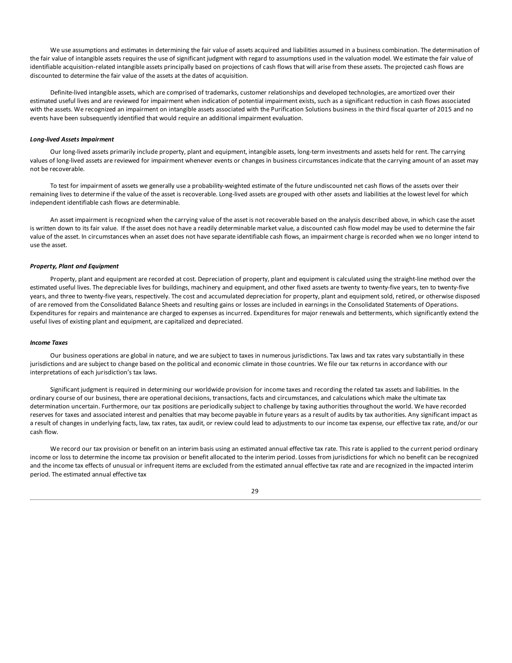We use assumptions and estimates in determining the fair value of assets acquired and liabilities assumed in a business combination. The determination of the fair value of intangible assets requires the use of significant judgment with regard to assumptions used in the valuation model. We estimate the fair value of identifiable acquisition-related intangible assets principally based on projections of cash flows that will arise from these assets. The projected cash flows are discounted to determine the fair value of the assets at the dates of acquisition.

Definite-lived intangible assets, which are comprised of trademarks, customer relationships and developed technologies, are amortized over their estimated useful lives and are reviewed for impairment when indication of potential impairment exists, such as a significant reduction in cash flows associated with the assets. We recognized an impairment on intangible assets associated with the Purification Solutions business in the third fiscal quarter of 2015 and no events have been subsequently identified that would require an additional impairment evaluation.

#### *Long-lived Assets Impairment*

Our long-lived assets primarily include property, plant and equipment, intangible assets, long-term investments and assets held for rent. The carrying values of long-lived assets are reviewed for impairment whenever events or changes in business circumstances indicate that the carrying amount of an asset may not be recoverable.

To test for impairment of assets we generally use a probability-weighted estimate of the future undiscounted net cash flows of the assets over their remaining lives to determine if the value of the asset is recoverable. Long-lived assets are grouped with other assets and liabilities at the lowest level for which independent identifiable cash flows are determinable.

An asset impairment is recognized when the carrying value of the asset is not recoverable based on the analysis described above, in which case the asset is written down to its fair value. If the asset does not have a readily determinable market value, a discounted cash flow model may be used to determine the fair value of the asset. In circumstances when an asset does not have separate identifiable cash flows, an impairment charge is recorded when we no longer intend to use the asset.

#### *Property, Plant and Equipment*

Property, plant and equipment are recorded at cost. Depreciation of property, plant and equipment is calculated using the straight-line method over the estimated useful lives. The depreciable lives for buildings, machinery and equipment, and other fixed assets are twenty to twenty-five years, ten to twenty-five years, and three to twenty-five years, respectively. The cost and accumulated depreciation for property, plant and equipment sold, retired, or otherwise disposed of are removed from the Consolidated Balance Sheets and resulting gains or losses are included in earnings in the Consolidated Statements of Operations. Expenditures for repairs and maintenance are charged to expenses as incurred. Expenditures for major renewals and betterments, which significantly extend the useful lives of existing plant and equipment, are capitalized and depreciated.

#### *Income Taxes*

Our business operations are global in nature, and we are subject to taxes in numerous jurisdictions. Tax laws and tax rates vary substantially in these jurisdictions and are subject to change based on the political and economic climate in those countries. We file our tax returns in accordance with our interpretations of each jurisdiction's tax laws.

Significant judgment is required in determining our worldwide provision for income taxes and recording the related tax assets and liabilities. In the ordinary course of our business, there are operational decisions, transactions, facts and circumstances, and calculations which make the ultimate tax determination uncertain. Furthermore, our tax positions are periodically subject to challenge by taxing authorities throughout the world. We have recorded reserves for taxes and associated interest and penalties that may become payable in future years as a result of audits by tax authorities. Any significant impact as a result of changes in underlying facts, law, tax rates, tax audit, or review could lead to adjustments to our income tax expense, our effective tax rate, and/or our cash flow.

We record our tax provision or benefit on an interim basis using an estimated annual effective tax rate. This rate is applied to the current period ordinary income or loss to determine the income tax provision or benefit allocated to the interim period. Losses from jurisdictions for which no benefit can be recognized and the income tax effects of unusual or infrequent items are excluded from the estimated annual effective tax rate and are recognized in the impacted interim period. The estimated annual effective tax

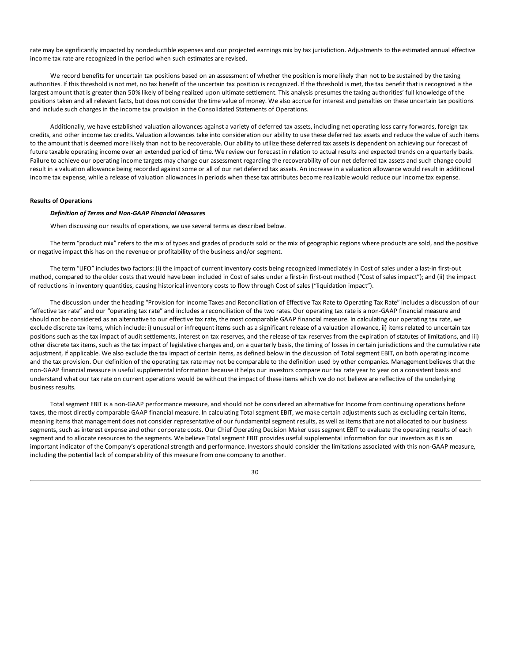rate may be significantly impacted by nondeductible expenses and our projected earnings mix by tax jurisdiction. Adjustments to the estimated annual effective income tax rate are recognized in the period when such estimates are revised.

We record benefits for uncertain tax positions based on an assessment of whether the position is more likely than not to be sustained by the taxing authorities. If this threshold is not met, no tax benefit of the uncertain tax position is recognized. If the threshold is met, the tax benefit that is recognized is the largest amount that is greater than 50% likely of being realized upon ultimate settlement. This analysis presumes the taxing authorities' full knowledge of the positions taken and all relevant facts, but does not consider the time value of money. We also accrue for interest and penalties on these uncertain tax positions and include such charges in the income tax provision in the Consolidated Statements of Operations.

Additionally, we have established valuation allowances against a variety of deferred tax assets, including net operating loss carry forwards, foreign tax credits, and other income tax credits. Valuation allowances take into consideration our ability to use these deferred tax assets and reduce the value of such items to the amount that is deemed more likely than not to be recoverable. Our ability to utilize these deferred tax assets is dependent on achieving our forecast of future taxable operating income over an extended period of time. We review our forecast in relation to actual results and expected trends on a quarterly basis. Failure to achieve our operating income targets may change our assessment regarding the recoverability of our net deferred tax assets and such change could result in a valuation allowance being recorded against some or all of our net deferred tax assets. An increase in a valuation allowance would result in additional income tax expense, while a release of valuation allowances in periods when these tax attributes become realizable would reduce our income tax expense.

#### **Results of Operations**

#### *Definition of Terms and Non-GAAP Financial Measures*

When discussing our results of operations, we use several terms as described below.

The term "product mix" refers to the mix of types and grades of products sold or the mix of geographic regions where products are sold, and the positive or negative impact this has on the revenue or profitability of the business and/or segment.

The term "LIFO" includes two factors: (i) the impact of current inventory costs being recognized immediately in Cost of sales under a last-in first-out method, compared to the older costs that would have been included in Cost of sales under a first-in first-out method ("Cost of sales impact"); and (ii) the impact of reductions in inventory quantities, causing historical inventory costs to flow through Cost of sales ("liquidation impact").

The discussion under the heading "Provision for Income Taxes and Reconciliation of Effective Tax Rate to Operating Tax Rate" includes a discussion of our "effective tax rate" and our "operating tax rate" and includes a reconciliation of the two rates. Our operating tax rate is a non-GAAP financial measure and should not be considered as an alternative to our effective tax rate, the most comparable GAAP financial measure. In calculating our operating tax rate, we exclude discrete tax items, which include: i) unusual or infrequent items such as a significant release of a valuation allowance, ii) items related to uncertain tax positions such as the tax impact of audit settlements, interest on tax reserves, and the release of tax reserves from the expiration of statutes of limitations, and iii) other discrete tax items, such as the tax impact of legislative changes and, on a quarterly basis, the timing of losses in certain jurisdictions and the cumulative rate adjustment, if applicable. We also exclude the tax impact of certain items, as defined below in the discussion of Total segment EBIT, on both operating income and the tax provision. Our definition of the operating tax rate may not be comparable to the definition used by other companies. Management believes that the non-GAAP financial measure is useful supplemental information because it helps our investors compare our tax rate year to year on a consistent basis and understand what our tax rate on current operations would be without the impact of these items which we do not believe are reflective of the underlying business results.

Total segment EBIT is a non-GAAP performance measure, and should not be considered an alternative for Income from continuing operations before taxes, the most directly comparable GAAP financial measure. In calculating Total segment EBIT, we make certain adjustments such as excluding certain items, meaning items that management does not consider representative of our fundamental segment results, as well as items that are not allocated to our business segments, such as interest expense and other corporate costs. Our Chief Operating Decision Maker uses segment EBIT to evaluate the operating results of each segment and to allocate resources to the segments. We believe Total segment EBIT provides useful supplemental information for our investors as it is an important indicator of the Company's operational strength and performance. Investors should consider the limitations associated with this non-GAAP measure, including the potential lack of comparability of this measure from one company to another.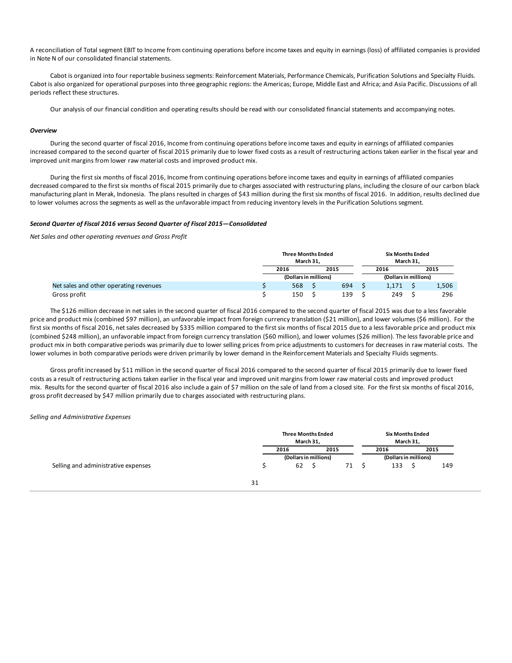A reconciliation of Total segment EBIT to Income from continuing operations before income taxes and equity in earnings (loss) of affiliated companies is provided in Note N of our consolidated financial statements.

Cabot is organized into four reportable business segments: Reinforcement Materials, Performance Chemicals, Purification Solutions and Specialty Fluids. Cabot is also organized for operational purposes into three geographic regions: the Americas; Europe, Middle East and Africa; and Asia Pacific. Discussions of all periods reflect these structures.

Our analysis of our financial condition and operating results should be read with our consolidated financial statements and accompanying notes.

#### *Overview*

During the second quarter of fiscal 2016, Income from continuing operations before income taxes and equity in earnings of affiliated companies increased compared to the second quarter of fiscal 2015 primarily due to lower fixed costs as a result of restructuring actions taken earlier in the fiscal year and improved unit margins from lower raw material costs and improved product mix.

During the first six months of fiscal 2016, Income from continuing operations before income taxes and equity in earnings of affiliated companies decreased compared to the first six months of fiscal 2015 primarily due to charges associated with restructuring plans, including the closure of our carbon black manufacturing plant in Merak, Indonesia. The plans resulted in charges of \$43 million during the first six months of fiscal 2016. In addition, results declined due to lower volumes across the segments as well as the unfavorable impact from reducing inventory levels in the Purification Solutions segment.

#### *Second Quarter of Fiscal 2016 versus Second Quarter of Fiscal 2015—Consolidated*

*Net Sales and other operating revenues and Gross Profit*

|                                        | <b>Three Months Ended</b> | March 31. |      |  | <b>Six Months Ended</b> | March 31.             |       |
|----------------------------------------|---------------------------|-----------|------|--|-------------------------|-----------------------|-------|
|                                        | 2016                      |           | 2015 |  | 2016                    |                       | 2015  |
|                                        | (Dollars in millions)     |           |      |  |                         | (Dollars in millions) |       |
| Net sales and other operating revenues | 568                       |           | 694  |  | 1.171                   |                       | 1,506 |
| Gross profit                           | 150                       |           | 139  |  | 249                     |                       | 296   |

The \$126 million decrease in net sales in the second quarter of fiscal 2016 compared to the second quarter of fiscal 2015 was due to a less favorable price and product mix (combined \$97 million), an unfavorable impact from foreign currency translation (\$21 million), and lower volumes (\$6 million). For the first six months of fiscal 2016, net sales decreased by \$335 million compared to the first six months of fiscal 2015 due to a less favorable price and product mix (combined \$248 million), an unfavorable impact from foreign currency translation (\$60 million), and lower volumes (\$26 million). The less favorable price and product mix in both comparative periods was primarily due to lower selling prices from price adjustments to customers for decreases in raw material costs. The lower volumes in both comparative periods were driven primarily by lower demand in the Reinforcement Materials and Specialty Fluids segments.

Gross profit increased by \$11 million in the second quarter of fiscal 2016 compared to the second quarter of fiscal 2015 primarily due to lower fixed costs as a result of restructuring actions taken earlier in the fiscal year and improved unit margins from lower raw material costs and improved product mix. Results for the second quarter of fiscal 2016 also include a gain of \$7 million on the sale of land from a closed site. For the first six months of fiscal 2016, gross profit decreased by \$47 million primarily due to charges associated with restructuring plans.

*Selling and Administrative Expenses*

|                                     |                       | <b>Three Months Ended</b><br>March 31, |      |  |                       |      | <b>Six Months Ended</b><br>March 31, |     |
|-------------------------------------|-----------------------|----------------------------------------|------|--|-----------------------|------|--------------------------------------|-----|
|                                     | 2016                  |                                        | 2015 |  |                       | 2016 | 2015                                 |     |
|                                     | (Dollars in millions) |                                        |      |  | (Dollars in millions) |      |                                      |     |
| Selling and administrative expenses |                       | 62                                     |      |  |                       | 133  |                                      | 149 |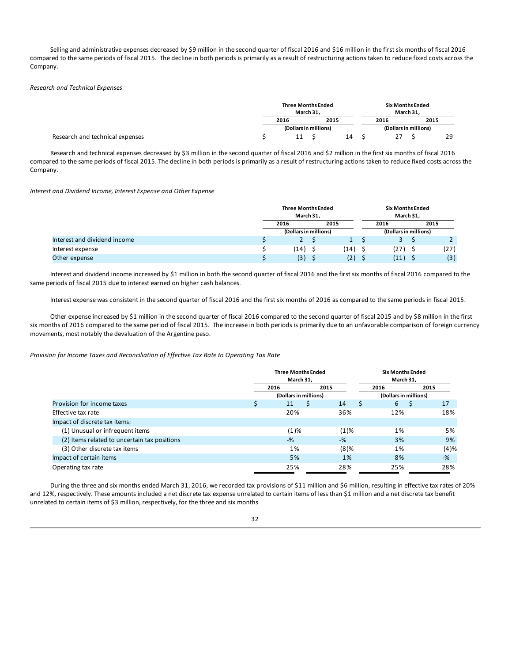Selling and administrative expenses decreased by \$9 million in the second quarter of fiscal 2016 and \$16 million in the first six months of fiscal 2016 compared to the same periods of fiscal 2015. The decline in both periods is primarily as a result of restructuring actions taken to reduce fixed costs across the Company.

#### *Research and Technical Expenses*

|      | <b>Three Months Ended</b><br>March 31. |      |                       |      | <b>Six Months Ended</b><br>March 31. |      |
|------|----------------------------------------|------|-----------------------|------|--------------------------------------|------|
| 2016 |                                        | 2015 |                       | 2016 |                                      | 2015 |
|      | (Dollars in millions)                  |      | (Dollars in millions) |      |                                      |      |
|      | 11                                     | 14   |                       |      |                                      | 29   |

Research and technical expenses decreased by \$3 million in the second quarter of fiscal 2016 and \$2 million in the first six months of fiscal 2016 compared to the same periods of fiscal 2015. The decline in both periods is primarily as a result of restructuring actions taken to reduce fixed costs across the Company.

#### *Interest and Dividend Income, Interest Expense and Other Expense*

|                              | <b>Three Months Ended</b><br>March 31. |  |      |  | <b>Six Months Ended</b><br>March 31. |  |      |  |  |
|------------------------------|----------------------------------------|--|------|--|--------------------------------------|--|------|--|--|
|                              | 2016                                   |  | 2015 |  | 2016                                 |  | 2015 |  |  |
|                              | (Dollars in millions)                  |  |      |  | (Dollars in millions)                |  |      |  |  |
| Interest and dividend income |                                        |  |      |  |                                      |  |      |  |  |
| Interest expense             | (14)                                   |  | (14) |  | (27)                                 |  | (27) |  |  |
| Other expense                | (3)                                    |  | (2)  |  | (11)                                 |  | (3)  |  |  |

Interest and dividend income increased by \$1 million in both the second quarter of fiscal 2016 and the first six months of fiscal 2016 compared to the same periods of fiscal 2015 due to interest earned on higher cash balances.

Interest expense was consistent in the second quarter of fiscal 2016 and the first six months of 2016 as compared to the same periods in fiscal 2015.

Other expense increased by \$1 million in the second quarter of fiscal 2016 compared to the second quarter of fiscal 2015 and by \$8 million in the first six months of 2016 compared to the same period of fiscal 2015. The increase in both periods is primarily due to an unfavorable comparison of foreign currency movements, most notably the devaluation of the Argentine peso.

## *Provision for Income Taxes and Reconciliation of Effective Tax Rate to Operating Tax Rate*

|                                              |   | <b>Three Months Ended</b><br>March 31. |      |         |   | <b>Six Months Ended</b><br>March 31. |      |       |  |
|----------------------------------------------|---|----------------------------------------|------|---------|---|--------------------------------------|------|-------|--|
|                                              |   | 2016                                   | 2015 |         |   | 2016                                 | 2015 |       |  |
|                                              |   | (Dollars in millions)                  |      |         |   | (Dollars in millions)                |      |       |  |
| Provision for income taxes                   | S | 11                                     |      | 14      | S | 6                                    |      | 17    |  |
| Effective tax rate                           |   | 20%                                    |      | 36%     |   | 12%                                  |      | 18%   |  |
| Impact of discrete tax items:                |   |                                        |      |         |   |                                      |      |       |  |
| (1) Unusual or infrequent items              |   | $(1)\%$                                |      | (1)%    |   | 1%                                   |      | 5%    |  |
| (2) Items related to uncertain tax positions |   | $-$ %                                  |      | $-$ %   |   | 3%                                   |      | 9%    |  |
| (3) Other discrete tax items                 |   | 1%                                     |      | $(8)$ % |   | 1%                                   |      | (4)%  |  |
| Impact of certain items                      |   | 5%                                     |      | 1%      |   | 8%                                   |      | $-$ % |  |
| Operating tax rate                           |   | 25%                                    |      | 28%     |   | 25%                                  |      | 28%   |  |

During the three and six months ended March 31, 2016, we recorded tax provisions of \$11 million and \$6 million, resulting in effective tax rates of 20% and 12%, respectively. These amounts included a net discrete tax expense unrelated to certain items of less than \$1 million and a net discrete tax benefit unrelated to certain items of \$3 million, respectively, for the three and six months

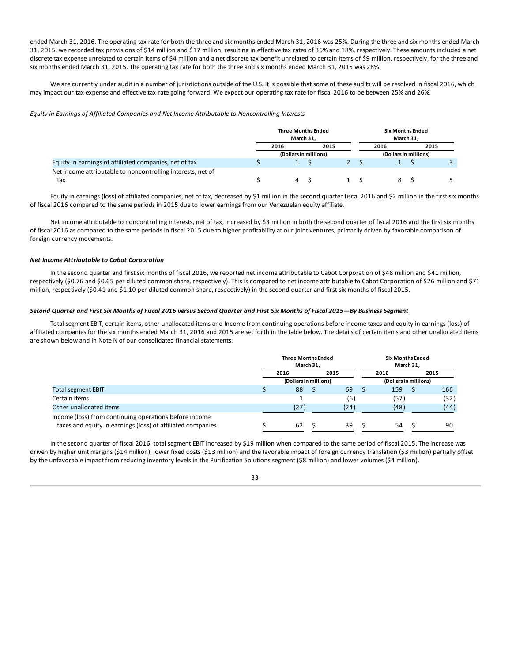ended March 31, 2016. The operating tax rate for both the three and six months ended March 31, 2016 was 25%. During the three and six months ended March 31, 2015, we recorded tax provisions of \$14 million and \$17 million, resulting in effective tax rates of 36% and 18%, respectively. These amounts included a net discrete tax expense unrelated to certain items of \$4 million and a net discrete tax benefit unrelated to certain items of \$9 million, respectively, for the three and six months ended March 31, 2015. The operating tax rate for both the three and six months ended March 31, 2015 was 28%.

We are currently under audit in a number of jurisdictions outside of the U.S. It is possible that some of these audits will be resolved in fiscal 2016, which may impact our tax expense and effective tax rate going forward. We expect our operating tax rate for fiscal 2016 to be between 25% and 26%.

*Equity in Earnings of Affiliated Companies and Net Income Attributable to Noncontrolling Interests*

|                                                             |      | <b>Three Months Ended</b><br>March 31, |                       |  |                       | <b>Six Months Ended</b><br>March 31. |      |
|-------------------------------------------------------------|------|----------------------------------------|-----------------------|--|-----------------------|--------------------------------------|------|
|                                                             | 2016 |                                        | 2015                  |  | 2016                  |                                      | 2015 |
|                                                             |      |                                        | (Dollars in millions) |  | (Dollars in millions) |                                      |      |
| Equity in earnings of affiliated companies, net of tax      |      |                                        |                       |  |                       |                                      |      |
| Net income attributable to noncontrolling interests, net of |      |                                        |                       |  |                       |                                      |      |
| tax                                                         |      | 4                                      |                       |  |                       |                                      |      |

Equity in earnings (loss) of affiliated companies, net of tax, decreased by \$1 million in the second quarter fiscal 2016 and \$2 million in the first six months of fiscal 2016 compared to the same periods in 2015 due to lower earnings from our Venezuelan equity affiliate.

Net income attributable to noncontrolling interests, net of tax, increased by \$3 million in both the second quarter of fiscal 2016 and the first six months of fiscal 2016 as compared to the same periods in fiscal 2015 due to higher profitability at our joint ventures, primarily driven by favorable comparison of foreign currency movements.

#### *Net Income Attributable to Cabot Corporation*

In the second quarter and first six months of fiscal 2016, we reported net income attributable to Cabot Corporation of \$48 million and \$41 million, respectively (\$0.76 and \$0.65 per diluted common share, respectively). This is compared to net income attributable to Cabot Corporation of \$26 million and \$71 million, respectively (\$0.41 and \$1.10 per diluted common share, respectively) in the second quarter and first six months of fiscal 2015.

#### Second Quarter and First Six Months of Fiscal 2016 versus Second Quarter and First Six Months of Fiscal 2015-By Business Segment

Total segment EBIT, certain items, other unallocated items and Income from continuing operations before income taxes and equity in earnings (loss) of affiliated companies for the six months ended March 31, 2016 and 2015 are set forth in the table below. The details of certain items and other unallocated items are shown below and in Note N of our consolidated financial statements.

|                                                                                                                       | <b>Three Months Ended</b><br>March 31. |                       |  |      |  | <b>Six Months Ended</b><br>March 31, |  |      |  |
|-----------------------------------------------------------------------------------------------------------------------|----------------------------------------|-----------------------|--|------|--|--------------------------------------|--|------|--|
|                                                                                                                       |                                        | 2016                  |  | 2015 |  | 2016                                 |  | 2015 |  |
|                                                                                                                       |                                        | (Dollars in millions) |  |      |  | (Dollars in millions)                |  |      |  |
| <b>Total segment EBIT</b>                                                                                             |                                        | 88                    |  | 69   |  | 159                                  |  | 166  |  |
| Certain items                                                                                                         |                                        |                       |  | (6)  |  | (57)                                 |  | (32) |  |
| Other unallocated items                                                                                               |                                        | (27)                  |  | (24) |  | (48)                                 |  | (44) |  |
| Income (loss) from continuing operations before income<br>taxes and equity in earnings (loss) of affiliated companies |                                        | 62                    |  | 39   |  | 54                                   |  | 90   |  |

In the second quarter of fiscal 2016, total segment EBIT increased by \$19 million when compared to the same period of fiscal 2015. The increase was driven by higher unit margins (\$14 million), lower fixed costs (\$13 million) and the favorable impact of foreign currency translation (\$3 million) partially offset by the unfavorable impact from reducing inventory levels in the Purification Solutions segment (\$8 million) and lower volumes (\$4 million).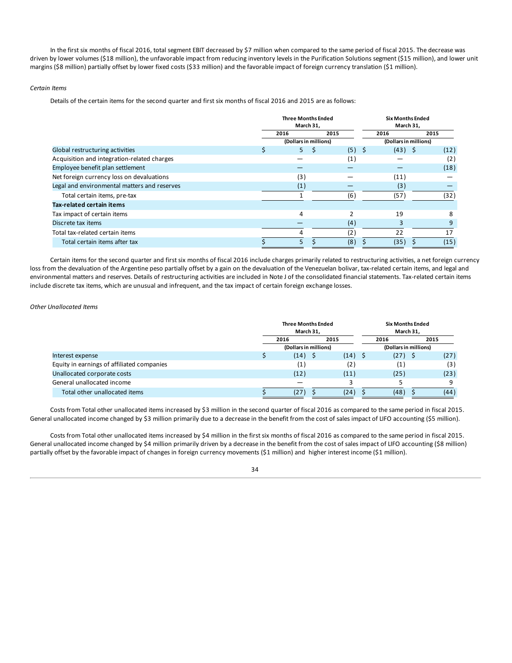In the first six months of fiscal 2016, total segment EBIT decreased by \$7 million when compared to the same period of fiscal 2015. The decrease was driven by lower volumes (\$18 million), the unfavorable impact from reducing inventory levels in the Purification Solutions segment (\$15 million), and lower unit margins (\$8 million) partially offset by lower fixed costs (\$33 million) and the favorable impact of foreign currency translation (\$1 million).

#### *Certain Items*

Details of the certain items for the second quarter and first six months of fiscal 2016 and 2015 are as follows:

|                                              | <b>Three Months Ended</b><br>March 31, |    |                |  | <b>Six Months Ended</b><br>March 31, |  |      |  |
|----------------------------------------------|----------------------------------------|----|----------------|--|--------------------------------------|--|------|--|
|                                              | 2016                                   |    | 2015           |  | 2016                                 |  | 2015 |  |
|                                              | (Dollars in millions)                  |    |                |  | (Dollars in millions)                |  |      |  |
| Global restructuring activities              | 5.                                     | \$ | $(5)$ \$       |  | $(43)$ \$                            |  | (12) |  |
| Acquisition and integration-related charges  |                                        |    | (1)            |  |                                      |  | (2)  |  |
| Employee benefit plan settlement             |                                        |    |                |  |                                      |  | (18) |  |
| Net foreign currency loss on devaluations    | (3)                                    |    |                |  | (11)                                 |  |      |  |
| Legal and environmental matters and reserves | (1)                                    |    |                |  | (3)                                  |  |      |  |
| Total certain items, pre-tax                 |                                        |    | (6)            |  | (57)                                 |  | (32) |  |
| Tax-related certain items                    |                                        |    |                |  |                                      |  |      |  |
| Tax impact of certain items                  | 4                                      |    | $\mathfrak{p}$ |  | 19                                   |  | 8    |  |
| Discrete tax items                           |                                        |    | (4)            |  | 3                                    |  | 9    |  |
| Total tax-related certain items              |                                        |    | (2)            |  | 22                                   |  | 17   |  |
| Total certain items after tax                | 5                                      |    | (8)            |  | (35)                                 |  | (15) |  |

Certain items for the second quarter and first six months of fiscal 2016 include charges primarily related to restructuring activities, a net foreign currency loss from the devaluation of the Argentine peso partially offset by a gain on the devaluation of the Venezuelan bolivar, tax-related certain items, and legal and environmental matters and reserves. Details of restructuring activities are included in Note J of the consolidated financial statements. Tax-related certain items include discrete tax items, which are unusual and infrequent, and the tax impact of certain foreign exchange losses.

#### *Other Unallocated Items*

|                                            | <b>Three Months Ended</b><br>March 31. |           | <b>Six Months Ended</b><br>March 31. |      |     |  |
|--------------------------------------------|----------------------------------------|-----------|--------------------------------------|------|-----|--|
|                                            | 2016                                   | 2015      | 2016                                 | 2015 |     |  |
|                                            | (Dollars in millions)                  |           | (Dollars in millions)                |      |     |  |
| Interest expense                           | $(14)$ \$                              | $(14)$ \$ | $(27)$ \$                            | (27) |     |  |
| Equity in earnings of affiliated companies | (1)                                    | (2)       | (1)                                  |      | (3) |  |
| Unallocated corporate costs                | (12)                                   | (11)      | (25)                                 | (23) |     |  |
| General unallocated income                 |                                        |           |                                      |      | -9  |  |
| Total other unallocated items              | (27)                                   | (24)      | (48)                                 | (44) |     |  |

Costs from Total other unallocated items increased by \$3 million in the second quarter of fiscal 2016 as compared to the same period in fiscal 2015. General unallocated income changed by \$3 million primarily due to a decrease in the benefit from the cost of sales impact of LIFO accounting (\$5 million).

Costs from Total other unallocated items increased by \$4 million in the first six months of fiscal 2016 as compared to the same period in fiscal 2015. General unallocated income changed by \$4 million primarily driven by a decrease in the benefit from the cost of sales impact of LIFO accounting (\$8 million) partially offset by the favorable impact of changes in foreign currency movements (\$1 million) and higher interest income (\$1 million).

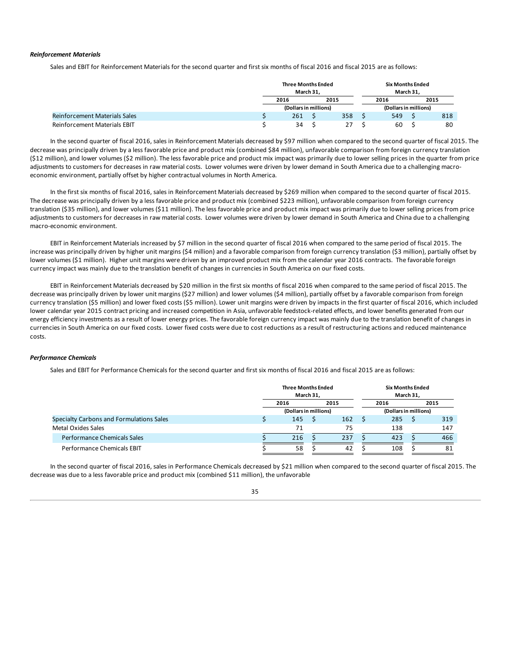#### *Reinforcement Materials*

Sales and EBIT for Reinforcement Materials for the second quarter and first six months of fiscal 2016 and fiscal 2015 are as follows:

|                                      | <b>Three Months Ended</b> | March 31. |      | <b>Six Months Ended</b> | March 31. |     |
|--------------------------------------|---------------------------|-----------|------|-------------------------|-----------|-----|
|                                      | 2016                      |           | 2015 | 2016                    | 2015      |     |
|                                      | (Dollars in millions)     |           |      | (Dollars in millions)   |           |     |
| <b>Reinforcement Materials Sales</b> | 261                       |           | 358  | 549                     |           | 818 |
| <b>Reinforcement Materials EBIT</b>  | 34                        |           | 27   | 60                      |           | 80  |

In the second quarter of fiscal 2016, sales in Reinforcement Materials decreased by \$97 million when compared to the second quarter of fiscal 2015. The decrease was principally driven by a less favorable price and product mix (combined \$84 million), unfavorable comparison from foreign currency translation (\$12 million), and lower volumes (\$2 million). The less favorable price and product mix impact was primarily due to lower selling prices in the quarter from price adjustments to customers for decreases in raw material costs. Lower volumes were driven by lower demand in South America due to a challenging macroeconomic environment, partially offset by higher contractual volumes in North America.

In the first six months of fiscal 2016, sales in Reinforcement Materials decreased by \$269 million when compared to the second quarter of fiscal 2015. The decrease was principally driven by a less favorable price and product mix (combined \$223 million), unfavorable comparison from foreign currency translation (\$35 million), and lower volumes (\$11 million). The less favorable price and product mix impact was primarily due to lower selling prices from price adjustments to customers for decreases in raw material costs. Lower volumes were driven by lower demand in South America and China due to a challenging macro-economic environment.

EBIT in Reinforcement Materials increased by \$7 million in the second quarter of fiscal 2016 when compared to the same period of fiscal 2015. The increase was principally driven by higher unit margins (\$4 million) and a favorable comparison from foreign currency translation (\$3 million), partially offset by lower volumes (\$1 million). Higher unit margins were driven by an improved product mix from the calendar year 2016 contracts. The favorable foreign currency impact was mainly due to the translation benefit of changes in currencies in South America on our fixed costs.

EBIT in Reinforcement Materials decreased by \$20 million in the first six months of fiscal 2016 when compared to the same period of fiscal 2015. The decrease was principally driven by lower unit margins (\$27 million) and lower volumes (\$4 million), partially offset by a favorable comparison from foreign currency translation (\$5 million) and lower fixed costs (\$5 million). Lower unit margins were driven by impacts in the first quarter of fiscal 2016, which included lower calendar year 2015 contract pricing and increased competition in Asia, unfavorable feedstock-related effects, and lower benefits generated from our energy efficiency investments as a result of lower energy prices. The favorable foreign currency impact was mainly due to the translation benefit of changes in currencies in South America on our fixed costs. Lower fixed costs were due to cost reductions as a result of restructuring actions and reduced maintenance costs.

#### *Performance Chemicals*

Sales and EBIT for Performance Chemicals for the second quarter and first six months of fiscal 2016 and fiscal 2015 are as follows:

|                                          | <b>Three Months Ended</b><br>March 31. |     |  |     |  |                       | <b>Six Months Ended</b><br>March 31. |     |  |  |  |
|------------------------------------------|----------------------------------------|-----|--|-----|--|-----------------------|--------------------------------------|-----|--|--|--|
|                                          | 2016<br>2015                           |     |  |     |  | 2016                  | 2015                                 |     |  |  |  |
|                                          | (Dollars in millions)                  |     |  |     |  | (Dollars in millions) |                                      |     |  |  |  |
| Specialty Carbons and Formulations Sales |                                        | 145 |  | 162 |  | 285                   |                                      | 319 |  |  |  |
| Metal Oxides Sales                       |                                        | 71  |  | 75  |  | 138                   |                                      | 147 |  |  |  |
| Performance Chemicals Sales              |                                        | 216 |  | 237 |  | 423                   |                                      | 466 |  |  |  |
| Performance Chemicals EBIT               |                                        | 58  |  | 42  |  | 108                   |                                      | 81  |  |  |  |

In the second quarter of fiscal 2016, sales in Performance Chemicals decreased by \$21 million when compared to the second quarter of fiscal 2015. The decrease was due to a less favorable price and product mix (combined \$11 million), the unfavorable

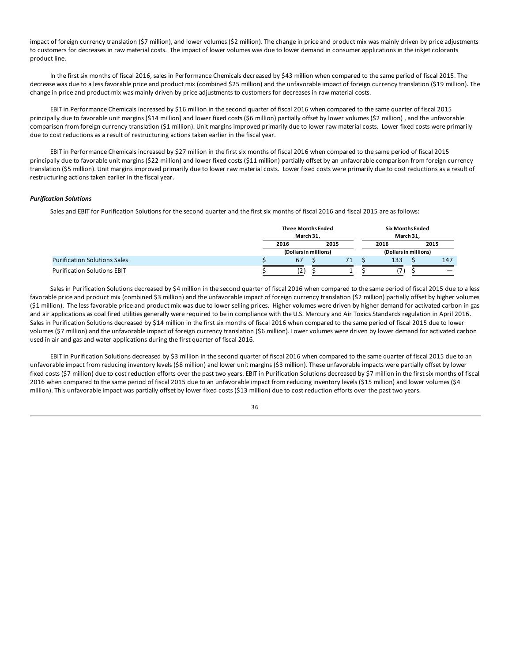impact of foreign currency translation (\$7 million), and lower volumes (\$2 million). The change in price and product mix was mainly driven by price adjustments to customers for decreases in raw material costs. The impact of lower volumes was due to lower demand in consumer applications in the inkjet colorants product line.

In the first six months of fiscal 2016, sales in Performance Chemicals decreased by \$43 million when compared to the same period of fiscal 2015. The decrease was due to a less favorable price and product mix (combined \$25 million) and the unfavorable impact of foreign currency translation (\$19 million). The change in price and product mix was mainly driven by price adjustments to customers for decreases in raw material costs.

EBIT in Performance Chemicals increased by \$16 million in the second quarter of fiscal 2016 when compared to the same quarter of fiscal 2015 principally due to favorable unit margins (\$14 million) and lower fixed costs (\$6 million) partially offset by lower volumes (\$2 million) , and the unfavorable comparison from foreign currency translation (\$1 million). Unit margins improved primarily due to lower raw material costs. Lower fixed costs were primarily due to cost reductions as a result of restructuring actions taken earlier in the fiscal year.

EBIT in Performance Chemicals increased by \$27 million in the first six months of fiscal 2016 when compared to the same period of fiscal 2015 principally due to favorable unit margins (\$22 million) and lower fixed costs (\$11 million) partially offset by an unfavorable comparison from foreign currency translation (\$5 million). Unit margins improved primarily due to lower raw material costs. Lower fixed costs were primarily due to cost reductions as a result of restructuring actions taken earlier in the fiscal year.

#### *Purification Solutions*

Sales and EBIT for Purification Solutions for the second quarter and the first six months of fiscal 2016 and fiscal 2015 are as follows:

|                                     | <b>Three Months Ended</b><br>March 31. |  | <b>Six Months Ended</b><br>March 31, |                       |      |     |
|-------------------------------------|----------------------------------------|--|--------------------------------------|-----------------------|------|-----|
|                                     | 2015<br>2016                           |  |                                      | 2016                  | 2015 |     |
|                                     | (Dollars in millions)                  |  |                                      | (Dollars in millions) |      |     |
| <b>Purification Solutions Sales</b> | 67                                     |  | 71                                   | 133                   |      | 147 |
| <b>Purification Solutions EBIT</b>  | (2)                                    |  |                                      | 17                    |      |     |

Sales in Purification Solutions decreased by \$4 million in the second quarter of fiscal 2016 when compared to the same period of fiscal 2015 due to a less favorable price and product mix (combined \$3 million) and the unfavorable impact of foreign currency translation (\$2 million) partially offset by higher volumes (\$1 million). The less favorable price and product mix was due to lower selling prices. Higher volumes were driven by higher demand for activated carbon in gas and air applications as coal fired utilities generally were required to be in compliance with the U.S. Mercury and Air Toxics Standards regulation in April 2016. Sales in Purification Solutions decreased by \$14 million in the first six months of fiscal 2016 when compared to the same period of fiscal 2015 due to lower volumes (\$7 million) and the unfavorable impact of foreign currency translation (\$6 million). Lower volumes were driven by lower demand for activated carbon used in air and gas and water applications during the first quarter of fiscal 2016.

EBIT in Purification Solutions decreased by \$3 million in the second quarter of fiscal 2016 when compared to the same quarter of fiscal 2015 due to an unfavorable impact from reducing inventory levels (\$8 million) and lower unit margins (\$3 million). These unfavorable impacts were partially offset by lower fixed costs (\$7 million) due to cost reduction efforts over the past two years. EBIT in Purification Solutions decreased by \$7 million in the first six months of fiscal 2016 when compared to the same period of fiscal 2015 due to an unfavorable impact from reducing inventory levels (\$15 million) and lower volumes (\$4 million). This unfavorable impact was partially offset by lower fixed costs (\$13 million) due to cost reduction efforts over the past two years.

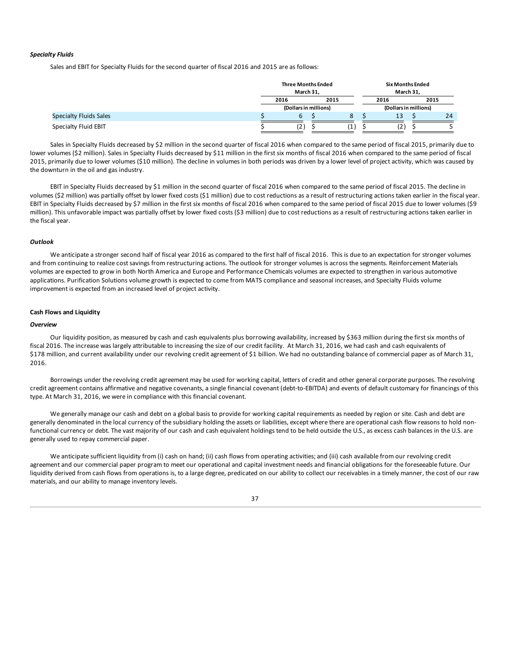#### *Specialty Fluids*

Sales and EBIT for Specialty Fluids for the second quarter of fiscal 2016 and 2015 are as follows:

|                               |              | <b>Three Months Ended</b><br>March 31, |  |      |  | <b>Six Months Ended</b><br>March 31, |  |    |
|-------------------------------|--------------|----------------------------------------|--|------|--|--------------------------------------|--|----|
|                               | 2015<br>2016 |                                        |  | 2016 |  | 2015                                 |  |    |
|                               |              | (Dollars in millions)                  |  |      |  | (Dollars in millions)                |  |    |
| <b>Specialty Fluids Sales</b> |              | ь                                      |  | 8    |  | 13                                   |  | 24 |
| Specialty Fluid EBIT          |              | (2)                                    |  | ' ⊥. |  | $\sim$<br>$\epsilon$                 |  |    |

Sales in Specialty Fluids decreased by \$2 million in the second quarter of fiscal 2016 when compared to the same period of fiscal 2015, primarily due to lower volumes (\$2 million). Sales in Specialty Fluids decreased by \$11 million in the first six months of fiscal 2016 when compared to the same period of fiscal 2015, primarily due to lower volumes (\$10 million). The decline in volumes in both periods was driven by a lower level of project activity, which was caused by the downturn in the oil and gas industry.

EBIT in Specialty Fluids decreased by \$1 million in the second quarter of fiscal 2016 when compared to the same period of fiscal 2015. The decline in volumes (\$2 million) was partially offset by lower fixed costs (\$1 million) due to cost reductions as a result of restructuring actions taken earlier in the fiscal year. EBIT in Specialty Fluids decreased by \$7 million in the first six months of fiscal 2016 when compared to the same period of fiscal 2015 due to lower volumes (\$9 million). This unfavorable impact was partially offset by lower fixed costs (\$3 million) due to cost reductions as a result of restructuring actions taken earlier in the fiscal year.

#### *Outlook*

We anticipate a stronger second half of fiscal year 2016 as compared to the first half of fiscal 2016. This is due to an expectation for stronger volumes and from continuing to realize cost savings from restructuring actions. The outlook for stronger volumes is across the segments. Reinforcement Materials volumes are expected to grow in both North America and Europe and Performance Chemicals volumes are expected to strengthen in various automotive applications. Purification Solutions volume growth is expected to come from MATS compliance and seasonal increases, and Specialty Fluids volume improvement is expected from an increased level of project activity.

#### **Cash Flows and Liquidity**

#### *Overview*

Our liquidity position, as measured by cash and cash equivalents plus borrowing availability, increased by \$363 million during the first six months of fiscal 2016. The increase was largely attributable to increasing the size of our credit facility. At March 31, 2016, we had cash and cash equivalents of \$178 million, and current availability under our revolving credit agreement of \$1 billion. We had no outstanding balance of commercial paper as of March 31, 2016.

Borrowings under the revolving credit agreement may be used for working capital, letters of credit and other general corporate purposes. The revolving credit agreement contains affirmative and negative covenants, a single financial covenant (debt-to-EBITDA) and events of default customary for financings of this type. At March 31, 2016, we were in compliance with this financial covenant.

We generally manage our cash and debt on a global basis to provide for working capital requirements as needed by region or site. Cash and debt are generally denominated in the local currency of the subsidiary holding the assets or liabilities, except where there are operational cash flow reasons to hold nonfunctional currency or debt. The vast majority of our cash and cash equivalent holdings tend to be held outside the U.S., as excess cash balances in the U.S. are generally used to repay commercial paper.

We anticipate sufficient liquidity from (i) cash on hand; (ii) cash flows from operating activities; and (iii) cash available from our revolving credit agreement and our commercial paper program to meet our operational and capital investment needs and financial obligations for the foreseeable future. Our liquidity derived from cash flows from operations is, to a large degree, predicated on our ability to collect our receivables in a timely manner, the cost of our raw materials, and our ability to manage inventory levels.

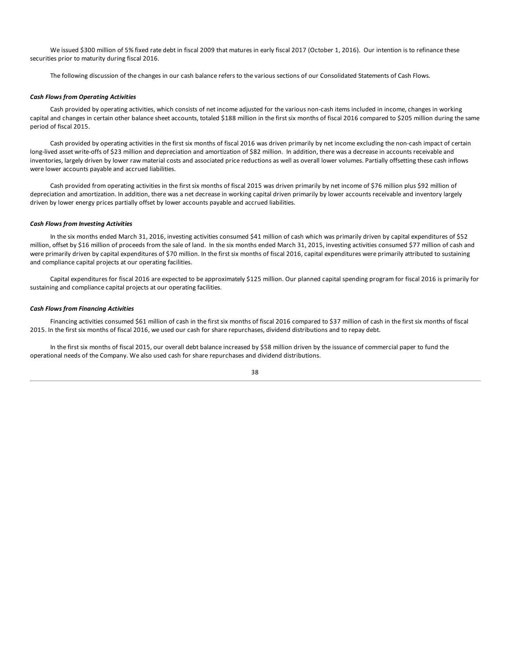We issued \$300 million of 5% fixed rate debt in fiscal 2009 that matures in early fiscal 2017 (October 1, 2016). Our intention is to refinance these securities prior to maturity during fiscal 2016.

The following discussion of the changes in our cash balance refers to the various sections of our Consolidated Statements of Cash Flows.

#### *Cash Flows from Operating Activities*

Cash provided by operating activities, which consists of net income adjusted for the various non-cash items included in income, changes in working capital and changes in certain other balance sheet accounts, totaled \$188 million in the first six months of fiscal 2016 compared to \$205 million during the same period of fiscal 2015.

Cash provided by operating activities in the first six months of fiscal 2016 was driven primarily by net income excluding the non-cash impact of certain long-lived asset write-offs of \$23 million and depreciation and amortization of \$82 million. In addition, there was a decrease in accounts receivable and inventories, largely driven by lower raw material costs and associated price reductions as well as overall lower volumes. Partially offsetting these cash inflows were lower accounts payable and accrued liabilities.

Cash provided from operating activities in the first six months of fiscal 2015 was driven primarily by net income of \$76 million plus \$92 million of depreciation and amortization. In addition, there was a net decrease in working capital driven primarily by lower accounts receivable and inventory largely driven by lower energy prices partially offset by lower accounts payable and accrued liabilities.

#### *Cash Flows from Investing Activities*

In the six months ended March 31, 2016, investing activities consumed \$41 million of cash which was primarily driven by capital expenditures of \$52 million, offset by \$16 million of proceeds from the sale of land. In the six months ended March 31, 2015, investing activities consumed \$77 million of cash and were primarily driven by capital expenditures of \$70 million. In the first six months of fiscal 2016, capital expenditures were primarily attributed to sustaining and compliance capital projects at our operating facilities.

Capital expenditures for fiscal 2016 are expected to be approximately \$125 million. Our planned capital spending program for fiscal 2016 is primarily for sustaining and compliance capital projects at our operating facilities.

#### *Cash Flows from Financing Activities*

Financing activities consumed \$61 million of cash in the first six months of fiscal 2016 compared to \$37 million of cash in the first six months of fiscal 2015. In the first six months of fiscal 2016, we used our cash for share repurchases, dividend distributions and to repay debt.

In the first six months of fiscal 2015, our overall debt balance increased by \$58 million driven by the issuance of commercial paper to fund the operational needs of the Company. We also used cash for share repurchases and dividend distributions.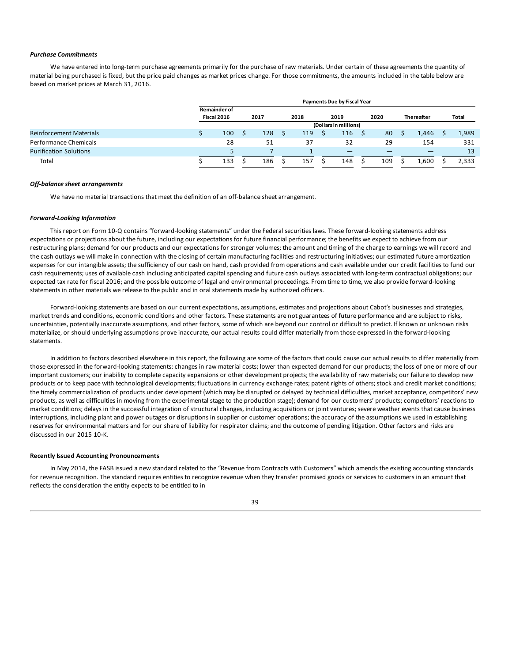#### *Purchase Commitments*

We have entered into long-term purchase agreements primarily for the purchase of raw materials. Under certain of these agreements the quantity of material being purchased is fixed, but the price paid changes as market prices change. For those commitments, the amounts included in the table below are based on market prices at March 31, 2016.

|                                |                                                                                  |     |  |     |  |     |  | <b>Payments Due by Fiscal Year</b> |  |     |  |       |       |       |
|--------------------------------|----------------------------------------------------------------------------------|-----|--|-----|--|-----|--|------------------------------------|--|-----|--|-------|-------|-------|
|                                | Remainder of<br>Fiscal 2016<br>2020<br><b>Thereafter</b><br>2017<br>2018<br>2019 |     |  |     |  |     |  |                                    |  |     |  |       | Total |       |
|                                |                                                                                  |     |  |     |  |     |  | (Dollars in millions)              |  |     |  |       |       |       |
| <b>Reinforcement Materials</b> |                                                                                  | 100 |  | 128 |  | 119 |  | 116                                |  | 80  |  | 1,446 |       | 1,989 |
| Performance Chemicals          |                                                                                  | 28  |  | 51  |  | 37  |  | 32                                 |  | 29  |  | 154   |       | 331   |
| <b>Purification Solutions</b>  |                                                                                  |     |  |     |  |     |  |                                    |  |     |  |       |       | 13    |
| Total                          |                                                                                  | 133 |  | 186 |  | 157 |  | 148                                |  | 109 |  | 1,600 |       | 2,333 |

#### *Off-balance sheet arrangements*

We have no material transactions that meet the definition of an off-balance sheet arrangement.

#### *Forward-Looking Information*

This report on Form 10-Q contains "forward-looking statements" under the Federal securities laws. These forward-looking statements address expectations or projections about the future, including our expectations for future financial performance; the benefits we expect to achieve from our restructuring plans; demand for our products and our expectations for stronger volumes; the amount and timing of the charge to earnings we will record and the cash outlays we will make in connection with the closing of certain manufacturing facilities and restructuring initiatives; our estimated future amortization expenses for our intangible assets; the sufficiency of our cash on hand, cash provided from operations and cash available under our credit facilities to fund our cash requirements; uses of available cash including anticipated capital spending and future cash outlays associated with long-term contractual obligations; our expected tax rate for fiscal 2016; and the possible outcome of legal and environmental proceedings. From time to time, we also provide forward-looking statements in other materials we release to the public and in oral statements made by authorized officers.

Forward-looking statements are based on our current expectations, assumptions, estimates and projections about Cabot's businesses and strategies, market trends and conditions, economic conditions and other factors. These statements are not guarantees of future performance and are subject to risks, uncertainties, potentially inaccurate assumptions, and other factors, some of which are beyond our control or difficult to predict. If known or unknown risks materialize, or should underlying assumptions prove inaccurate, our actual results could differ materially from those expressed in the forward-looking statements.

In addition to factors described elsewhere in this report, the following are some of the factors that could cause our actual results to differ materially from those expressed in the forward-looking statements: changes in raw material costs; lower than expected demand for our products; the loss of one or more of our important customers; our inability to complete capacity expansions or other development projects; the availability of raw materials; our failure to develop new products or to keep pace with technological developments; fluctuations in currency exchange rates; patent rights of others; stock and credit market conditions; the timely commercialization of products under development (which may be disrupted or delayed by technical difficulties, market acceptance, competitors' new products, as well as difficulties in moving from the experimental stage to the production stage); demand for our customers' products; competitors' reactions to market conditions; delays in the successful integration of structural changes, including acquisitions or joint ventures; severe weather events that cause business interruptions, including plant and power outages or disruptions in supplier or customer operations; the accuracy of the assumptions we used in establishing reserves for environmental matters and for our share of liability for respirator claims; and the outcome of pending litigation. Other factors and risks are discussed in our 2015 10-K.

#### **Recently Issued Accounting Pronouncements**

In May 2014, the FASB issued a new standard related to the "Revenue from Contracts with Customers" which amends the existing accounting standards for revenue recognition. The standard requires entities to recognize revenue when they transfer promised goods or services to customers in an amount that reflects the consideration the entity expects to be entitled to in

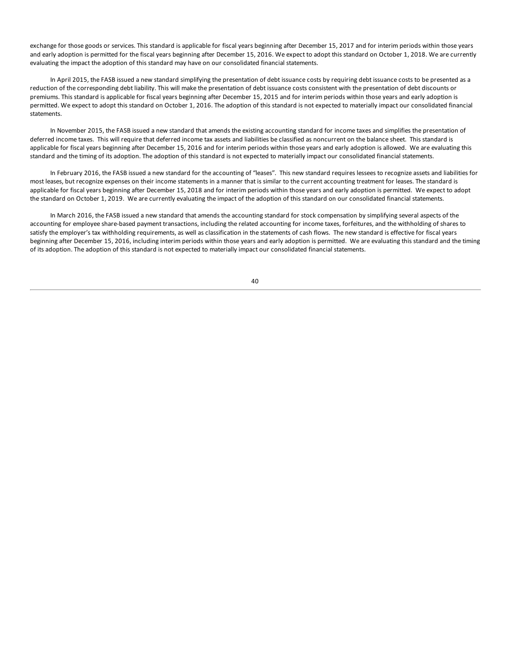exchange for those goods or services. This standard is applicable for fiscal years beginning after December 15, 2017 and for interim periods within those years and early adoption is permitted for the fiscal years beginning after December 15, 2016. We expect to adopt this standard on October 1, 2018. We are currently evaluating the impact the adoption of this standard may have on our consolidated financial statements.

In April 2015, the FASB issued a new standard simplifying the presentation of debt issuance costs by requiring debt issuance costs to be presented as a reduction of the corresponding debt liability. This will make the presentation of debt issuance costs consistent with the presentation of debt discounts or premiums. This standard is applicable for fiscal years beginning after December 15, 2015 and for interim periods within those years and early adoption is permitted. We expect to adopt this standard on October 1, 2016. The adoption of this standard is not expected to materially impact our consolidated financial statements.

In November 2015, the FASB issued a new standard that amends the existing accounting standard for income taxes and simplifies the presentation of deferred income taxes. This will require that deferred income tax assets and liabilities be classified as noncurrent on the balance sheet. This standard is applicable for fiscal years beginning after December 15, 2016 and for interim periods within those years and early adoption is allowed. We are evaluating this standard and the timing of its adoption. The adoption of this standard is not expected to materially impact our consolidated financial statements.

In February 2016, the FASB issued a new standard for the accounting of "leases". This new standard requires lessees to recognize assets and liabilities for most leases, but recognize expenses on their income statements in a manner that is similar to the current accounting treatment for leases. The standard is applicable for fiscal years beginning after December 15, 2018 and for interim periods within those years and early adoption is permitted. We expect to adopt the standard on October 1, 2019. We are currently evaluating the impact of the adoption of this standard on our consolidated financial statements.

In March 2016, the FASB issued a new standard that amends the accounting standard for stock compensation by simplifying several aspects of the accounting for employee share-based payment transactions, including the related accounting for income taxes, forfeitures, and the withholding of shares to satisfy the employer's tax withholding requirements, as well as classification in the statements of cash flows. The new standard is effective for fiscal years beginning after December 15, 2016, including interim periods within those years and early adoption is permitted. We are evaluating this standard and the timing of its adoption. The adoption of this standard is not expected to materially impact our consolidated financial statements.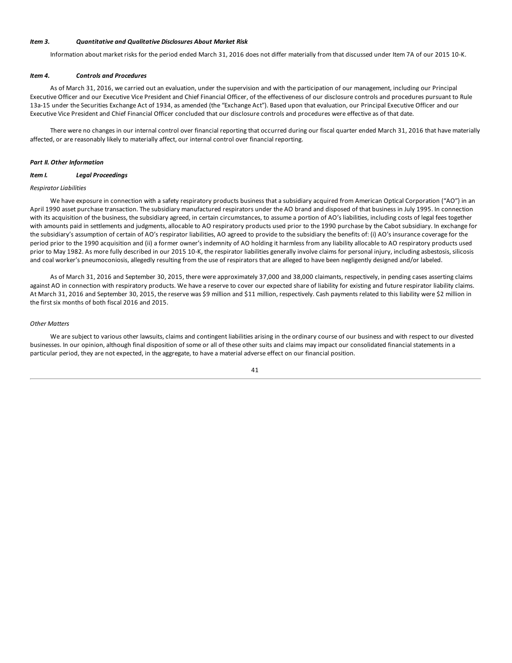#### <span id="page-40-0"></span>*Item 3. Quantitative and Qualitative Disclosures About Market Risk*

Information about market risks for the period ended March 31, 2016 does not differ materially from that discussed under Item 7A of our 2015 10-K.

## *Item 4. Controls and Procedures*

As of March 31, 2016, we carried out an evaluation, under the supervision and with the participation of our management, including our Principal Executive Officer and our Executive Vice President and Chief Financial Officer, of the effectiveness of our disclosure controls and procedures pursuant to Rule 13a-15 under the Securities Exchange Act of 1934, as amended (the "Exchange Act"). Based upon that evaluation, our Principal Executive Officer and our Executive Vice President and Chief Financial Officer concluded that our disclosure controls and procedures were effective as of that date.

There were no changes in our internal control over financial reporting that occurred during our fiscal quarter ended March 31, 2016 that have materially affected, or are reasonably likely to materially affect, our internal control over financial reporting.

#### *Part II. Other Information*

#### *Item I. Legal Proceedings*

#### *Respirator Liabilities*

We have exposure in connection with a safety respiratory products business that a subsidiary acquired from American Optical Corporation ("AO") in an April 1990 asset purchase transaction. The subsidiary manufactured respirators under the AO brand and disposed of that business in July 1995. In connection with its acquisition of the business, the subsidiary agreed, in certain circumstances, to assume a portion of AO's liabilities, including costs of legal fees together with amounts paid in settlements and judgments, allocable to AO respiratory products used prior to the 1990 purchase by the Cabot subsidiary. In exchange for the subsidiary's assumption of certain of AO's respirator liabilities, AO agreed to provide to the subsidiary the benefits of: (i) AO's insurance coverage for the period prior to the 1990 acquisition and (ii) a former owner's indemnity of AO holding it harmless from any liability allocable to AO respiratory products used prior to May 1982. As more fully described in our 2015 10-K, the respirator liabilities generally involve claims for personal injury, including asbestosis, silicosis and coal worker's pneumoconiosis, allegedly resulting from the use of respirators that are alleged to have been negligently designed and/or labeled.

As of March 31, 2016 and September 30, 2015, there were approximately 37,000 and 38,000 claimants, respectively, in pending cases asserting claims against AO in connection with respiratory products. We have a reserve to cover our expected share of liability for existing and future respirator liability claims. At March 31, 2016 and September 30, 2015, the reserve was \$9 million and \$11 million, respectively. Cash payments related to this liability were \$2 million in the first six months of both fiscal 2016 and 2015.

#### *Other Matters*

We are subject to various other lawsuits, claims and contingent liabilities arising in the ordinary course of our business and with respect to our divested businesses. In our opinion, although final disposition of some or all of these other suits and claims may impact our consolidated financial statements in a particular period, they are not expected, in the aggregate, to have a material adverse effect on our financial position.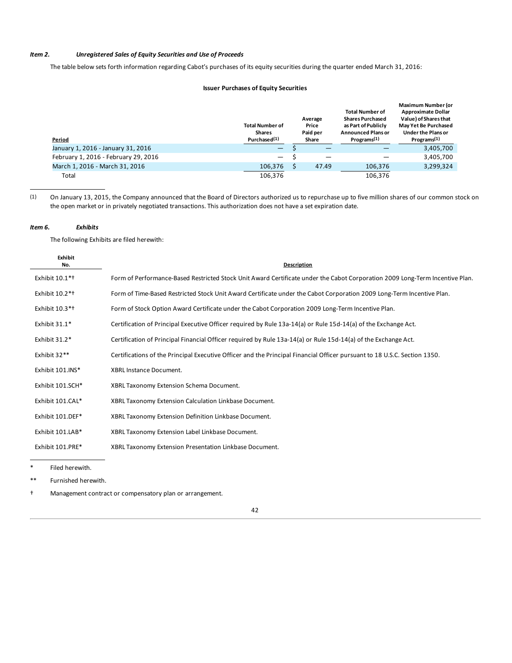## <span id="page-41-0"></span>*Item 2. Unregistered Sales of Equity Securities and Use of Proceeds*

The table below sets forth information regarding Cabot's purchases of its equity securities during the quarter ended March 31, 2016:

## **Issuer Purchases of Equity Securities**

| Period                               | <b>Total Number of</b><br><b>Shares</b><br>Purchased <sup>(1)</sup> | Average<br>Price<br>Paid per<br>Share | <b>Total Number of</b><br><b>Shares Purchased</b><br>as Part of Publicly<br><b>Announced Plans or</b><br>Programs <sup>(1)</sup> | <b>Maximum Number (or</b><br><b>Approximate Dollar</b><br>Value) of Shares that<br>May Yet Be Purchased<br><b>Under the Plans or</b><br>Programs <sup>(1)</sup> |
|--------------------------------------|---------------------------------------------------------------------|---------------------------------------|----------------------------------------------------------------------------------------------------------------------------------|-----------------------------------------------------------------------------------------------------------------------------------------------------------------|
| January 1, 2016 - January 31, 2016   | —                                                                   |                                       |                                                                                                                                  | 3,405,700                                                                                                                                                       |
| February 1, 2016 - February 29, 2016 | $\qquad \qquad -$                                                   |                                       |                                                                                                                                  | 3,405,700                                                                                                                                                       |
| March 1, 2016 - March 31, 2016       | 106.376                                                             | 47.49                                 | 106,376                                                                                                                          | 3,299,324                                                                                                                                                       |
| Total                                | 106,376                                                             |                                       | 106,376                                                                                                                          |                                                                                                                                                                 |

(1) On January 13, 2015, the Company announced that the Board of Directors authorized us to repurchase up to five million shares of our common stock on the open market or in privately negotiated transactions. This authorization does not have a set expiration date.

## *Item 6. Exhibits*

The following Exhibits are filed herewith:

| Exhibit<br>No.             | Description                                                                                                                  |
|----------------------------|------------------------------------------------------------------------------------------------------------------------------|
| Exhibit 10.1* <sup>+</sup> | Form of Performance-Based Restricted Stock Unit Award Certificate under the Cabot Corporation 2009 Long-Term Incentive Plan. |
| Exhibit 10.2* <sup>+</sup> | Form of Time-Based Restricted Stock Unit Award Certificate under the Cabot Corporation 2009 Long-Term Incentive Plan.        |
| Exhibit 10.3* <sup>+</sup> | Form of Stock Option Award Certificate under the Cabot Corporation 2009 Long-Term Incentive Plan.                            |
| Exhibit 31.1*              | Certification of Principal Executive Officer required by Rule 13a-14(a) or Rule 15d-14(a) of the Exchange Act.               |
| Exhibit 31.2*              | Certification of Principal Financial Officer required by Rule 13a-14(a) or Rule 15d-14(a) of the Exchange Act.               |
| Exhibit 32**               | Certifications of the Principal Executive Officer and the Principal Financial Officer pursuant to 18 U.S.C. Section 1350.    |
| Exhibit 101.INS*           | <b>XBRL Instance Document.</b>                                                                                               |
| Exhibit 101.SCH*           | XBRL Taxonomy Extension Schema Document.                                                                                     |
| Exhibit 101.CAL*           | XBRL Taxonomy Extension Calculation Linkbase Document.                                                                       |
| Exhibit 101.DEF*           | XBRL Taxonomy Extension Definition Linkbase Document.                                                                        |
| Exhibit 101.LAB*           | XBRL Taxonomy Extension Label Linkbase Document.                                                                             |
| Exhibit 101.PRE*           | XBRL Taxonomy Extension Presentation Linkbase Document.                                                                      |

\* Filed herewith.

\*\* Furnished herewith.

† Management contract or compensatory plan or arrangement.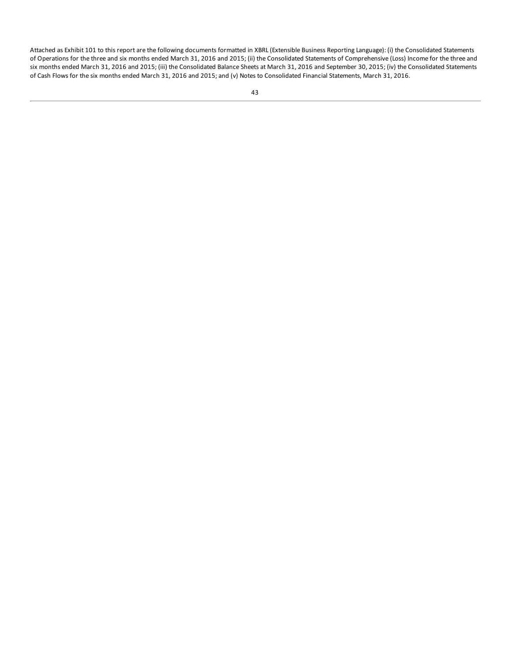Attached as Exhibit 101 to this report are the following documents formatted in XBRL (Extensible Business Reporting Language): (i) the Consolidated Statements of Operations for the three and six months ended March 31, 2016 and 2015; (ii) the Consolidated Statements of Comprehensive (Loss) Income for the three and six months ended March 31, 2016 and 2015; (iii) the Consolidated Balance Sheets at March 31, 2016 and September 30, 2015; (iv) the Consolidated Statements of Cash Flows for the six months ended March 31, 2016 and 2015; and (v) Notes to Consolidated Financial Statements, March 31, 2016.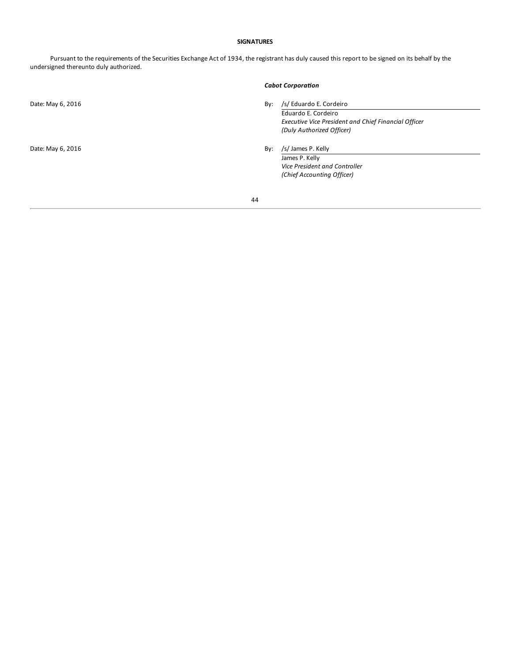## **SIGNATURES**

Pursuant to the requirements of the Securities Exchange Act of 1934, the registrant has duly caused this report to be signed on its behalf by the undersigned thereunto duly authorized.

| <b>Cabot Corporation</b>                                    |
|-------------------------------------------------------------|
| /s/ Eduardo E. Cordeiro<br>By:                              |
| Eduardo E. Cordeiro                                         |
| <b>Executive Vice President and Chief Financial Officer</b> |
| (Duly Authorized Officer)                                   |
| /s/ James P. Kelly<br>By:                                   |
| James P. Kelly                                              |
| Vice President and Controller                               |
| (Chief Accounting Officer)                                  |
|                                                             |
|                                                             |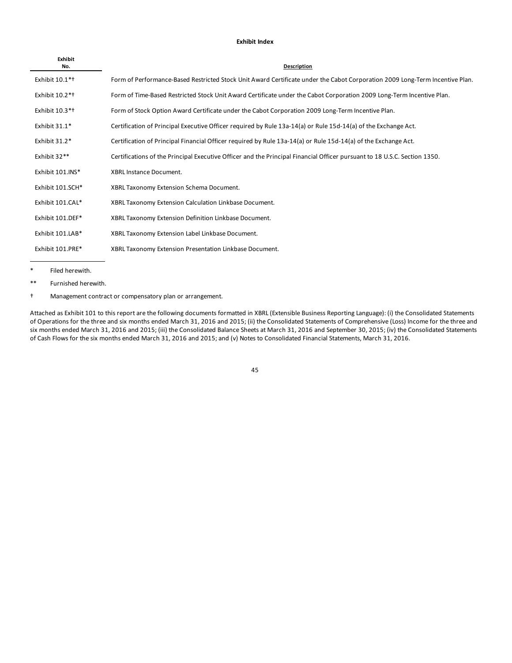## **Exhibit Index**

| Exhibit<br>No.             | Description                                                                                                                  |
|----------------------------|------------------------------------------------------------------------------------------------------------------------------|
| Exhibit 10.1* <sup>+</sup> | Form of Performance-Based Restricted Stock Unit Award Certificate under the Cabot Corporation 2009 Long-Term Incentive Plan. |
| Exhibit 10.2* <sup>+</sup> | Form of Time-Based Restricted Stock Unit Award Certificate under the Cabot Corporation 2009 Long-Term Incentive Plan.        |
| Exhibit 10.3* <sup>+</sup> | Form of Stock Option Award Certificate under the Cabot Corporation 2009 Long-Term Incentive Plan.                            |
| Exhibit 31.1*              | Certification of Principal Executive Officer required by Rule 13a-14(a) or Rule 15d-14(a) of the Exchange Act.               |
| Exhibit 31.2*              | Certification of Principal Financial Officer required by Rule 13a-14(a) or Rule 15d-14(a) of the Exchange Act.               |
| Exhibit 32**               | Certifications of the Principal Executive Officer and the Principal Financial Officer pursuant to 18 U.S.C. Section 1350.    |
| Exhibit 101.INS*           | <b>XBRL Instance Document.</b>                                                                                               |
| Exhibit 101.SCH*           | XBRL Taxonomy Extension Schema Document.                                                                                     |
| Exhibit 101.CAL*           | XBRL Taxonomy Extension Calculation Linkbase Document.                                                                       |
| Exhibit 101.DEF*           | XBRL Taxonomy Extension Definition Linkbase Document.                                                                        |
| Exhibit 101.LAB*           | XBRL Taxonomy Extension Label Linkbase Document.                                                                             |
| Exhibit 101.PRE*           | XBRL Taxonomy Extension Presentation Linkbase Document.                                                                      |

\* Filed herewith.

\*\* Furnished herewith.

† Management contract or compensatory plan or arrangement.

Attached as Exhibit 101 to this report are the following documents formatted in XBRL (Extensible Business Reporting Language): (i) the Consolidated Statements of Operations for the three and six months ended March 31, 2016 and 2015; (ii) the Consolidated Statements of Comprehensive (Loss) Income for the three and six months ended March 31, 2016 and 2015; (iii) the Consolidated Balance Sheets at March 31, 2016 and September 30, 2015; (iv) the Consolidated Statements of Cash Flows for the six months ended March 31, 2016 and 2015; and (v) Notes to Consolidated Financial Statements, March 31, 2016.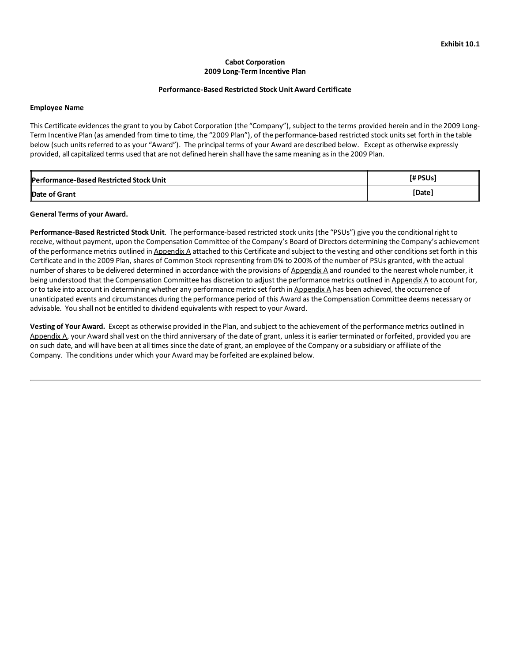## **Cabot Corporation 2009 Long-Term Incentive Plan**

## **Performance-Based Restricted Stock Unit Award Certificate**

## **Employee Name**

This Certificate evidences the grant to you by Cabot Corporation (the "Company"), subject to the terms provided herein and in the 2009 Long-Term Incentive Plan (as amended from time to time, the "2009 Plan"), of the performance-based restricted stock units set forth in the table below (such units referred to as your "Award"). The principal terms of your Award are described below. Except as otherwise expressly provided, all capitalized terms used that are not defined herein shall have the same meaning as in the 2009 Plan.

| <b>Performance-Based Restricted Stock Unit</b> | 「# PSUs] |
|------------------------------------------------|----------|
| Date of Grant                                  | [Date]   |

## **General Terms of your Award.**

**Performance-Based Restricted Stock Unit**. The performance-based restricted stock units (the "PSUs") give you the conditionalright to receive, without payment, upon the Compensation Committee of the Company's Board of Directors determining the Company's achievement of the performance metrics outlined in Appendix A attached to this Certificate and subject to the vesting and other conditions set forth in this Certificate and in the 2009 Plan, shares of Common Stock representing from 0% to 200% of the number of PSUs granted, with the actual number of shares to be delivered determined in accordance with the provisions of Appendix A and rounded to the nearest whole number, it being understood that the Compensation Committee has discretion to adjust the performance metrics outlined in Appendix A to account for, or to take into account in determining whether any performance metric set forth in Appendix A has been achieved, the occurrence of unanticipated events and circumstances during the performance period of this Award as the Compensation Committee deems necessary or advisable. You shall not be entitled to dividend equivalents with respect to your Award.

**Vesting of Your Award.** Except as otherwise provided in the Plan, and subject to the achievement of the performance metrics outlined in Appendix A, your Award shall vest on the third anniversary of the date of grant, unless it is earlier terminated or forfeited, provided you are on such date, and will have been at all times since the date of grant, an employee of the Company or a subsidiary or affiliate of the Company. The conditions under which your Award may be forfeited are explained below.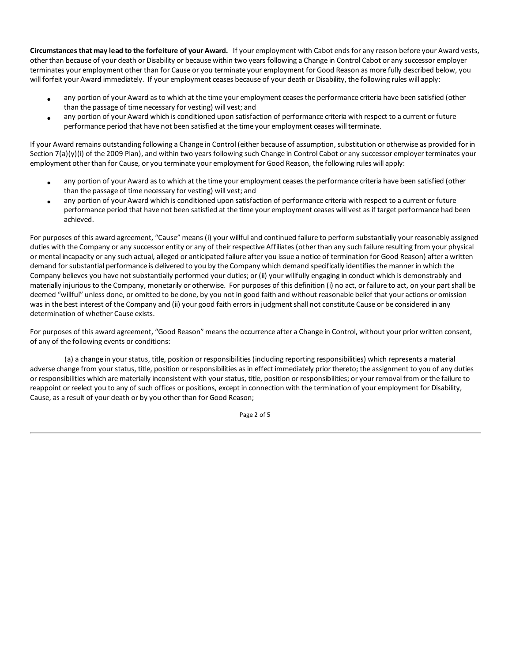**Circumstances that may lead to the forfeiture of your Award.** If your employment with Cabot ends for any reason before your Award vests, other than because of your death or Disability or because within two years following a Change in Control Cabot or any successor employer terminates your [employme](#page-2-0)nt other than for Cause or you terminate your employment for Good Reason as more fully described below, you will forfeit your Award immediately. If your employment ceases because of your death or Disability, the following rules will apply:

- any portion of your [Award](#page-2-0) as to which at the time your employment ceases the [performance](#page-2-0) criteria have been satisfied (other than the passage of time [necessary](#page-3-0) for vesting) will vest; and
- any portion of your Award which is [conditioned](#page-4-0) upon satisfaction of performance criteria with respect to a current or future performance period that have not been satisfied at the time your [employment](#page-6-0) ceases will terminate.

If your Award remains [outstanding](#page-7-0) following a Change in Control (either because of assumption, substitution or otherwise as provided for in Section 7(a)(y)(i) of the 2009 Plan), and within two years [following](#page-27-0) such Change in Control Cabot or any successor employer terminates your employment other than for Cause, or you terminate your [employment](#page-40-0) for Good Reason, the following rules will apply:

- any portion of your [Award](#page-40-0) as to which at the time your employment ceases the performance criteria have been satisfied (other [than](#page-40-0) the passage of time necessary for vesting) will vest; and
- any portion of [your](#page-40-0) Award which is conditioned upon satisfaction of performance criteria with respect to a current or future performance period that have not been [satisfied](#page-41-0) at the time your employment ceases will vest as if target performance had been achieve[d.](#page-41-0)

For purposes of this award agreement, "Cause" means (i) your willful and continued failure to perform substantially your reasonably assigned duties with the Company or any successor entity or any of their respective Affiliates (other than any such failure resulting from your physical or mental incapacity or any such actual, alleged or anticipated failure after you issue a notice of termination for Good Reason) after a written demand forsubstantial performance is delivered to you by the Company which demand specifically identifies the manner in which the Company believes you have not substantially performed your duties; or (ii) your willfully engaging in conduct which is demonstrably and materially injurious to the Company, monetarily or otherwise. For purposes of this definition (i) no act, or failure to act, on your part shall be deemed "willful" unless done, or omitted to be done, by you not in good faith and without reasonable belief that your actions or omission was in the best interest of the Company and (ii) your good faith errors in judgment shall not constitute Cause or be considered in any determination of whether Cause exists.

For purposes of this award agreement, "Good Reason" means the occurrence after a Change in Control, without your prior written consent, of any of the following events or conditions:

(a) a change in yourstatus, title, position or responsibilities (including reporting responsibilities) which represents a material adverse change from yourstatus, title, position or responsibilities as in effect immediately prior thereto; the assignment to you of any duties or responsibilities which are materially inconsistent with yourstatus, title, position or responsibilities; or your removal from or the failure to reappoint or reelect you to any of such offices or positions, except in connection with the termination of your employment for Disability, Cause, as a result of your death or by you other than for Good Reason;

Page 2 of 5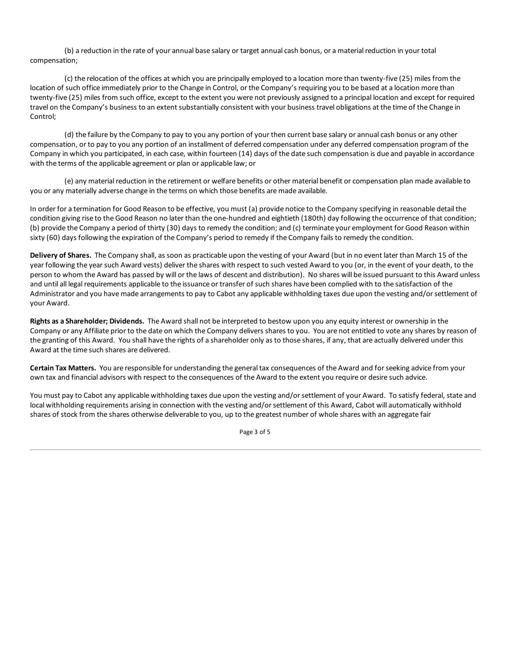(b) a reduction in the rate of your annual base salary or target annual cash bonus, or a material reduction in your total compensation;

(c) the relocation of the offices at which you are principally employed to a location more than twenty-five (25) miles from the location of such office immediately prior to the Change in Control, or the Company's requiring you to be based at a location more than twenty-five (25) miles from such office, except to the extent you were not previously assigned to a principal location and except for required travel on the Company's business to an extent substantially consistent with your business travel obligations at the time of the Change in Control;

(d) the failure by the Company to pay to you any portion of your then current base salary or annual cash bonus or any other compensation, or to pay to you any portion of an installment of deferred compensation under any deferred compensation program of the Company in which you participated, in each case, within fourteen (14) days of the date such compensation is due and payable in accordance with the terms of the applicable agreement or plan or applicable law; or

(e) any material reduction in the retirement or welfare benefits or other material benefit or compensation plan made available to you or any materially adverse change in the terms on which those benefits are made available.

In order for a termination for Good Reason to be effective, you must (a) provide notice to the Company specifying in reasonable detail the condition giving rise to the Good Reason no later than the one-hundred and eightieth (180th) day following the occurrence of that condition; (b) provide the Company a period of thirty (30) days to remedy the condition; and (c) terminate your employment for Good Reason within sixty (60) days following the expiration of the Company's period to remedy if the Company fails to remedy the condition.

**Delivery of Shares.** The Company shall, as soon as practicable upon the vesting of your Award (but in no event later than March 15 of the year following the year such Award vests) deliver the shares with respect to such vested Award to you (or, in the event of your death, to the person to whom the Award has passed by will or the laws of descent and distribution). No shares will be issued pursuant to this Award unless and until all legal requirements applicable to the issuance or transfer of such shares have been complied with to the satisfaction of the Administrator and you have made arrangements to pay to Cabot any applicable withholding taxes due upon the vesting and/orsettlement of your Award.

**Rights as a Shareholder; Dividends.** The Award shall not be interpreted to bestow upon you any equity interest or ownership in the Company or any Affiliate prior to the date on which the Company delivers shares to you. You are not entitled to vote any shares by reason of the granting of this Award. You shall have the rights of a shareholder only as to those shares, if any, that are actually delivered under this Award at the time such shares are delivered.

**Certain Tax Matters.** You are responsible for understanding the general tax consequences of the Award and forseeking advice from your own tax and financial advisors with respect to the consequences of the Award to the extent you require or desire such advice.

You must pay to Cabot any applicable withholding taxes due upon the vesting and/orsettlement of your Award. To satisfy federal, state and local withholding requirements arising in connection with the vesting and/or settlement of this Award, Cabot will automatically withhold shares of stock from the shares otherwise deliverable to you, up to the greatest number of whole shares with an aggregate fair

Page 3 of 5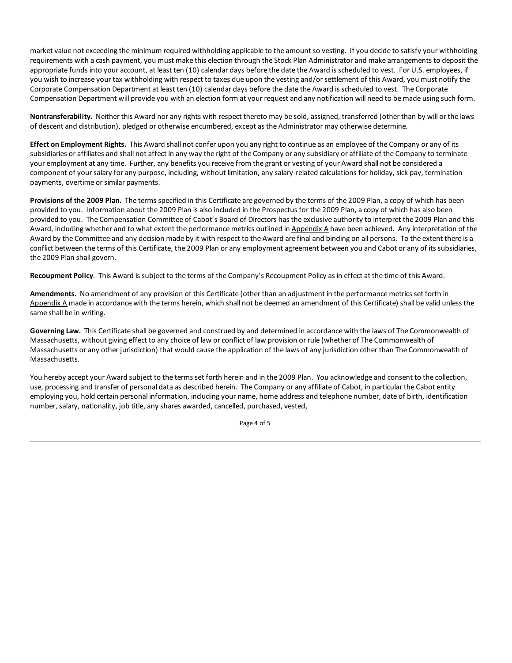market value not exceeding the minimum required withholding applicable to the amount so vesting. If you decide to satisfy your withholding requirements with a cash payment, you must make this election through the Stock Plan Administrator and make arrangements to deposit the appropriate funds into your account, at least ten (10) calendar days before the date the Award is scheduled to vest. For U.S. employees, if you wish to increase your tax withholding with respect to taxes due upon the vesting and/orsettlement of this Award, you must notify the Corporate Compensation Department at least ten (10) calendar days before the date the Award is scheduled to vest. The Corporate Compensation Department will provide you with an election form at your request and any notification will need to be made using such form.

**Nontransferability.** Neither this Award nor any rights with respect thereto may be sold, assigned, transferred (other than by will or the laws of descent and distribution), pledged or otherwise encumbered, except as the Administrator may otherwise determine.

**Effect on Employment Rights.** This Award shall not confer upon you any right to continue as an employee of the Company or any of its subsidiaries or affiliates and shall not affect in any way the right of the Company or any subsidiary or affiliate of the Company to terminate your employment at any time. Further, any benefits you receive from the grant or vesting of your Award shall not be considered a component of yoursalary for any purpose, including, without limitation, any salary-related calculations for holiday, sick pay, termination payments, overtime or similar payments.

**Provisions of the 2009 Plan.** The terms specified in this Certificate are governed by the terms of the 2009 Plan, a copy of which has been provided to you. Information about the 2009 Plan is also included in the Prospectus for the 2009 Plan, a copy of which has also been provided to you. The Compensation Committee of Cabot's Board of Directors has the exclusive authority to interpret the 2009 Plan and this Award, including whether and to what extent the performance metrics outlined in Appendix A have been achieved. Any interpretation of the Award by the Committee and any decision made by it with respect to the Award are final and binding on all persons. To the extent there is a conflict between the terms of this Certificate, the 2009 Plan or any employment agreement between you and Cabot or any of its subsidiaries, the 2009 Plan shall govern.

**Recoupment Policy**. This Award is subject to the terms of the Company's Recoupment Policy as in effect at the time of this Award.

**Amendments.** No amendment of any provision of this Certificate (other than an adjustment in the performance metrics set forth in Appendix A made in accordance with the terms herein, which shall not be deemed an amendment of this Certificate) shall be valid unless the same shall be in writing.

**Governing Law.** This Certificate shall be governed and construed by and determined in accordance with the laws of The Commonwealth of Massachusetts, without giving effect to any choice of law or conflict of law provision or rule (whether of The Commonwealth of Massachusetts or any other jurisdiction) that would cause the application of the laws of any jurisdiction other than The Commonwealth of Massachusetts.

You hereby accept your Award subject to the terms set forth herein and in the 2009 Plan. You acknowledge and consent to the collection, use, processing and transfer of personal data as described herein. The Company or any affiliate of Cabot, in particular the Cabot entity employing you, hold certain personal information, including your name, home address and telephone number, date of birth, identification number, salary, nationality, job title, any shares awarded, cancelled, purchased, vested,

Page 4 of 5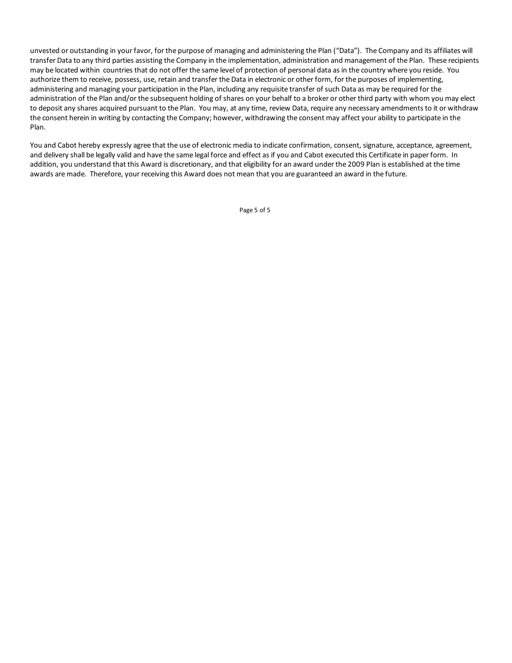unvested or outstanding in your favor, for the purpose of managing and administering the Plan ("Data"). The Company and its affiliates will transfer Data to any third parties assisting the Company in the implementation, administration and management of the Plan. These recipients may be located within countries that do not offer the same level of protection of personal data as in the country where you reside. You authorize them to receive, possess, use, retain and transfer the Data in electronic or other form, for the purposes of implementing, administering and managing your participation in the Plan, including any requisite transfer of such Data as may be required for the administration of the Plan and/or the subsequent holding of shares on your behalf to a broker or other third party with whom you may elect to deposit any shares acquired pursuant to the Plan. You may, at any time, review Data, require any necessary amendments to it or withdraw the consent herein in writing by contacting the Company; however, withdrawing the consent may affect your ability to participate in the Plan.

You and Cabot hereby expressly agree that the use of electronic media to indicate confirmation, consent, signature, acceptance, agreement, and delivery shall be legally valid and have the same legal force and effect as if you and Cabot executed this Certificate in paper form. In addition, you understand that this Award is discretionary, and that eligibility for an award under the 2009 Plan is established at the time awards are made. Therefore, your receiving this Award does not mean that you are guaranteed an award in the future.

Page 5 of 5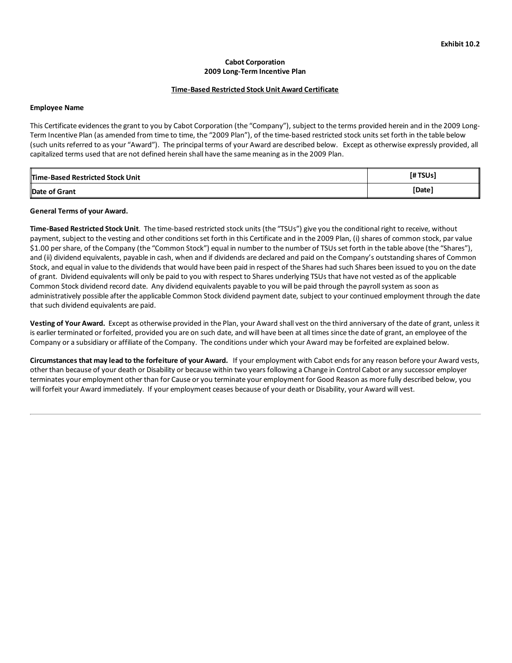## **Cabot Corporation 2009 Long-Term Incentive Plan**

## **Time-Based Restricted Stock Unit Award Certificate**

## **Employee Name**

This Certificate evidences the grant to you by Cabot Corporation (the "Company"), subject to the terms provided herein and in the 2009 Long-Term Incentive Plan (as amended from time to time, the "2009 Plan"), of the time-based restricted stock units set forth in the table below (such units referred to as your "Award"). The principal terms of your Award are described below. Except as otherwise expressly provided, all capitalized terms used that are not defined herein shall have the same meaning as in the 2009 Plan.

| Time-Based Restricted Stock Unit | [# TSUs |
|----------------------------------|---------|
| Date of Grant                    | [Date]  |

## **General Terms of your Award.**

**Time-Based Restricted Stock Unit**. The time-based restricted stock units (the "TSUs") give you the conditionalright to receive, without payment, subject to the vesting and other conditions set forth in this Certificate and in the 2009 Plan, (i) shares of common stock, par value \$1.00 pershare, of the Company (the "Common Stock") equal in number to the number of TSUs set forth in the table above (the "Shares"), and (ii) dividend equivalents, payable in cash, when and if dividends are declared and paid on the Company's outstanding shares of Common Stock, and equal in value to the dividends that would have been paid in respect of the Shares had such Shares been issued to you on the date of grant. Dividend equivalents will only be paid to you with respect to Shares underlying TSUs that have not vested as of the applicable Common Stock dividend record date. Any dividend equivalents payable to you will be paid through the payrollsystem as soon as administratively possible after the applicable Common Stock dividend payment date, subject to your continued employment through the date that such dividend equivalents are paid.

**Vesting of Your Award.** Except as otherwise provided in the Plan, your Award shall vest on the third anniversary of the date of grant, unless it is earlier terminated or forfeited, provided you are on such date, and will have been at all times since the date of grant, an employee of the Company or a subsidiary or affiliate of the Company. The conditions under which your Award may be forfeited are explained below.

**Circumstances that may lead to the forfeiture of your Award.** If your employment with Cabot ends for any reason before your Award vests, other than because of your death or Disability or because within two years following a Change in Control Cabot or any successor employer terminates your employment other than for Cause or you terminate your employment for Good Reason as more fully described below, you will forfeit your Award immediately. If your employment ceases because of your death or Disability, your Award will vest.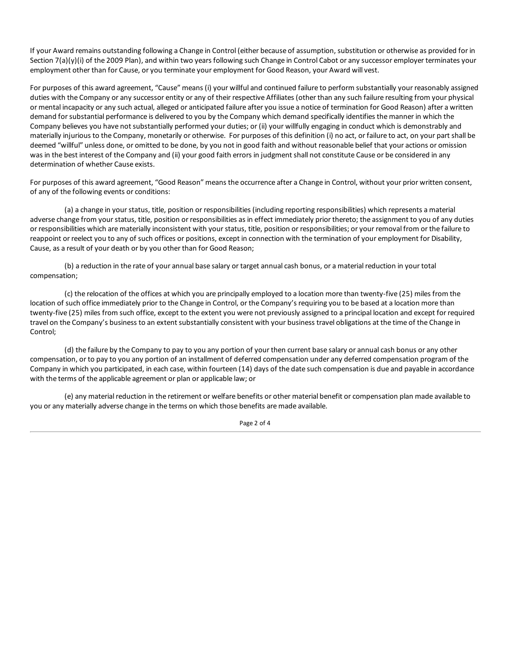If your Award remains outstanding following a Change in Control (either because of assumption, substitution or otherwise as provided for in Section 7(a)(y)(i) of the 2009 Plan), and within two years following such Change in Control Cabot or any successor employer terminates your employment [other](#page-2-0) than for Cause, or you terminate your employment for Good Reason, your Award will vest.

For purposes of this award [agreement,](#page-2-0) "Cause" means (i) your willful and continued failure to perform substantially your reasonably assigned duties with the Company or any successor entity or any of their [respective](#page-2-0) Affiliates (other than any such failure resulting from your physical or mental incapacity or any such actual, alleged or anticipated failure after you issue a notice of [termination](#page-3-0) for Good Reason) after a written demand forsubstantial [performance](#page-4-0) is delivered to you by the Company which demand specifically identifies the manner in which the Company believes you have not [substantially](#page-6-0) performed your duties; or (ii) your willfully engaging in conduct which is demonstrably and materially injurious to the Company, [monetarily](#page-7-0) or otherwise. For purposes of this definition (i) no act, or failure to act, on your part shall be deemed "willful" unless done, or omitted to be done, by you not in good faith and without reasonable belief that your actions or omission was in the best interest of the Company and (ii) your good faith errors in [judgment](#page-27-0) shall not constitute Cause or be considered in any determination of [whether](#page-40-0) Cause exists.

For purposes of this award [agreement,](#page-40-0) "Good Reason" means the occurrence after a Change in Control, without your prior written consent, of any of the [following](#page-40-0) [events](#page-40-0) or conditions:

(a) a change in yourstatus, title, position or [responsibilities](#page-41-0) (including reporting responsibilities) which represents a material adverse change from [your](#page-41-0)status, title, position or responsibilities as in effect immediately prior thereto; the assignment to you of any duties or responsibilities which are materially inconsistent with yourstatus, title, position or responsibilities; or your removal from or the failure to reappoint or reelect you to any of such offices or positions, except in connection with the termination of your employment for Disability, Cause, as a result of your death or by you other than for Good Reason;

(b) a reduction in the rate of your annual base salary or target annual cash bonus, or a material reduction in your total compensation;

(c) the relocation of the offices at which you are principally employed to a location more than twenty-five (25) miles from the location of such office immediately prior to the Change in Control, or the Company's requiring you to be based at a location more than twenty-five (25) miles from such office, except to the extent you were not previously assigned to a principal location and except for required travel on the Company's business to an extent substantially consistent with your business travel obligations at the time of the Change in Control;

(d) the failure by the Company to pay to you any portion of your then current base salary or annual cash bonus or any other compensation, or to pay to you any portion of an installment of deferred compensation under any deferred compensation program of the Company in which you participated, in each case, within fourteen (14) days of the date such compensation is due and payable in accordance with the terms of the applicable agreement or plan or applicable law; or

(e) any material reduction in the retirement or welfare benefits or other material benefit or compensation plan made available to you or any materially adverse change in the terms on which those benefits are made available.

Page 2 of 4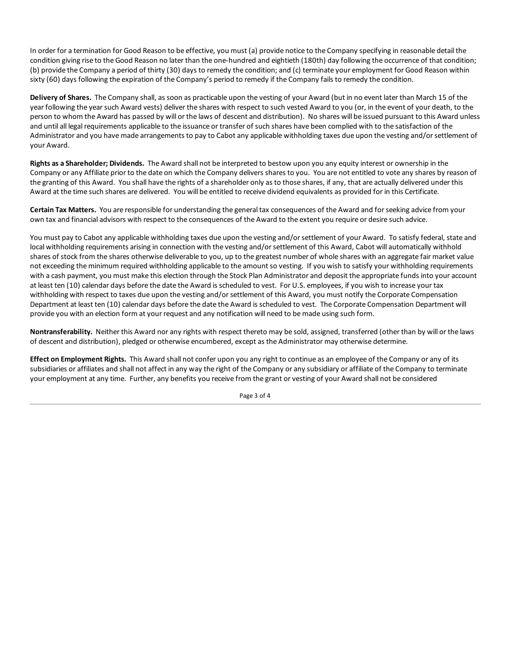In order for a termination for Good Reason to be effective, you must (a) provide notice to the Company specifying in reasonable detail the condition giving rise to the Good Reason no later than the one-hundred and eightieth (180th) day following the occurrence of that condition; (b) provide the Company a period of thirty (30) days to remedy the condition; and (c) terminate your employment for Good Reason within sixty (60) days following the expiration of the Company's period to remedy if the Company fails to remedy the condition.

**Delivery of Shares.** The Company shall, as soon as practicable upon the vesting of your Award (but in no event later than March 15 of the year following the yearsuch Award vests) deliver the shares with respect to such vested Award to you (or, in the event of your death, to the person to whom the Award has passed by will or the laws of descent and distribution). No shares will be issued pursuant to this Award unless and until all legalrequirements applicable to the issuance or transfer of such shares have been complied with to the satisfaction of the Administrator and you have made arrangements to pay to Cabot any applicable withholding taxes due upon the vesting and/orsettlement of your Award.

**Rights as a Shareholder; Dividends.** The Award shall not be interpreted to bestow upon you any equity interest or ownership in the Company or any Affiliate prior to the date on which the Company delivers shares to you. You are not entitled to vote any shares by reason of the granting of this Award. You shall have the rights of a shareholder only as to those shares, if any, that are actually delivered under this Award at the time such shares are delivered. You will be entitled to receive dividend equivalents as provided for in this Certificate.

**Certain Tax Matters.** You are responsible for understanding the general tax consequences of the Award and forseeking advice from your own tax and financial advisors with respect to the consequences of the Award to the extent you require or desire such advice.

You must pay to Cabot any applicable withholding taxes due upon the vesting and/orsettlement of your Award. To satisfy federal, state and local withholding requirements arising in connection with the vesting and/or settlement of this Award, Cabot will automatically withhold shares of stock from the shares otherwise deliverable to you, up to the greatest number of whole shares with an aggregate fair market value not exceeding the minimum required withholding applicable to the amount so vesting. If you wish to satisfy your withholding requirements with a cash payment, you must make this election through the Stock Plan Administrator and deposit the appropriate funds into your account at least ten (10) calendar days before the date the Award is scheduled to vest. For U.S. employees, if you wish to increase your tax withholding with respect to taxes due upon the vesting and/orsettlement of this Award, you must notify the Corporate Compensation Department at least ten (10) calendar days before the date the Award is scheduled to vest. The Corporate Compensation Department will provide you with an election form at your request and any notification will need to be made using such form.

**Nontransferability.** Neither this Award nor any rights with respect thereto may be sold, assigned, transferred (other than by will or the laws of descent and distribution), pledged or otherwise encumbered, except as the Administrator may otherwise determine.

**Effect on Employment Rights.** This Award shall not confer upon you any right to continue as an employee of the Company or any of its subsidiaries or affiliates and shall not affect in any way the right of the Company or any subsidiary or affiliate of the Company to terminate your employment at any time. Further, any benefits you receive from the grant or vesting of your Award shall not be considered

Page 3 of 4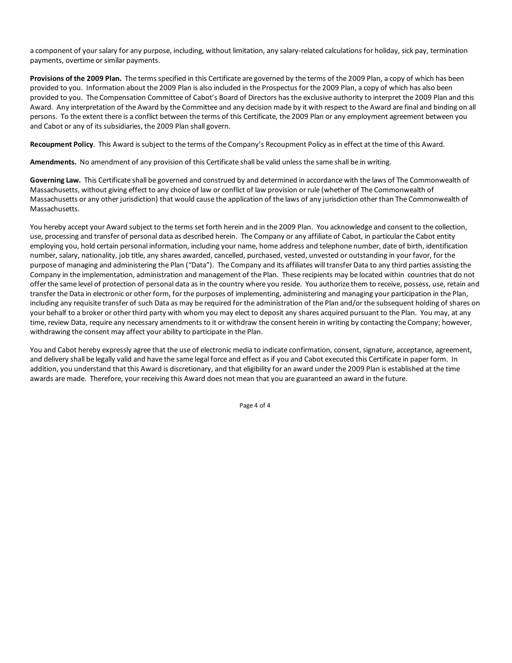a component of yoursalary for any purpose, including, without limitation, any salary-related calculations for holiday, sick pay, termination payments, overtime or similar payments.

**Provisions of the 2009 Plan.** The terms specified in this Certificate are governed by the terms of the 2009 Plan, a copy of which has been provided to you. Information about the 2009 Plan is also included in the Prospectus for the 2009 Plan, a copy of which has also been provided to you. The Compensation Committee of Cabot's Board of Directors has the exclusive authority to interpret the 2009 Plan and this Award. Any interpretation of the Award by the Committee and any decision made by it with respect to the Award are final and binding on all persons. To the extent there is a conflict between the terms of this Certificate, the 2009 Plan or any employment agreement between you and Cabot or any of its subsidiaries, the 2009 Plan shall govern.

**Recoupment Policy**. This Award is subject to the terms of the Company's Recoupment Policy as in effect at the time of this Award.

**Amendments.** No amendment of any provision of this Certificate shall be valid unless the same shall be in writing.

**Governing Law.** This Certificate shall be governed and construed by and determined in accordance with the laws of The Commonwealth of Massachusetts, without giving effect to any choice of law or conflict of law provision or rule (whether of The Commonwealth of Massachusetts or any other jurisdiction) that would cause the application of the laws of any jurisdiction other than The Commonwealth of Massachusetts.

You hereby accept your Award subject to the terms set forth herein and in the 2009 Plan. You acknowledge and consent to the collection, use, processing and transfer of personal data as described herein. The Company or any affiliate of Cabot, in particular the Cabot entity employing you, hold certain personal information, including your name, home address and telephone number, date of birth, identification number, salary, nationality, job title, any shares awarded, cancelled, purchased, vested, unvested or outstanding in your favor, for the purpose of managing and administering the Plan ("Data"). The Company and its affiliates will transfer Data to any third parties assisting the Company in the implementation, administration and management of the Plan. These recipients may be located within countries that do not offer the same level of protection of personal data as in the country where you reside. You authorize them to receive, possess, use, retain and transfer the Data in electronic or other form, for the purposes of implementing, administering and managing your participation in the Plan, including any requisite transfer of such Data as may be required for the administration of the Plan and/or the subsequent holding of shares on your behalf to a broker or other third party with whom you may elect to deposit any shares acquired pursuant to the Plan. You may, at any time, review Data, require any necessary amendments to it or withdraw the consent herein in writing by contacting the Company; however, withdrawing the consent may affect your ability to participate in the Plan.

You and Cabot hereby expressly agree that the use of electronic media to indicate confirmation, consent, signature, acceptance, agreement, and delivery shall be legally valid and have the same legal force and effect as if you and Cabot executed this Certificate in paper form. In addition, you understand that this Award is discretionary, and that eligibility for an award under the 2009 Plan is established at the time awards are made. Therefore, your receiving this Award does not mean that you are guaranteed an award in the future.

Page 4 of 4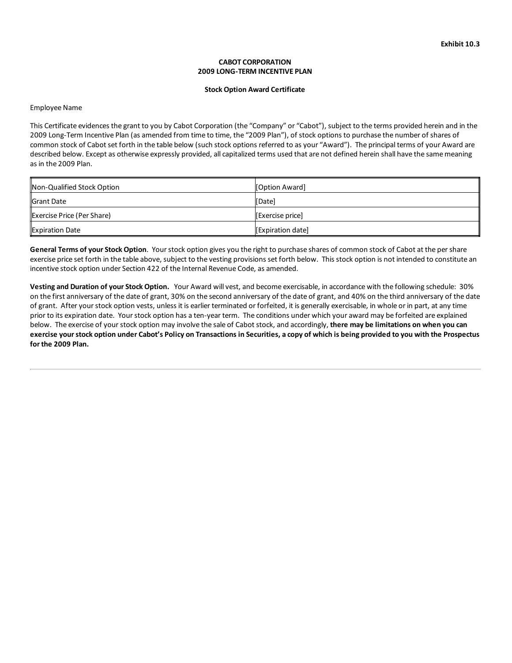## **CABOT CORPORATION 2009 LONG-TERM INCENTIVE PLAN**

## **Stock Option Award Certificate**

## Employee Name

This Certificate evidences the grant to you by Cabot Corporation (the "Company" or "Cabot"), subject to the terms provided herein and in the 2009 Long-Term Incentive Plan (as amended from time to time, the "2009 Plan"), of stock options to purchase the number of shares of common stock of Cabot set forth in the table below (such stock options referred to as your "Award"). The principal terms of your Award are described below. Except as otherwise expressly provided, all capitalized terms used that are not defined herein shall have the same meaning as in the 2009 Plan.

| Non-Qualified Stock Option | [Option Award]    |
|----------------------------|-------------------|
| <b>Grant Date</b>          | [Date]            |
| Exercise Price (Per Share) | [Exercise price]  |
| <b>Expiration Date</b>     | [Expiration date] |

**General Terms of your Stock Option**. Yourstock option gives you the right to purchase shares of common stock of Cabot at the pershare exercise price set forth in the table above, subject to the vesting provisions set forth below. This stock option is not intended to constitute an incentive stock option under Section 422 of the Internal Revenue Code, as amended.

**Vesting and Duration of your Stock Option.** Your Award will vest, and become exercisable, in accordance with the following schedule: 30% on the first anniversary of the date of grant, 30% on the second anniversary of the date of grant, and 40% on the third anniversary of the date of grant. After your stock option vests, unless it is earlier terminated or forfeited, it is generally exercisable, in whole or in part, at any time prior to its expiration date. Yourstock option has a ten-year term. The conditions under which your award may be forfeited are explained below. The exercise of yourstock option may involve the sale of Cabot stock, and accordingly, **there may be limitations on when you can** exercise your stock option under Cabot's Policy on Transactions in Securities, a copy of which is being provided to you with the Prospectus **for the 2009 Plan.**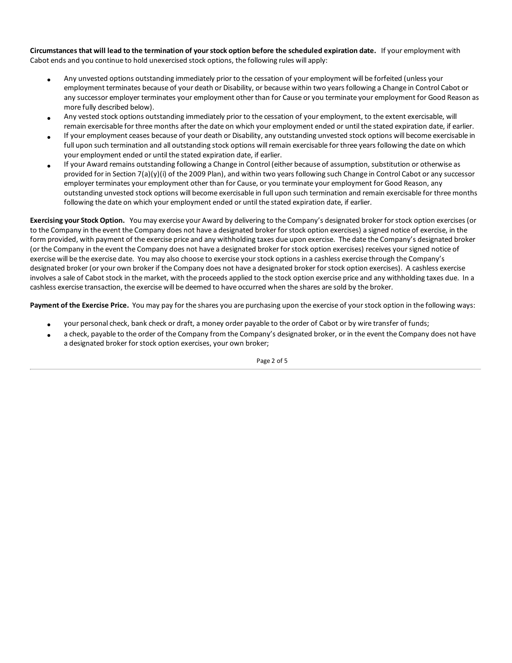Circumstances that will lead to the termination of your stock option before the scheduled expiration date. If your employment with Cabot ends and you continue to hold unexercised stock options, the following rules will apply:

- Any [unvested](#page-2-0) options outstanding immediately prior to the cessation of your employment will be forfeited (unless your employment [terminates](#page-2-0) because of your death or Disability, or because within two years following a Change in Control Cabot or any successor employer terminates your [employment](#page-2-0) other than for Cause or you terminate your employment for Good Reason as more fully [described](#page-3-0) below).
- Any vested stock options outstanding [immediately](#page-4-0) prior to the cessation of your employment, to the extent exercisable, will remain exercisable for three months after the date on which your [employment](#page-6-0) ended or until the stated expiration date, if earlier.
- If your [employment](#page-7-0) ceases because of your death or Disability, any outstanding unvested stock options will become exercisable in full upon such termination and all outstanding stock options will remain exercisable for three years following the date on which your employment ended or until the stated [expiration](#page-27-0) date, if earlier.
- If your Award remains [outstanding](#page-40-0) following a Change in Control (either because of assumption, substitution or otherwise as provided for in [Section](#page-40-0) 7(a)(y)(i) of the 2009 Plan), and within two years following such Change in Control Cabot or any successor employer terminates your employment other than for Cause, or you terminate your employment for Good Reason, any [outstanding](#page-40-0) unvested stock options will become exercisable in full upon such termination and remain exercisable for three months following the [date](#page-40-0) on which your [employment](#page-41-0) ended or until the stated expiration date, if earlier.

**Exercising your Stock [Opt](#page-41-0)ion.** You may exercise your Award by delivering to the Company's designated broker forstock option exercises (or to the Company in the event the Company does not have a designated broker forstock option exercises) a signed notice of exercise, in the form provided, with payment of the exercise price and any withholding taxes due upon exercise. The date the Company's designated broker (or the Company in the event the Company does not have a designated broker for stock option exercises) receives your signed notice of exercise will be the exercise date. You may also choose to exercise yourstock options in a cashless exercise through the Company's designated broker (or your own broker if the Company does not have a designated broker forstock option exercises). A cashless exercise involves a sale of Cabot stock in the market, with the proceeds applied to the stock option exercise price and any withholding taxes due. In a cashless exercise transaction, the exercise will be deemed to have occurred when the shares are sold by the broker.

**Payment of the Exercise Price.** You may pay for the shares you are purchasing upon the exercise of yourstock option in the following ways:

- · your personal check, bank check or draft, a money order payable to the order of Cabot or by wire transfer of funds;
- a check, payable to the order of the Company from the Company's designated broker, or in the event the Company does not have a designated broker for stock option exercises, your own broker;

Page 2 of 5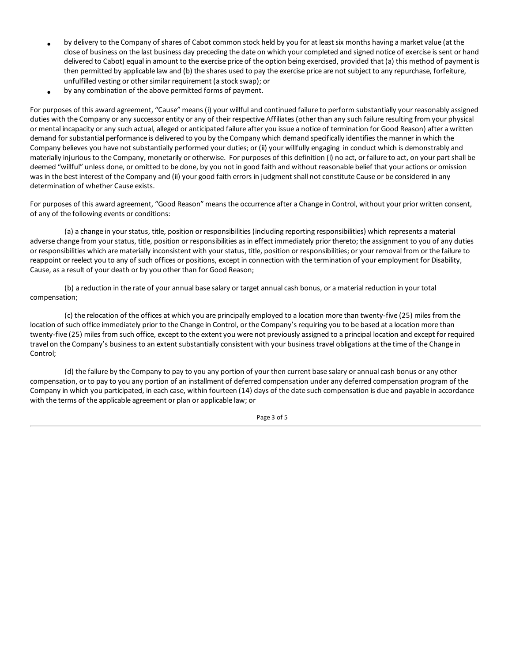- · by delivery to the Company of shares of Cabot common stock held by you for at least six months having a market value (at the close of business on the last business day preceding the date on which your completed and signed notice of exercise is sent or hand delivered to Cabot) equal in amount to the exercise price of the option being exercised, provided that (a) this method of payment is then permitted by applicable law and (b) the shares used to pay the exercise price are not subject to any repurchase, forfeiture, unfulfilled vesting or other similar requirement (a stock swap); or
- by any combination of the above permitted forms of payment.

For purposes of this award agreement, "Cause" means (i) your willful and continued failure to perform substantially your reasonably assigned duties with the Company or any successor entity or any of their respective Affiliates (other than any such failure resulting from your physical or mental incapacity or any such actual, alleged or anticipated failure after you issue a notice of termination for Good Reason) after a written demand forsubstantial performance is delivered to you by the Company which demand specifically identifies the manner in which the Company believes you have not substantially performed your duties; or (ii) your willfully engaging in conduct which is demonstrably and materially injurious to the Company, monetarily or otherwise. For purposes of this definition (i) no act, or failure to act, on your part shall be deemed "willful" unless done, or omitted to be done, by you not in good faith and without reasonable belief that your actions or omission was in the best interest of the Company and (ii) your good faith errors in judgment shall not constitute Cause or be considered in any determination of whether Cause exists.

For purposes of this award agreement, "Good Reason" means the occurrence after a Change in Control, without your prior written consent, of any of the following events or conditions:

(a) a change in yourstatus, title, position or responsibilities (including reporting responsibilities) which represents a material adverse change from yourstatus, title, position or responsibilities as in effect immediately prior thereto; the assignment to you of any duties or responsibilities which are materially inconsistent with yourstatus, title, position or responsibilities; or your removal from or the failure to reappoint or reelect you to any of such offices or positions, except in connection with the termination of your employment for Disability, Cause, as a result of your death or by you other than for Good Reason;

(b) a reduction in the rate of your annual base salary or target annual cash bonus, or a material reduction in your total compensation;

(c) the relocation of the offices at which you are principally employed to a location more than twenty-five (25) miles from the location of such office immediately prior to the Change in Control, or the Company's requiring you to be based at a location more than twenty-five (25) miles from such office, except to the extent you were not previously assigned to a principal location and except for required travel on the Company's business to an extent substantially consistent with your business travel obligations at the time of the Change in Control;

(d) the failure by the Company to pay to you any portion of your then current base salary or annual cash bonus or any other compensation, or to pay to you any portion of an installment of deferred compensation under any deferred compensation program of the Company in which you participated, in each case, within fourteen (14) days of the date such compensation is due and payable in accordance with the terms of the applicable agreement or plan or applicable law; or

Page 3 of 5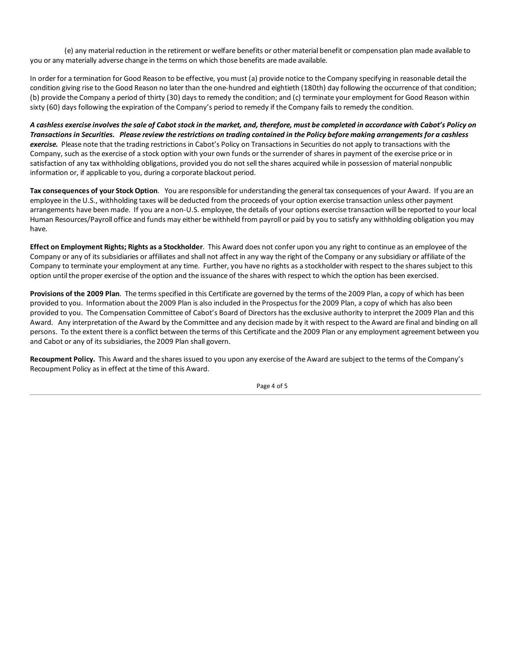(e) any material reduction in the retirement or welfare benefits or other material benefit or compensation plan made available to you or any materially adverse change in the terms on which those benefits are made available.

In order for a termination for Good Reason to be effective, you must (a) provide notice to the Company specifying in reasonable detail the condition giving rise to the Good Reason no later than the one-hundred and eightieth (180th) day following the occurrence of that condition; (b) provide the Company a period of thirty (30) days to remedy the condition; and (c) terminate your employment for Good Reason within sixty (60) days following the expiration of the Company's period to remedy if the Company fails to remedy the condition.

A cashless exercise involves the sale of Cabot stock in the market, and, therefore, must be completed in accordance with Cabot's Policy on Transactions in Securities. Please review the restrictions on trading contained in the Policy before making arrangements for a cashless *exercise.* Please note that the trading restrictions in Cabot's Policy on Transactions in Securities do not apply to transactions with the Company, such as the exercise of a stock option with your own funds or the surrender of shares in payment of the exercise price or in satisfaction of any tax withholding obligations, provided you do not sell the shares acquired while in possession of material nonpublic information or, if applicable to you, during a corporate blackout period.

**Tax consequences of your Stock Option**. You are responsible for understanding the general tax consequences of your Award. If you are an employee in the U.S., withholding taxes will be deducted from the proceeds of your option exercise transaction unless other payment arrangements have been made. If you are a non-U.S. employee, the details of your options exercise transaction will be reported to your local Human Resources/Payroll office and funds may either be withheld from payroll or paid by you to satisfy any withholding obligation you may have.

**Effect on Employment Rights; Rights as a Stockholder**. This Award does not confer upon you any right to continue as an employee of the Company or any of its subsidiaries or affiliates and shall not affect in any way the right of the Company or any subsidiary or affiliate of the Company to terminate your employment at any time. Further, you have no rights as a stockholder with respect to the shares subject to this option until the proper exercise of the option and the issuance of the shares with respect to which the option has been exercised.

**Provisions of the 2009 Plan**. The terms specified in this Certificate are governed by the terms of the 2009 Plan, a copy of which has been provided to you. Information about the 2009 Plan is also included in the Prospectus for the 2009 Plan, a copy of which has also been provided to you. The Compensation Committee of Cabot's Board of Directors has the exclusive authority to interpret the 2009 Plan and this Award. Any interpretation of the Award by the Committee and any decision made by it with respect to the Award are final and binding on all persons. To the extent there is a conflict between the terms of this Certificate and the 2009 Plan or any employment agreement between you and Cabot or any of its subsidiaries, the 2009 Plan shall govern.

**Recoupment Policy.** This Award and the shares issued to you upon any exercise of the Award are subject to the terms of the Company's Recoupment Policy as in effect at the time of this Award.

Page 4 of 5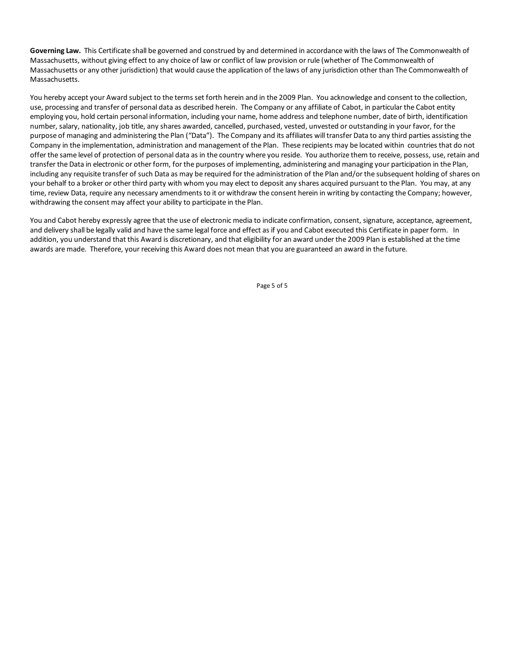**Governing Law.** This Certificate shall be governed and construed by and determined in accordance with the laws of The Commonwealth of Massachusetts, without giving effect to any choice of law or conflict of law provision or rule (whether of The Commonwealth of Massachusetts or any other jurisdiction) that would cause the application of the laws of any jurisdiction other than The Commonwealth of Massachusetts.

You hereby accept your Award subject to the terms set forth herein and in the 2009 Plan. You acknowledge and consent to the collection, use, processing and transfer of personal data as described herein. The Company or any affiliate of Cabot, in particular the Cabot entity employing you, hold certain personal information, including your name, home address and telephone number, date of birth, identification number, salary, nationality, job title, any shares awarded, cancelled, purchased, vested, unvested or outstanding in your favor, for the purpose of managing and administering the Plan ("Data"). The Company and its affiliates will transfer Data to any third parties assisting the Company in the implementation, administration and management of the Plan. These recipients may be located within countries that do not offer the same level of protection of personal data as in the country where you reside. You authorize them to receive, possess, use, retain and transfer the Data in electronic or other form, for the purposes of implementing, administering and managing your participation in the Plan, including any requisite transfer of such Data as may be required for the administration of the Plan and/or the subsequent holding of shares on your behalf to a broker or other third party with whom you may elect to deposit any shares acquired pursuant to the Plan. You may, at any time, review Data, require any necessary amendments to it or withdraw the consent herein in writing by contacting the Company; however, withdrawing the consent may affect your ability to participate in the Plan.

You and Cabot hereby expressly agree that the use of electronic media to indicate confirmation, consent, signature, acceptance, agreement, and delivery shall be legally valid and have the same legal force and effect as if you and Cabot executed this Certificate in paper form. In addition, you understand that this Award is discretionary, and that eligibility for an award under the 2009 Plan is established at the time awards are made. Therefore, your receiving this Award does not mean that you are guaranteed an award in the future.

Page 5 of 5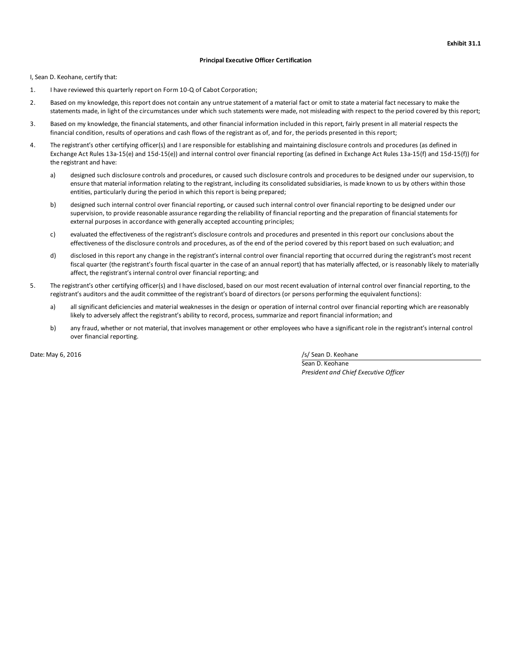#### **Principal Executive Officer Certification**

I, Sean D. Keohane, certify that:

- 1. I have reviewed this quarterly report on Form 10-Q of Cabot Corporation;
- 2. Based on my knowledge, this report does not contain any untrue statement of a material fact or omit to state a material fact necessary to make the statements made, in light of the circumstances under which such statements were made, not misleading with respect to the period covered by this report;
- 3. Based on my knowledge, the financial statements, and other financial information included in this report, fairly present in all material respects the financial condition, results of operations and cash flows of the registrant as of, and for, the periods presented in this report;
- 4. The registrant's other certifying officer(s) and I are responsible for establishing and maintaining disclosure controls and procedures (as defined in Exchange Act Rules 13a-15(e) and 15d-15(e)) and internal control over financial reporting (as defined in Exchange Act Rules 13a-15(f) and 15d-15(f)) for the registrant and have:
	- a) designed such disclosure controls and procedures, or caused such disclosure controls and procedures to be designed under our supervision, to ensure that material information relating to the registrant, including its consolidated subsidiaries, is made known to us by others within those entities, particularly during the period in which this report is being prepared;
	- b) designed such internal control over financial reporting, or caused such internal control over financial reporting to be designed under our supervision, to provide reasonable assurance regarding the reliability of financial reporting and the preparation of financial statements for external purposes in accordance with generally accepted accounting principles;
	- c) evaluated the effectiveness of the registrant's disclosure controls and procedures and presented in this report our conclusions about the effectiveness of the disclosure controls and procedures, as of the end of the period covered by this report based on such evaluation; and
	- d) disclosed in this report any change in the registrant's internal control over financial reporting that occurred during the registrant's most recent fiscal quarter (the registrant's fourth fiscal quarter in the case of an annual report) that has materially affected, or is reasonably likely to materially affect, the registrant's internal control over financial reporting; and
- 5. The registrant's other certifying officer(s) and I have disclosed, based on our most recent evaluation of internal control over financial reporting, to the registrant's auditors and the audit committee of the registrant's board of directors (or persons performing the equivalent functions):
	- a) all significant deficiencies and material weaknesses in the design or operation of internal control over financial reporting which are reasonably likely to adversely affect the registrant's ability to record, process, summarize and report financial information; and
	- b) any fraud, whether or not material, that involves management or other employees who have a significant role in the registrant's internal control over financial reporting.

Date: May 6, 2016 **Date:** May 6, 2016 *CO* 

Sean D. Keohane *President and Chief Executive Officer*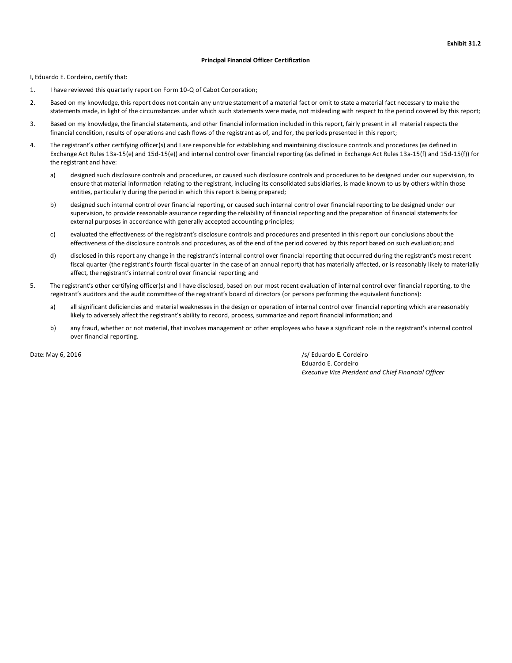#### **Principal Financial Officer Certification**

I, Eduardo E. Cordeiro, certify that:

- 1. I have reviewed this quarterly report on Form 10-Q of Cabot Corporation;
- 2. Based on my knowledge, this report does not contain any untrue statement of a material fact or omit to state a material fact necessary to make the statements made, in light of the circumstances under which such statements were made, not misleading with respect to the period covered by this report;
- 3. Based on my knowledge, the financial statements, and other financial information included in this report, fairly present in all material respects the financial condition, results of operations and cash flows of the registrant as of, and for, the periods presented in this report;
- 4. The registrant's other certifying officer(s) and I are responsible for establishing and maintaining disclosure controls and procedures (as defined in Exchange Act Rules 13a-15(e) and 15d-15(e)) and internal control over financial reporting (as defined in Exchange Act Rules 13a-15(f) and 15d-15(f)) for the registrant and have:
	- a) designed such disclosure controls and procedures, or caused such disclosure controls and procedures to be designed under our supervision, to ensure that material information relating to the registrant, including its consolidated subsidiaries, is made known to us by others within those entities, particularly during the period in which this report is being prepared;
	- b) designed such internal control over financial reporting, or caused such internal control over financial reporting to be designed under our supervision, to provide reasonable assurance regarding the reliability of financial reporting and the preparation of financial statements for external purposes in accordance with generally accepted accounting principles;
	- c) evaluated the effectiveness of the registrant's disclosure controls and procedures and presented in this report our conclusions about the effectiveness of the disclosure controls and procedures, as of the end of the period covered by this report based on such evaluation; and
	- d) disclosed in this report any change in the registrant's internal control over financial reporting that occurred during the registrant's most recent fiscal quarter (the registrant's fourth fiscal quarter in the case of an annual report) that has materially affected, or is reasonably likely to materially affect, the registrant's internal control over financial reporting; and
- 5. The registrant's other certifying officer(s) and I have disclosed, based on our most recent evaluation of internal control over financial reporting, to the registrant's auditors and the audit committee of the registrant's board of directors (or persons performing the equivalent functions):
	- a) all significant deficiencies and material weaknesses in the design or operation of internal control over financial reporting which are reasonably likely to adversely affect the registrant's ability to record, process, summarize and report financial information; and
	- b) any fraud, whether or not material, that involves management or other employees who have a significant role in the registrant's internal control over financial reporting.

Date: May 6, 2016 **Date:** May 6, 2016 *Date:* May 8, 2016 *Cordeiro Cordeiro Cordeiro Psilone <b><i>Cordeiro Psilone <b><i>Cordeiro Psilone <b><i>Cordeiro Psilone <b><i>Psilone <b><i>Psilone Psilone <b><i>Psilo* 

Eduardo E. Cordeiro *Executive Vice President and Chief Financial Officer*